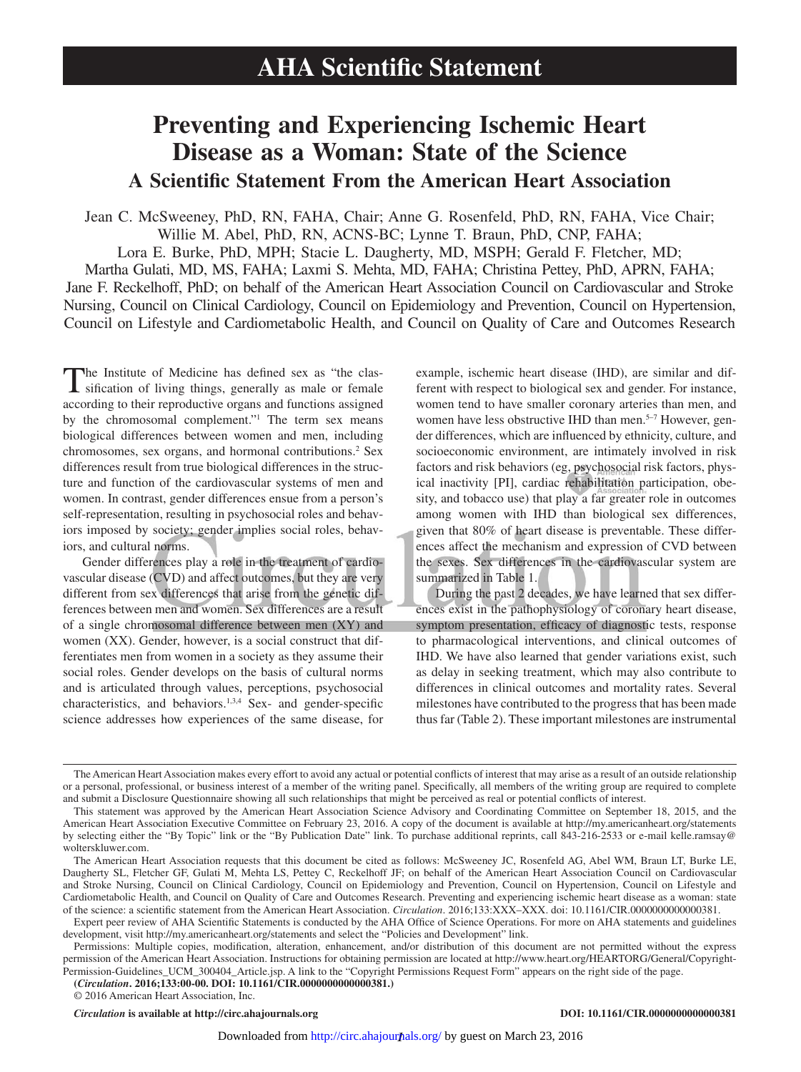# **Preventing and Experiencing Ischemic Heart Disease as a Woman: State of the Science A Scientific Statement From the American Heart Association**

Jean C. McSweeney, PhD, RN, FAHA, Chair; Anne G. Rosenfeld, PhD, RN, FAHA, Vice Chair; Willie M. Abel, PhD, RN, ACNS-BC; Lynne T. Braun, PhD, CNP, FAHA; Lora E. Burke, PhD, MPH; Stacie L. Daugherty, MD, MSPH; Gerald F. Fletcher, MD; Martha Gulati, MD, MS, FAHA; Laxmi S. Mehta, MD, FAHA; Christina Pettey, PhD, APRN, FAHA; Jane F. Reckelhoff, PhD; on behalf of the American Heart Association Council on Cardiovascular and Stroke Nursing, Council on Clinical Cardiology, Council on Epidemiology and Prevention, Council on Hypertension, Council on Lifestyle and Cardiometabolic Health, and Council on Quality of Care and Outcomes Research

The Institute of Medicine has defined sex as "the clas-sification of living things, generally as male or female according to their reproductive organs and functions assigned by the chromosomal complement."1 The term sex means biological differences between women and men, including chromosomes, sex organs, and hormonal contributions.<sup>2</sup> Sex differences result from true biological differences in the structure and function of the cardiovascular systems of men and women. In contrast, gender differences ensue from a person's self-representation, resulting in psychosocial roles and behaviors imposed by society; gender implies social roles, behaviors, and cultural norms.

Gender differences play a role in the treatment of cardiovascular disease (CVD) and affect outcomes, but they are very different from sex differences that arise from the genetic differences between men and women. Sex differences are a result of a single chromosomal difference between men (XY) and women (XX). Gender, however, is a social construct that differentiates men from women in a society as they assume their social roles. Gender develops on the basis of cultural norms and is articulated through values, perceptions, psychosocial characteristics, and behaviors.1,3,4 Sex- and gender-specific science addresses how experiences of the same disease, for example, ischemic heart disease (IHD), are similar and different with respect to biological sex and gender. For instance, women tend to have smaller coronary arteries than men, and women have less obstructive IHD than men.<sup>5–7</sup> However, gender differences, which are influenced by ethnicity, culture, and socioeconomic environment, are intimately involved in risk factors and risk behaviors (eg, psychosocial risk factors, physical inactivity [PI], cardiac rehabilitation participation, obesity, and tobacco use) that play a far greater role in outcomes among women with IHD than biological sex differences, given that 80% of heart disease is preventable. These differences affect the mechanism and expression of CVD between the sexes. Sex differences in the cardiovascular system are summarized in Table 1.

During the past 2 decades, we have learned that sex differences exist in the pathophysiology of coronary heart disease, symptom presentation, efficacy of diagnostic tests, response to pharmacological interventions, and clinical outcomes of IHD. We have also learned that gender variations exist, such as delay in seeking treatment, which may also contribute to differences in clinical outcomes and mortality rates. Several milestones have contributed to the progress that has been made thus far (Table 2). These important milestones are instrumental

© 2016 American Heart Association, Inc.

*Circulation* **is available at http://circ.ahajournals.org DOI: 10.1161/CIR.0000000000000381**

The American Heart Association makes every effort to avoid any actual or potential conflicts of interest that may arise as a result of an outside relationship or a personal, professional, or business interest of a member of the writing panel. Specifically, all members of the writing group are required to complete and submit a Disclosure Questionnaire showing all such relationships that might be perceived as real or potential conflicts of interest.

This statement was approved by the American Heart Association Science Advisory and Coordinating Committee on September 18, 2015, and the American Heart Association Executive Committee on February 23, 2016. A copy of the document is available at <http://my.americanheart.org/statements> by selecting either the "By Topic" link or the "By Publication Date" link. To purchase additional reprints, call 843-216-2533 or e-mail [kelle.ramsay@](mailto:kelle.ramsay@wolterskluwer.com) [wolterskluwer.com](mailto:kelle.ramsay@wolterskluwer.com).

The American Heart Association requests that this document be cited as follows: McSweeney JC, Rosenfeld AG, Abel WM, Braun LT, Burke LE, Daugherty SL, Fletcher GF, Gulati M, Mehta LS, Pettey C, Reckelhoff JF; on behalf of the American Heart Association Council on Cardiovascular and Stroke Nursing, Council on Clinical Cardiology, Council on Epidemiology and Prevention, Council on Hypertension, Council on Lifestyle and Cardiometabolic Health, and Council on Quality of Care and Outcomes Research. Preventing and experiencing ischemic heart disease as a woman: state of the science: a scientific statement from the American Heart Association. *Circulation*. 2016;133:XXX–XXX. doi: 10.1161/CIR.0000000000000381.

Expert peer review of AHA Scientific Statements is conducted by the AHA Office of Science Operations. For more on AHA statements and guidelines development, visit <http://my.americanheart.org/statements> and select the "Policies and Development" link.

**<sup>(</sup>***Circulation***. 2016;133:00-00. DOI: 10.1161/CIR.0000000000000381.)** Permissions: Multiple copies, modification, alteration, enhancement, and/or distribution of this document are not permitted without the express permission of the American Heart Association. Instructions for obtaining permission are located at [http://www.heart.org/HEARTORG/General/Copyright-](http://www.heart.org/HEARTORG/General/Copyright-Permission-Guidelines_UCM_300404_Article.jsp)[Permission-Guidelines\\_UCM\\_300404\\_Article.jsp.](http://www.heart.org/HEARTORG/General/Copyright-Permission-Guidelines_UCM_300404_Article.jsp) A link to the "Copyright Permissions Request Form" appears on the right side of the page.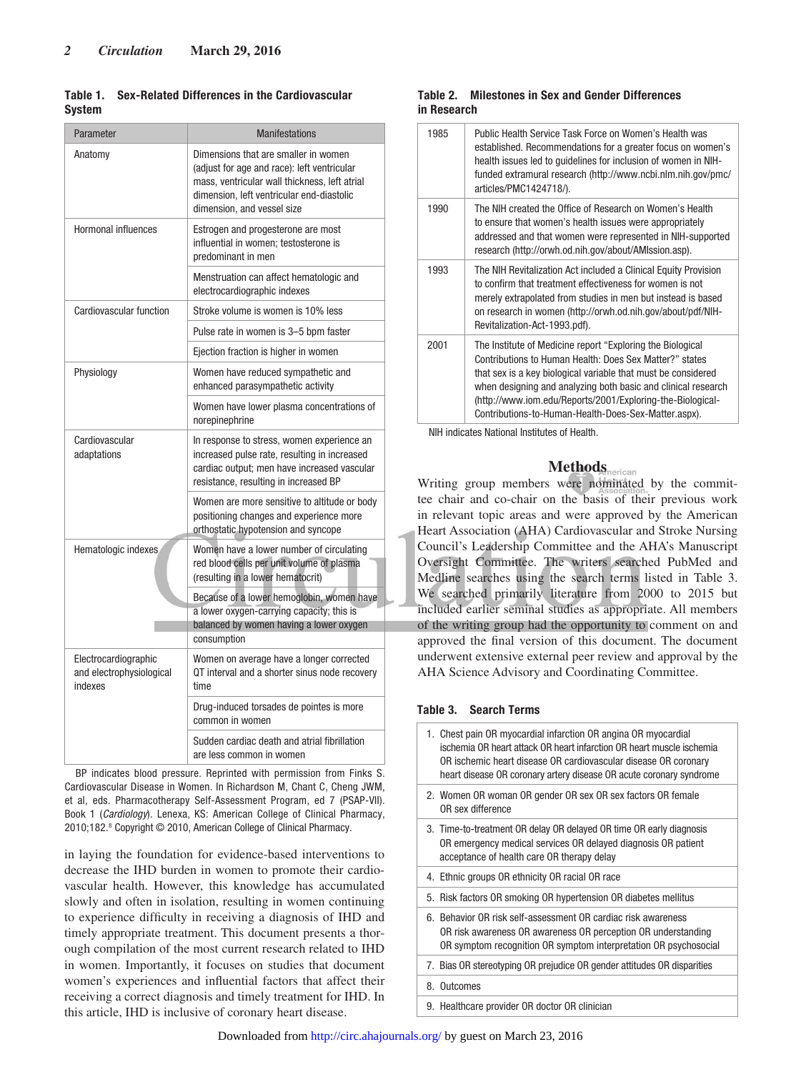#### **Table 1. Sex-Related Differences in the Cardiovascular System**

| Parameter                                                   | <b>Manifestations</b>                                                                                                                                                                                           |  |  |  |  |
|-------------------------------------------------------------|-----------------------------------------------------------------------------------------------------------------------------------------------------------------------------------------------------------------|--|--|--|--|
| Anatomy                                                     | Dimensions that are smaller in women<br>(adjust for age and race): left ventricular<br>mass, ventricular wall thickness, left atrial<br>dimension, left ventricular end-diastolic<br>dimension, and vessel size |  |  |  |  |
| Hormonal influences                                         | Estrogen and progesterone are most<br>influential in women; testosterone is<br>predominant in men                                                                                                               |  |  |  |  |
|                                                             | Menstruation can affect hematologic and<br>electrocardiographic indexes                                                                                                                                         |  |  |  |  |
| Cardiovascular function                                     | Stroke volume is women is 10% less                                                                                                                                                                              |  |  |  |  |
|                                                             | Pulse rate in women is 3-5 bpm faster                                                                                                                                                                           |  |  |  |  |
|                                                             | Ejection fraction is higher in women                                                                                                                                                                            |  |  |  |  |
| Physiology                                                  | Women have reduced sympathetic and<br>enhanced parasympathetic activity                                                                                                                                         |  |  |  |  |
|                                                             | Women have lower plasma concentrations of<br>norepinephrine                                                                                                                                                     |  |  |  |  |
| Cardiovascular<br>adaptations                               | In response to stress, women experience an<br>increased pulse rate, resulting in increased<br>cardiac output; men have increased vascular<br>resistance, resulting in increased BP                              |  |  |  |  |
|                                                             | Women are more sensitive to altitude or body<br>positioning changes and experience more<br>orthostatic hypotension and syncope                                                                                  |  |  |  |  |
| Hematologic indexes                                         | Women have a lower number of circulating<br>red blood cells per unit volume of plasma<br>(resulting in a lower hematocrit)                                                                                      |  |  |  |  |
|                                                             | Because of a lower hemoglobin, women have<br>a lower oxygen-carrying capacity; this is<br>balanced by women having a lower oxygen<br>consumption                                                                |  |  |  |  |
| Electrocardiographic<br>and electrophysiological<br>indexes | Women on average have a longer corrected<br>QT interval and a shorter sinus node recovery<br>time                                                                                                               |  |  |  |  |
|                                                             | Drug-induced torsades de pointes is more<br>common in women                                                                                                                                                     |  |  |  |  |
|                                                             | Sudden cardiac death and atrial fibrillation<br>are less common in women                                                                                                                                        |  |  |  |  |

BP indicates blood pressure. Reprinted with permission from Finks S. Cardiovascular Disease in Women. In Richardson M, Chant C, Cheng JWM, et al, eds. Pharmacotherapy Self-Assessment Program, ed 7 (PSAP-VII). Book 1 (Cardiology). Lenexa, KS: American College of Clinical Pharmacy, 2010;182.<sup>8</sup> Copyright © 2010, American College of Clinical Pharmacy.

in laying the foundation for evidence-based interventions to decrease the IHD burden in women to promote their cardiovascular health. However, this knowledge has accumulated slowly and often in isolation, resulting in women continuing to experience difficulty in receiving a diagnosis of IHD and timely appropriate treatment. This document presents a thorough compilation of the most current research related to IHD in women. Importantly, it focuses on studies that document women's experiences and influential factors that affect their receiving a correct diagnosis and timely treatment for IHD. In this article, IHD is inclusive of coronary heart disease.

#### **Table 2. Milestones in Sex and Gender Differences in Research**

| 1985 | Public Health Service Task Force on Women's Health was<br>established. Recommendations for a greater focus on women's<br>health issues led to guidelines for inclusion of women in NIH-<br>funded extramural research (http://www.ncbi.nlm.nih.gov/pmc/<br>articles/PMC1424718/).                                                                                             |
|------|-------------------------------------------------------------------------------------------------------------------------------------------------------------------------------------------------------------------------------------------------------------------------------------------------------------------------------------------------------------------------------|
| 1990 | The NIH created the Office of Research on Women's Health<br>to ensure that women's health issues were appropriately<br>addressed and that women were represented in NIH-supported<br>research (http://orwh.od.nih.gov/about/AMIssion.asp).                                                                                                                                    |
| 1993 | The NIH Revitalization Act included a Clinical Equity Provision<br>to confirm that treatment effectiveness for women is not<br>merely extrapolated from studies in men but instead is based<br>on research in women (http://orwh.od.nih.gov/about/pdf/NIH-<br>Revitalization-Act-1993.pdf).                                                                                   |
| 2001 | The Institute of Medicine report "Exploring the Biological<br>Contributions to Human Health: Does Sex Matter?" states<br>that sex is a key biological variable that must be considered<br>when designing and analyzing both basic and clinical research<br>(http://www.iom.edu/Reports/2001/Exploring-the-Biological-<br>Contributions-to-Human-Health-Does-Sex-Matter.aspx). |

NIH indicates National Institutes of Health.

# **Methods**

Writing group members were nominated by the committee chair and co-chair on the basis of their previous work in relevant topic areas and were approved by the American Heart Association (AHA) Cardiovascular and Stroke Nursing Council's Leadership Committee and the AHA's Manuscript Oversight Committee. The writers searched PubMed and Medline searches using the search terms listed in Table 3. We searched primarily literature from 2000 to 2015 but included earlier seminal studies as appropriate. All members of the writing group had the opportunity to comment on and approved the final version of this document. The document underwent extensive external peer review and approval by the AHA Science Advisory and Coordinating Committee.

#### **Table 3. Search Terms**

| 1. Chest pain OR myocardial infarction OR angina OR myocardial<br>ischemia OR heart attack OR heart infarction OR heart muscle ischemia<br>OR ischemic heart disease OR cardiovascular disease OR coronary<br>heart disease OR coronary artery disease OR acute coronary syndrome |
|-----------------------------------------------------------------------------------------------------------------------------------------------------------------------------------------------------------------------------------------------------------------------------------|
| 2. Women OR woman OR gender OR sex OR sex factors OR female<br>OR sex difference                                                                                                                                                                                                  |
| 3. Time-to-treatment OR delay OR delayed OR time OR early diagnosis<br>OR emergency medical services OR delayed diagnosis OR patient<br>acceptance of health care OR therapy delay                                                                                                |
| 4. Ethnic groups OR ethnicity OR racial OR race                                                                                                                                                                                                                                   |
|                                                                                                                                                                                                                                                                                   |
| 5. Risk factors OR smoking OR hypertension OR diabetes mellitus                                                                                                                                                                                                                   |
| 6. Behavior OR risk self-assessment OR cardiac risk awareness<br>OR risk awareness OR awareness OR perception OR understanding<br>OR symptom recognition OR symptom interpretation OR psychosocial                                                                                |
| 7. Bias OR stereotyping OR prejudice OR gender attitudes OR disparities                                                                                                                                                                                                           |
| 8. Outcomes                                                                                                                                                                                                                                                                       |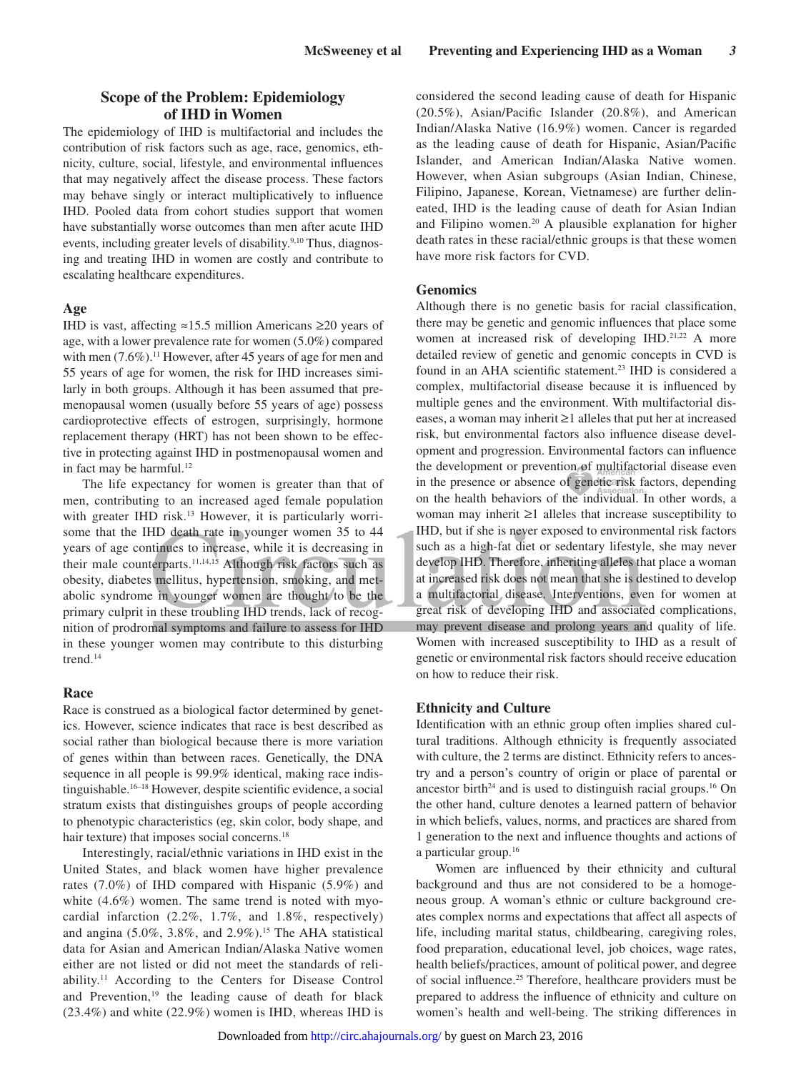# **Scope of the Problem: Epidemiology of IHD in Women**

The epidemiology of IHD is multifactorial and includes the contribution of risk factors such as age, race, genomics, ethnicity, culture, social, lifestyle, and environmental influences that may negatively affect the disease process. These factors may behave singly or interact multiplicatively to influence IHD. Pooled data from cohort studies support that women have substantially worse outcomes than men after acute IHD events, including greater levels of disability.<sup>9,10</sup> Thus, diagnosing and treating IHD in women are costly and contribute to escalating healthcare expenditures.

# **Age**

IHD is vast, affecting ≈15.5 million Americans ≥20 years of age, with a lower prevalence rate for women (5.0%) compared with men  $(7.6\%)$ .<sup>11</sup> However, after 45 years of age for men and 55 years of age for women, the risk for IHD increases similarly in both groups. Although it has been assumed that premenopausal women (usually before 55 years of age) possess cardioprotective effects of estrogen, surprisingly, hormone replacement therapy (HRT) has not been shown to be effective in protecting against IHD in postmenopausal women and in fact may be harmful. $12$ 

The life expectancy for women is greater than that of men, contributing to an increased aged female population with greater IHD risk.<sup>13</sup> However, it is particularly worrisome that the IHD death rate in younger women 35 to 44 years of age continues to increase, while it is decreasing in their male counterparts.<sup>11,14,15</sup> Although risk factors such as obesity, diabetes mellitus, hypertension, smoking, and metabolic syndrome in younger women are thought to be the primary culprit in these troubling IHD trends, lack of recognition of prodromal symptoms and failure to assess for IHD in these younger women may contribute to this disturbing trend.14

#### **Race**

Race is construed as a biological factor determined by genetics. However, science indicates that race is best described as social rather than biological because there is more variation of genes within than between races. Genetically, the DNA sequence in all people is 99.9% identical, making race indistinguishable.<sup>16–18</sup> However, despite scientific evidence, a social stratum exists that distinguishes groups of people according to phenotypic characteristics (eg, skin color, body shape, and hair texture) that imposes social concerns.<sup>18</sup>

Interestingly, racial/ethnic variations in IHD exist in the United States, and black women have higher prevalence rates (7.0%) of IHD compared with Hispanic (5.9%) and white (4.6%) women. The same trend is noted with myocardial infarction (2.2%, 1.7%, and 1.8%, respectively) and angina  $(5.0\%, 3.8\%, \text{ and } 2.9\%)$ .<sup>15</sup> The AHA statistical data for Asian and American Indian/Alaska Native women either are not listed or did not meet the standards of reliability.11 According to the Centers for Disease Control and Prevention,<sup>19</sup> the leading cause of death for black (23.4%) and white (22.9%) women is IHD, whereas IHD is considered the second leading cause of death for Hispanic (20.5%), Asian/Pacific Islander (20.8%), and American Indian/Alaska Native (16.9%) women. Cancer is regarded as the leading cause of death for Hispanic, Asian/Pacific Islander, and American Indian/Alaska Native women. However, when Asian subgroups (Asian Indian, Chinese, Filipino, Japanese, Korean, Vietnamese) are further delineated, IHD is the leading cause of death for Asian Indian and Filipino women.20 A plausible explanation for higher death rates in these racial/ethnic groups is that these women have more risk factors for CVD.

#### **Genomics**

Although there is no genetic basis for racial classification, there may be genetic and genomic influences that place some women at increased risk of developing IHD.<sup>21,22</sup> A more detailed review of genetic and genomic concepts in CVD is found in an AHA scientific statement.23 IHD is considered a complex, multifactorial disease because it is influenced by multiple genes and the environment. With multifactorial diseases, a woman may inherit ≥1 alleles that put her at increased risk, but environmental factors also influence disease development and progression. Environmental factors can influence the development or prevention of multifactorial disease even in the presence or absence of genetic risk factors, depending on the health behaviors of the individual. In other words, a woman may inherit ≥1 alleles that increase susceptibility to IHD, but if she is never exposed to environmental risk factors such as a high-fat diet or sedentary lifestyle, she may never develop IHD. Therefore, inheriting alleles that place a woman at increased risk does not mean that she is destined to develop a multifactorial disease. Interventions, even for women at great risk of developing IHD and associated complications, may prevent disease and prolong years and quality of life. Women with increased susceptibility to IHD as a result of genetic or environmental risk factors should receive education on how to reduce their risk.

# **Ethnicity and Culture**

Identification with an ethnic group often implies shared cultural traditions. Although ethnicity is frequently associated with culture, the 2 terms are distinct. Ethnicity refers to ancestry and a person's country of origin or place of parental or ancestor birth<sup>24</sup> and is used to distinguish racial groups.<sup>16</sup> On the other hand, culture denotes a learned pattern of behavior in which beliefs, values, norms, and practices are shared from 1 generation to the next and influence thoughts and actions of a particular group.<sup>16</sup>

Women are influenced by their ethnicity and cultural background and thus are not considered to be a homogeneous group. A woman's ethnic or culture background creates complex norms and expectations that affect all aspects of life, including marital status, childbearing, caregiving roles, food preparation, educational level, job choices, wage rates, health beliefs/practices, amount of political power, and degree of social influence.25 Therefore, healthcare providers must be prepared to address the influence of ethnicity and culture on women's health and well-being. The striking differences in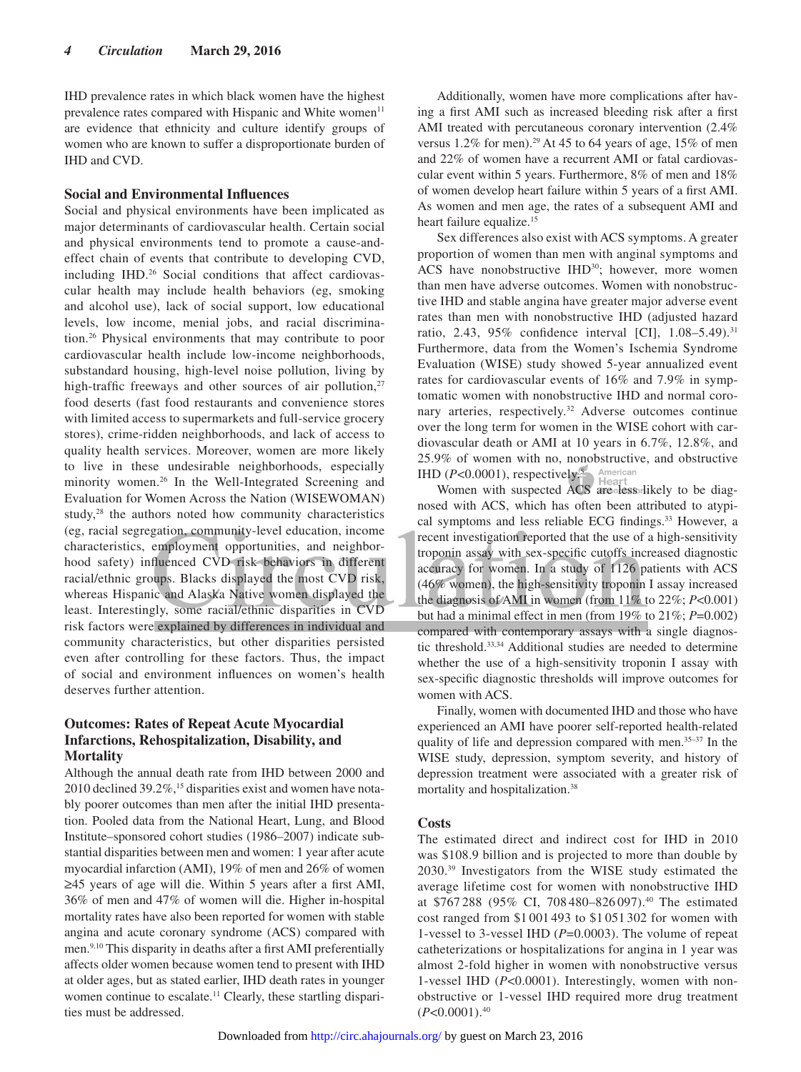IHD prevalence rates in which black women have the highest prevalence rates compared with Hispanic and White women<sup>11</sup> are evidence that ethnicity and culture identify groups of women who are known to suffer a disproportionate burden of IHD and CVD.

# **Social and Environmental Influences**

Social and physical environments have been implicated as major determinants of cardiovascular health. Certain social and physical environments tend to promote a cause-andeffect chain of events that contribute to developing CVD, including IHD.<sup>26</sup> Social conditions that affect cardiovascular health may include health behaviors (eg, smoking and alcohol use), lack of social support, low educational levels, low income, menial jobs, and racial discrimination.26 Physical environments that may contribute to poor cardiovascular health include low-income neighborhoods, substandard housing, high-level noise pollution, living by high-traffic freeways and other sources of air pollution, $27$ food deserts (fast food restaurants and convenience stores with limited access to supermarkets and full-service grocery stores), crime-ridden neighborhoods, and lack of access to quality health services. Moreover, women are more likely to live in these undesirable neighborhoods, especially minority women.<sup>26</sup> In the Well-Integrated Screening and Evaluation for Women Across the Nation (WISEWOMAN) study,28 the authors noted how community characteristics (eg, racial segregation, community-level education, income characteristics, employment opportunities, and neighborhood safety) influenced CVD risk behaviors in different racial/ethnic groups. Blacks displayed the most CVD risk, whereas Hispanic and Alaska Native women displayed the least. Interestingly, some racial/ethnic disparities in CVD risk factors were explained by differences in individual and community characteristics, but other disparities persisted even after controlling for these factors. Thus, the impact of social and environment influences on women's health deserves further attention.

# **Outcomes: Rates of Repeat Acute Myocardial Infarctions, Rehospitalization, Disability, and Mortality**

Although the annual death rate from IHD between 2000 and 2010 declined 39.2%,<sup>15</sup> disparities exist and women have notably poorer outcomes than men after the initial IHD presentation. Pooled data from the National Heart, Lung, and Blood Institute–sponsored cohort studies (1986–2007) indicate substantial disparities between men and women: 1 year after acute myocardial infarction (AMI), 19% of men and 26% of women ≥45 years of age will die. Within 5 years after a first AMI, 36% of men and 47% of women will die. Higher in-hospital mortality rates have also been reported for women with stable angina and acute coronary syndrome (ACS) compared with men.9,10 This disparity in deaths after a first AMI preferentially affects older women because women tend to present with IHD at older ages, but as stated earlier, IHD death rates in younger women continue to escalate.<sup>11</sup> Clearly, these startling disparities must be addressed.

Additionally, women have more complications after having a first AMI such as increased bleeding risk after a first AMI treated with percutaneous coronary intervention (2.4% versus 1.2% for men).<sup>29</sup> At 45 to 64 years of age, 15% of men and 22% of women have a recurrent AMI or fatal cardiovascular event within 5 years. Furthermore, 8% of men and 18% of women develop heart failure within 5 years of a first AMI. As women and men age, the rates of a subsequent AMI and heart failure equalize.<sup>15</sup>

Sex differences also exist with ACS symptoms. A greater proportion of women than men with anginal symptoms and ACS have nonobstructive IHD<sup>30</sup>; however, more women than men have adverse outcomes. Women with nonobstructive IHD and stable angina have greater major adverse event rates than men with nonobstructive IHD (adjusted hazard ratio, 2.43, 95% confidence interval [CI], 1.08–5.49).<sup>31</sup> Furthermore, data from the Women's Ischemia Syndrome Evaluation (WISE) study showed 5-year annualized event rates for cardiovascular events of 16% and 7.9% in symptomatic women with nonobstructive IHD and normal coronary arteries, respectively.<sup>32</sup> Adverse outcomes continue over the long term for women in the WISE cohort with cardiovascular death or AMI at 10 years in 6.7%, 12.8%, and 25.9% of women with no, nonobstructive, and obstructive IHD (*P<*0.0001), respectively<sup>5</sup>. American

Women with suspected ACS are less likely to be diagnosed with ACS, which has often been attributed to atypical symptoms and less reliable ECG findings.<sup>33</sup> However, a recent investigation reported that the use of a high-sensitivity troponin assay with sex-specific cutoffs increased diagnostic accuracy for women. In a study of 1126 patients with ACS (46% women), the high-sensitivity troponin I assay increased the diagnosis of AMI in women (from 11% to 22%; *P*<0.001) but had a minimal effect in men (from 19% to 21%; *P*=0.002) compared with contemporary assays with a single diagnostic threshold.33,34 Additional studies are needed to determine whether the use of a high-sensitivity troponin I assay with sex-specific diagnostic thresholds will improve outcomes for women with ACS.

Finally, women with documented IHD and those who have experienced an AMI have poorer self-reported health-related quality of life and depression compared with men.<sup>35-37</sup> In the WISE study, depression, symptom severity, and history of depression treatment were associated with a greater risk of mortality and hospitalization.38

#### **Costs**

The estimated direct and indirect cost for IHD in 2010 was \$108.9 billion and is projected to more than double by 2030.39 Investigators from the WISE study estimated the average lifetime cost for women with nonobstructive IHD at \$767 288 (95% CI, 708 480–826 097).40 The estimated cost ranged from \$1 001 493 to \$1 051 302 for women with 1-vessel to 3-vessel IHD (*P*=0.0003). The volume of repeat catheterizations or hospitalizations for angina in 1 year was almost 2-fold higher in women with nonobstructive versus 1-vessel IHD (*P*<0.0001). Interestingly, women with nonobstructive or 1-vessel IHD required more drug treatment  $(P<0.0001).$ <sup>40</sup>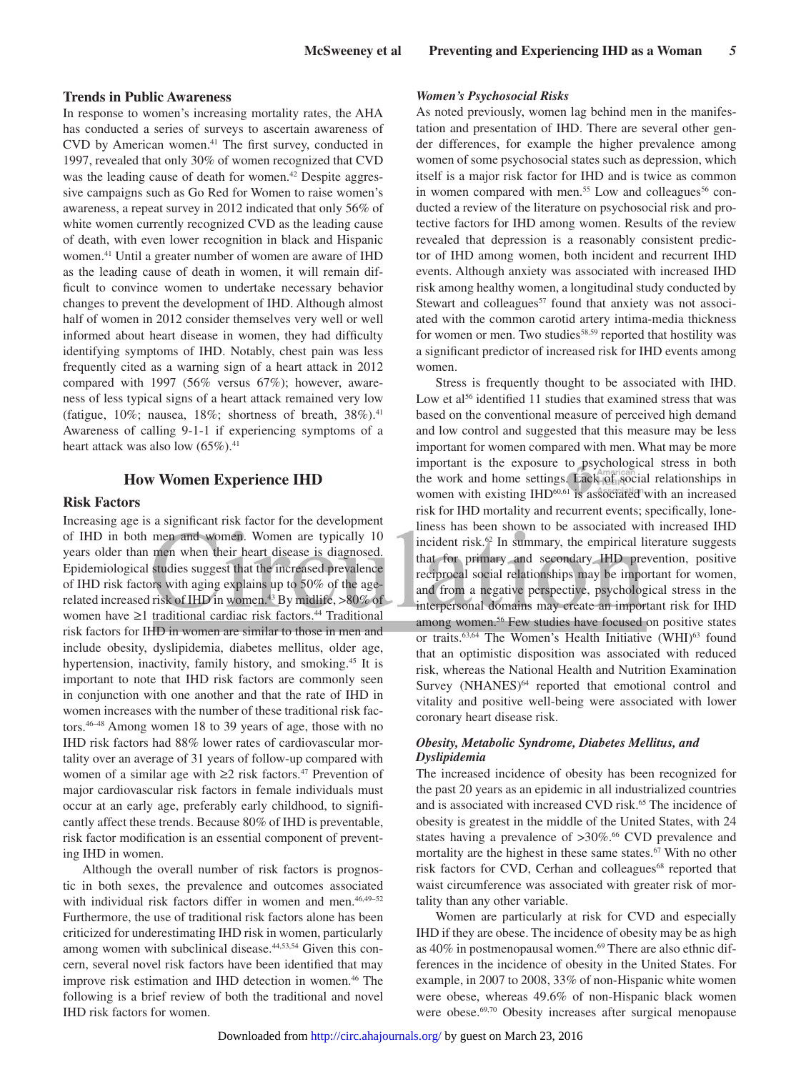# **Trends in Public Awareness**

In response to women's increasing mortality rates, the AHA has conducted a series of surveys to ascertain awareness of CVD by American women.41 The first survey, conducted in 1997, revealed that only 30% of women recognized that CVD was the leading cause of death for women.<sup>42</sup> Despite aggressive campaigns such as Go Red for Women to raise women's awareness, a repeat survey in 2012 indicated that only 56% of white women currently recognized CVD as the leading cause of death, with even lower recognition in black and Hispanic women.41 Until a greater number of women are aware of IHD as the leading cause of death in women, it will remain difficult to convince women to undertake necessary behavior changes to prevent the development of IHD. Although almost half of women in 2012 consider themselves very well or well informed about heart disease in women, they had difficulty identifying symptoms of IHD. Notably, chest pain was less frequently cited as a warning sign of a heart attack in 2012 compared with 1997 (56% versus 67%); however, awareness of less typical signs of a heart attack remained very low (fatigue, 10%; nausea, 18%; shortness of breath,  $38\%$ ).<sup>41</sup> Awareness of calling 9-1-1 if experiencing symptoms of a heart attack was also low  $(65\%)$ .<sup>41</sup>

#### **How Women Experience IHD**

## **Risk Factors**

Increasing age is a significant risk factor for the development of IHD in both men and women. Women are typically 10 years older than men when their heart disease is diagnosed. Epidemiological studies suggest that the increased prevalence of IHD risk factors with aging explains up to 50% of the agerelated increased risk of IHD in women.<sup>43</sup> By midlife,  $>80\%$  of women have ≥1 traditional cardiac risk factors.44 Traditional risk factors for IHD in women are similar to those in men and include obesity, dyslipidemia, diabetes mellitus, older age, hypertension, inactivity, family history, and smoking.<sup>45</sup> It is important to note that IHD risk factors are commonly seen in conjunction with one another and that the rate of IHD in women increases with the number of these traditional risk factors.46–48 Among women 18 to 39 years of age, those with no IHD risk factors had 88% lower rates of cardiovascular mortality over an average of 31 years of follow-up compared with women of a similar age with  $\geq 2$  risk factors.<sup>47</sup> Prevention of major cardiovascular risk factors in female individuals must occur at an early age, preferably early childhood, to significantly affect these trends. Because 80% of IHD is preventable, risk factor modification is an essential component of preventing IHD in women.

Although the overall number of risk factors is prognostic in both sexes, the prevalence and outcomes associated with individual risk factors differ in women and men.<sup>46,49-52</sup> Furthermore, the use of traditional risk factors alone has been criticized for underestimating IHD risk in women, particularly among women with subclinical disease.<sup>44,53,54</sup> Given this concern, several novel risk factors have been identified that may improve risk estimation and IHD detection in women.46 The following is a brief review of both the traditional and novel IHD risk factors for women.

#### *Women's Psychosocial Risks*

As noted previously, women lag behind men in the manifestation and presentation of IHD. There are several other gender differences, for example the higher prevalence among women of some psychosocial states such as depression, which itself is a major risk factor for IHD and is twice as common in women compared with men.<sup>55</sup> Low and colleagues<sup>56</sup> conducted a review of the literature on psychosocial risk and protective factors for IHD among women. Results of the review revealed that depression is a reasonably consistent predictor of IHD among women, both incident and recurrent IHD events. Although anxiety was associated with increased IHD risk among healthy women, a longitudinal study conducted by Stewart and colleagues<sup>57</sup> found that anxiety was not associated with the common carotid artery intima-media thickness for women or men. Two studies<sup>58,59</sup> reported that hostility was a significant predictor of increased risk for IHD events among women.

Stress is frequently thought to be associated with IHD. Low et al<sup>56</sup> identified 11 studies that examined stress that was based on the conventional measure of perceived high demand and low control and suggested that this measure may be less important for women compared with men. What may be more important is the exposure to psychological stress in both the work and home settings. Lack of social relationships in women with existing IHD<sup>60,61</sup> is associated with an increased risk for IHD mortality and recurrent events; specifically, loneliness has been shown to be associated with increased IHD incident risk.<sup>62</sup> In summary, the empirical literature suggests that for primary and secondary IHD prevention, positive reciprocal social relationships may be important for women, and from a negative perspective, psychological stress in the interpersonal domains may create an important risk for IHD among women.<sup>56</sup> Few studies have focused on positive states or traits.<sup>63,64</sup> The Women's Health Initiative (WHI)<sup>63</sup> found that an optimistic disposition was associated with reduced risk, whereas the National Health and Nutrition Examination Survey (NHANES)<sup>64</sup> reported that emotional control and vitality and positive well-being were associated with lower coronary heart disease risk.

### *Obesity, Metabolic Syndrome, Diabetes Mellitus, and Dyslipidemia*

The increased incidence of obesity has been recognized for the past 20 years as an epidemic in all industrialized countries and is associated with increased CVD risk.<sup>65</sup> The incidence of obesity is greatest in the middle of the United States, with 24 states having a prevalence of >30%.<sup>66</sup> CVD prevalence and mortality are the highest in these same states.<sup>67</sup> With no other risk factors for CVD, Cerhan and colleagues<sup>68</sup> reported that waist circumference was associated with greater risk of mortality than any other variable.

Women are particularly at risk for CVD and especially IHD if they are obese. The incidence of obesity may be as high as 40% in postmenopausal women.<sup>69</sup> There are also ethnic differences in the incidence of obesity in the United States. For example, in 2007 to 2008, 33% of non-Hispanic white women were obese, whereas 49.6% of non-Hispanic black women were obese.<sup>69,70</sup> Obesity increases after surgical menopause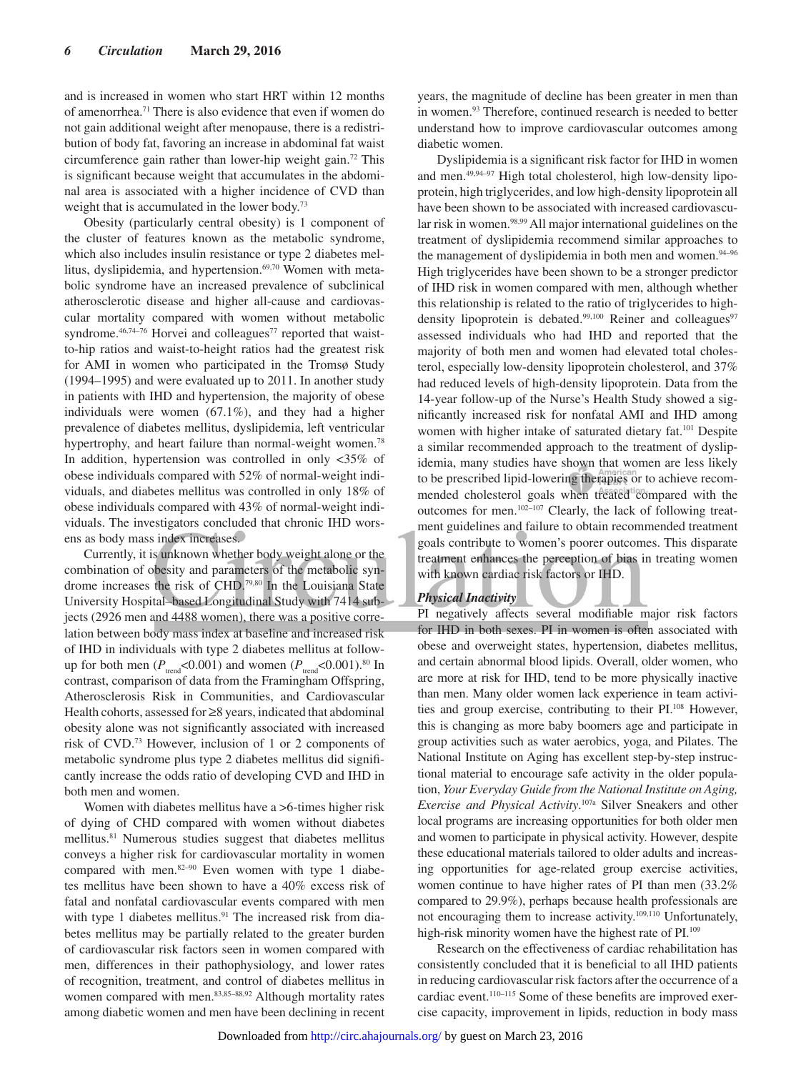and is increased in women who start HRT within 12 months of amenorrhea.71 There is also evidence that even if women do not gain additional weight after menopause, there is a redistribution of body fat, favoring an increase in abdominal fat waist circumference gain rather than lower-hip weight gain. 72 This is significant because weight that accumulates in the abdominal area is associated with a higher incidence of CVD than weight that is accumulated in the lower body.<sup>73</sup>

Obesity (particularly central obesity) is 1 component of the cluster of features known as the metabolic syndrome, which also includes insulin resistance or type 2 diabetes mellitus, dyslipidemia, and hypertension.<sup>69,70</sup> Women with metabolic syndrome have an increased prevalence of subclinical atherosclerotic disease and higher all-cause and cardiovascular mortality compared with women without metabolic syndrome.<sup>46,74–76</sup> Horvei and colleagues<sup>77</sup> reported that waistto-hip ratios and waist-to-height ratios had the greatest risk for AMI in women who participated in the Tromsø Study (1994–1995) and were evaluated up to 2011. In another study in patients with IHD and hypertension, the majority of obese individuals were women (67.1%), and they had a higher prevalence of diabetes mellitus, dyslipidemia, left ventricular hypertrophy, and heart failure than normal-weight women.<sup>78</sup> In addition, hypertension was controlled in only <35% of obese individuals compared with 52% of normal-weight individuals, and diabetes mellitus was controlled in only 18% of obese individuals compared with 43% of normal-weight individuals. The investigators concluded that chronic IHD worsens as body mass index increases.

Currently, it is unknown whether body weight alone or the combination of obesity and parameters of the metabolic syndrome increases the risk of CHD.79,80 In the Louisiana State University Hospital–based Longitudinal Study with 7414 subjects (2926 men and 4488 women), there was a positive correlation between body mass index at baseline and increased risk of IHD in individuals with type 2 diabetes mellitus at followup for both men ( $P_{\text{trend}}$ <0.001) and women ( $P_{\text{trend}}$ <0.001).<sup>80</sup> In contrast, comparison of data from the Framingham Offspring, Atherosclerosis Risk in Communities, and Cardiovascular Health cohorts, assessed for ≥8 years, indicated that abdominal obesity alone was not significantly associated with increased risk of CVD.73 However, inclusion of 1 or 2 components of metabolic syndrome plus type 2 diabetes mellitus did significantly increase the odds ratio of developing CVD and IHD in both men and women.

Women with diabetes mellitus have a >6-times higher risk of dying of CHD compared with women without diabetes mellitus.<sup>81</sup> Numerous studies suggest that diabetes mellitus conveys a higher risk for cardiovascular mortality in women compared with men.82–90 Even women with type 1 diabetes mellitus have been shown to have a 40% excess risk of fatal and nonfatal cardiovascular events compared with men with type 1 diabetes mellitus.<sup>91</sup> The increased risk from diabetes mellitus may be partially related to the greater burden of cardiovascular risk factors seen in women compared with men, differences in their pathophysiology, and lower rates of recognition, treatment, and control of diabetes mellitus in women compared with men.<sup>83,85–88,92</sup> Although mortality rates among diabetic women and men have been declining in recent years, the magnitude of decline has been greater in men than in women.93 Therefore, continued research is needed to better understand how to improve cardiovascular outcomes among diabetic women.

Dyslipidemia is a significant risk factor for IHD in women and men.49,94–97 High total cholesterol, high low-density lipoprotein, high triglycerides, and low high-density lipoprotein all have been shown to be associated with increased cardiovascular risk in women.98,99 All major international guidelines on the treatment of dyslipidemia recommend similar approaches to the management of dyslipidemia in both men and women.<sup>94-96</sup> High triglycerides have been shown to be a stronger predictor of IHD risk in women compared with men, although whether this relationship is related to the ratio of triglycerides to highdensity lipoprotein is debated.<sup>99,100</sup> Reiner and colleagues<sup>97</sup> assessed individuals who had IHD and reported that the majority of both men and women had elevated total cholesterol, especially low-density lipoprotein cholesterol, and 37% had reduced levels of high-density lipoprotein. Data from the 14-year follow-up of the Nurse's Health Study showed a significantly increased risk for nonfatal AMI and IHD among women with higher intake of saturated dietary fat.<sup>101</sup> Despite a similar recommended approach to the treatment of dyslipidemia, many studies have shown that women are less likely to be prescribed lipid-lowering therapies or to achieve recommended cholesterol goals when treated compared with the outcomes for men.102–107 Clearly, the lack of following treatment guidelines and failure to obtain recommended treatment goals contribute to women's poorer outcomes. This disparate treatment enhances the perception of bias in treating women with known cardiac risk factors or IHD.

# *Physical Inactivity*

PI negatively affects several modifiable major risk factors for IHD in both sexes. PI in women is often associated with obese and overweight states, hypertension, diabetes mellitus, and certain abnormal blood lipids. Overall, older women, who are more at risk for IHD, tend to be more physically inactive than men. Many older women lack experience in team activities and group exercise, contributing to their PI.108 However, this is changing as more baby boomers age and participate in group activities such as water aerobics, yoga, and Pilates. The National Institute on Aging has excellent step-by-step instructional material to encourage safe activity in the older population, *Your Everyday Guide from the National Institute on Aging, Exercise and Physical Activity*. 107a Silver Sneakers and other local programs are increasing opportunities for both older men and women to participate in physical activity. However, despite these educational materials tailored to older adults and increasing opportunities for age-related group exercise activities, women continue to have higher rates of PI than men (33.2% compared to 29.9%), perhaps because health professionals are not encouraging them to increase activity.109,110 Unfortunately, high-risk minority women have the highest rate of PI.<sup>109</sup>

Research on the effectiveness of cardiac rehabilitation has consistently concluded that it is beneficial to all IHD patients in reducing cardiovascular risk factors after the occurrence of a cardiac event.110–115 Some of these benefits are improved exercise capacity, improvement in lipids, reduction in body mass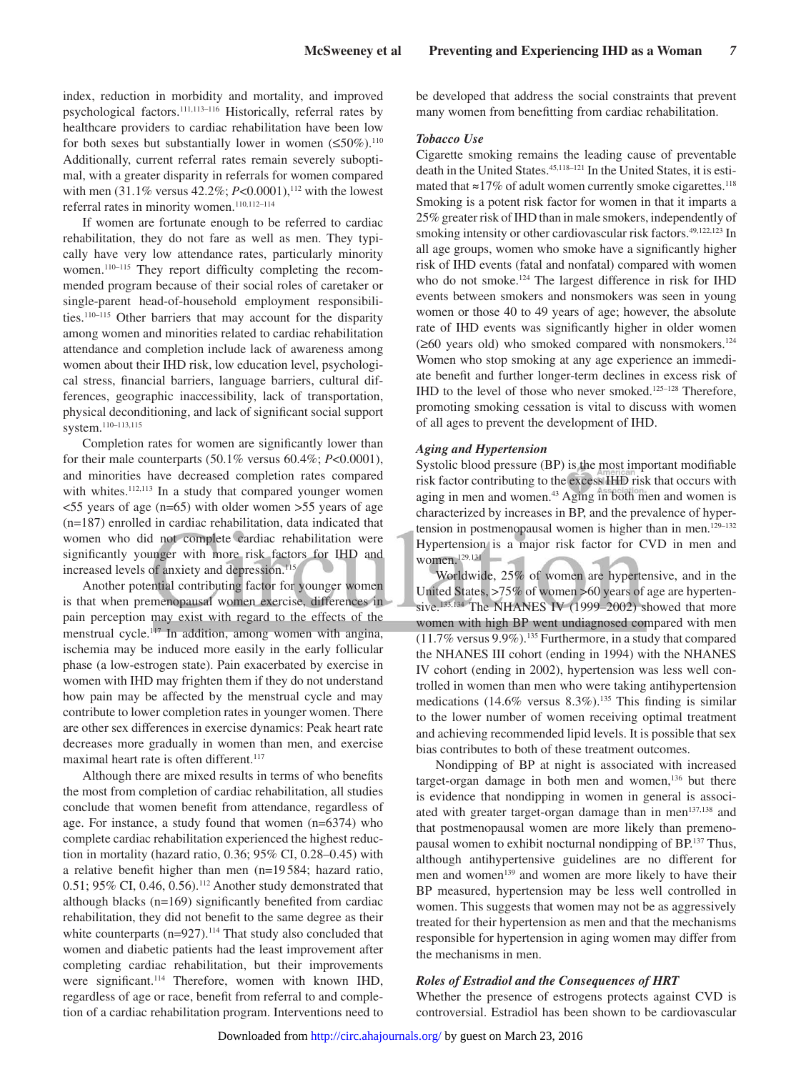index, reduction in morbidity and mortality, and improved psychological factors.111,113–116 Historically, referral rates by healthcare providers to cardiac rehabilitation have been low for both sexes but substantially lower in women  $(\leq 50\%)$ .<sup>110</sup> Additionally, current referral rates remain severely suboptimal, with a greater disparity in referrals for women compared with men (31.1% versus 42.2%; *P*<0.0001),<sup>112</sup> with the lowest referral rates in minority women.110,112–114

If women are fortunate enough to be referred to cardiac rehabilitation, they do not fare as well as men. They typically have very low attendance rates, particularly minority women.<sup>110-115</sup> They report difficulty completing the recommended program because of their social roles of caretaker or single-parent head-of-household employment responsibilities.110–115 Other barriers that may account for the disparity among women and minorities related to cardiac rehabilitation attendance and completion include lack of awareness among women about their IHD risk, low education level, psychological stress, financial barriers, language barriers, cultural differences, geographic inaccessibility, lack of transportation, physical deconditioning, and lack of significant social support system.110–113,115

Completion rates for women are significantly lower than for their male counterparts (50.1% versus 60.4%; *P*<0.0001), and minorities have decreased completion rates compared with whites.<sup>112,113</sup> In a study that compared younger women  $\leq$ 55 years of age (n=65) with older women  $>$ 55 years of age (n=187) enrolled in cardiac rehabilitation, data indicated that women who did not complete cardiac rehabilitation were significantly younger with more risk factors for IHD and increased levels of anxiety and depression.<sup>115</sup>

Another potential contributing factor for younger women is that when premenopausal women exercise, differences in pain perception may exist with regard to the effects of the menstrual cycle.<sup>117</sup> In addition, among women with angina, ischemia may be induced more easily in the early follicular phase (a low-estrogen state). Pain exacerbated by exercise in women with IHD may frighten them if they do not understand how pain may be affected by the menstrual cycle and may contribute to lower completion rates in younger women. There are other sex differences in exercise dynamics: Peak heart rate decreases more gradually in women than men, and exercise maximal heart rate is often different.<sup>117</sup>

Although there are mixed results in terms of who benefits the most from completion of cardiac rehabilitation, all studies conclude that women benefit from attendance, regardless of age. For instance, a study found that women (n=6374) who complete cardiac rehabilitation experienced the highest reduction in mortality (hazard ratio, 0.36; 95% CI, 0.28–0.45) with a relative benefit higher than men (n=19 584; hazard ratio, 0.51; 95% CI, 0.46, 0.56).112 Another study demonstrated that although blacks (n=169) significantly benefited from cardiac rehabilitation, they did not benefit to the same degree as their white counterparts  $(n=927)$ .<sup>114</sup> That study also concluded that women and diabetic patients had the least improvement after completing cardiac rehabilitation, but their improvements were significant.<sup>114</sup> Therefore, women with known IHD, regardless of age or race, benefit from referral to and completion of a cardiac rehabilitation program. Interventions need to be developed that address the social constraints that prevent many women from benefitting from cardiac rehabilitation.

#### *Tobacco Use*

Cigarette smoking remains the leading cause of preventable death in the United States.45,118–121 In the United States, it is estimated that  $\approx$ 17% of adult women currently smoke cigarettes.<sup>118</sup> Smoking is a potent risk factor for women in that it imparts a 25% greater risk of IHD than in male smokers, independently of smoking intensity or other cardiovascular risk factors.<sup>49,122,123</sup> In all age groups, women who smoke have a significantly higher risk of IHD events (fatal and nonfatal) compared with women who do not smoke.<sup>124</sup> The largest difference in risk for IHD events between smokers and nonsmokers was seen in young women or those 40 to 49 years of age; however, the absolute rate of IHD events was significantly higher in older women  $(\geq 60$  years old) who smoked compared with nonsmokers.<sup>124</sup> Women who stop smoking at any age experience an immediate benefit and further longer-term declines in excess risk of IHD to the level of those who never smoked.125–128 Therefore, promoting smoking cessation is vital to discuss with women of all ages to prevent the development of IHD.

#### *Aging and Hypertension*

Systolic blood pressure (BP) is the most important modifiable risk factor contributing to the excess IHD risk that occurs with aging in men and women.<sup>43</sup> Aging in both men and women is characterized by increases in BP, and the prevalence of hypertension in postmenopausal women is higher than in men.<sup>129-132</sup> Hypertension is a major risk factor for CVD in men and women. $129,131$ 

Worldwide, 25% of women are hypertensive, and in the United States, >75% of women >60 years of age are hypertensive.<sup>133,134</sup> The NHANES IV (1999–2002) showed that more women with high BP went undiagnosed compared with men (11.7% versus 9.9%).135 Furthermore, in a study that compared the NHANES III cohort (ending in 1994) with the NHANES IV cohort (ending in 2002), hypertension was less well controlled in women than men who were taking antihypertension medications (14.6% versus  $8.3\%$ ).<sup>135</sup> This finding is similar to the lower number of women receiving optimal treatment and achieving recommended lipid levels. It is possible that sex bias contributes to both of these treatment outcomes.

Nondipping of BP at night is associated with increased target-organ damage in both men and women,<sup>136</sup> but there is evidence that nondipping in women in general is associated with greater target-organ damage than in men<sup>137,138</sup> and that postmenopausal women are more likely than premenopausal women to exhibit nocturnal nondipping of BP.137 Thus, although antihypertensive guidelines are no different for men and women<sup>139</sup> and women are more likely to have their BP measured, hypertension may be less well controlled in women. This suggests that women may not be as aggressively treated for their hypertension as men and that the mechanisms responsible for hypertension in aging women may differ from the mechanisms in men.

#### *Roles of Estradiol and the Consequences of HRT*

Whether the presence of estrogens protects against CVD is controversial. Estradiol has been shown to be cardiovascular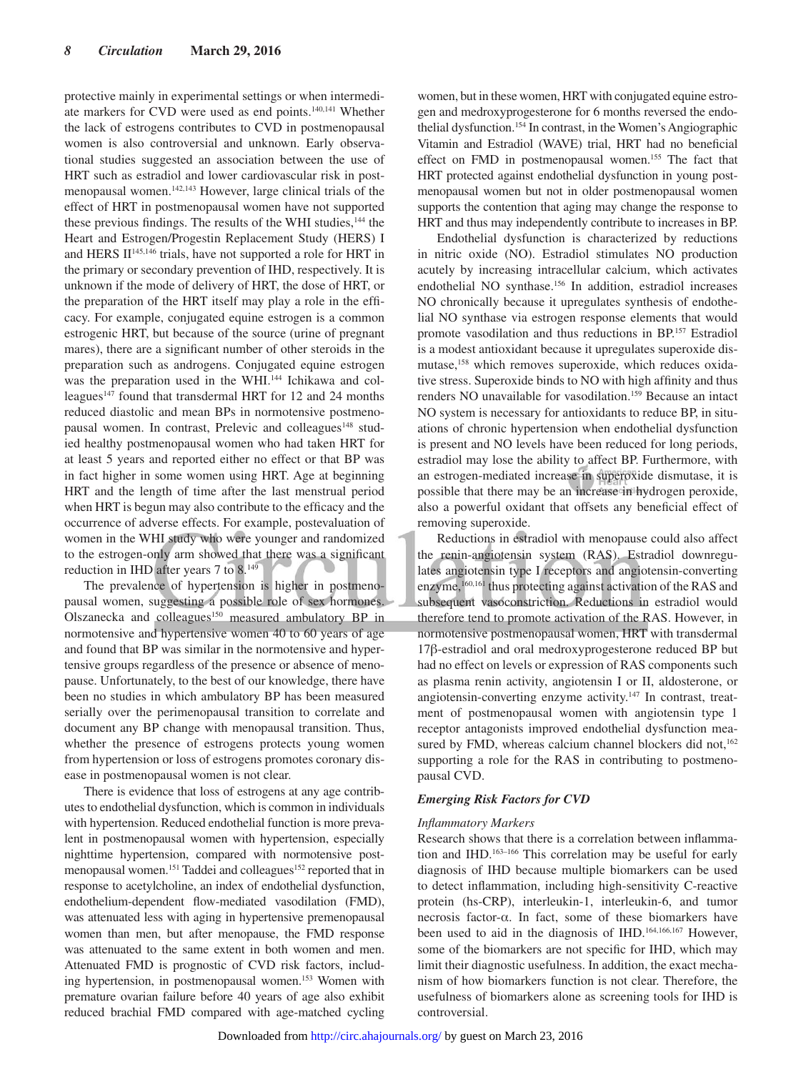protective mainly in experimental settings or when intermediate markers for CVD were used as end points.140,141 Whether the lack of estrogens contributes to CVD in postmenopausal women is also controversial and unknown. Early observational studies suggested an association between the use of HRT such as estradiol and lower cardiovascular risk in postmenopausal women.142,143 However, large clinical trials of the effect of HRT in postmenopausal women have not supported these previous findings. The results of the WHI studies,<sup>144</sup> the Heart and Estrogen/Progestin Replacement Study (HERS) I and HERS II<sup>145,146</sup> trials, have not supported a role for HRT in the primary or secondary prevention of IHD, respectively. It is unknown if the mode of delivery of HRT, the dose of HRT, or the preparation of the HRT itself may play a role in the efficacy. For example, conjugated equine estrogen is a common estrogenic HRT, but because of the source (urine of pregnant mares), there are a significant number of other steroids in the preparation such as androgens. Conjugated equine estrogen was the preparation used in the WHI.<sup>144</sup> Ichikawa and colleagues<sup>147</sup> found that transdermal HRT for 12 and 24 months reduced diastolic and mean BPs in normotensive postmenopausal women. In contrast, Prelevic and colleagues<sup>148</sup> studied healthy postmenopausal women who had taken HRT for at least 5 years and reported either no effect or that BP was in fact higher in some women using HRT. Age at beginning HRT and the length of time after the last menstrual period when HRT is begun may also contribute to the efficacy and the occurrence of adverse effects. For example, postevaluation of women in the WHI study who were younger and randomized to the estrogen-only arm showed that there was a significant reduction in IHD after years 7 to 8.149

The prevalence of hypertension is higher in postmenopausal women, suggesting a possible role of sex hormones. Olszanecka and colleagues<sup>150</sup> measured ambulatory BP in normotensive and hypertensive women 40 to 60 years of age and found that BP was similar in the normotensive and hypertensive groups regardless of the presence or absence of menopause. Unfortunately, to the best of our knowledge, there have been no studies in which ambulatory BP has been measured serially over the perimenopausal transition to correlate and document any BP change with menopausal transition. Thus, whether the presence of estrogens protects young women from hypertension or loss of estrogens promotes coronary disease in postmenopausal women is not clear.

There is evidence that loss of estrogens at any age contributes to endothelial dysfunction, which is common in individuals with hypertension. Reduced endothelial function is more prevalent in postmenopausal women with hypertension, especially nighttime hypertension, compared with normotensive postmenopausal women.<sup>151</sup> Taddei and colleagues<sup>152</sup> reported that in response to acetylcholine, an index of endothelial dysfunction, endothelium-dependent flow-mediated vasodilation (FMD), was attenuated less with aging in hypertensive premenopausal women than men, but after menopause, the FMD response was attenuated to the same extent in both women and men. Attenuated FMD is prognostic of CVD risk factors, including hypertension, in postmenopausal women.<sup>153</sup> Women with premature ovarian failure before 40 years of age also exhibit reduced brachial FMD compared with age-matched cycling

women, but in these women, HRT with conjugated equine estrogen and medroxyprogesterone for 6 months reversed the endothelial dysfunction.154 In contrast, in the Women's Angiographic Vitamin and Estradiol (WAVE) trial, HRT had no beneficial effect on FMD in postmenopausal women.155 The fact that HRT protected against endothelial dysfunction in young postmenopausal women but not in older postmenopausal women supports the contention that aging may change the response to HRT and thus may independently contribute to increases in BP.

Endothelial dysfunction is characterized by reductions in nitric oxide (NO). Estradiol stimulates NO production acutely by increasing intracellular calcium, which activates endothelial NO synthase.156 In addition, estradiol increases NO chronically because it upregulates synthesis of endothelial NO synthase via estrogen response elements that would promote vasodilation and thus reductions in BP.157 Estradiol is a modest antioxidant because it upregulates superoxide dismutase,<sup>158</sup> which removes superoxide, which reduces oxidative stress. Superoxide binds to NO with high affinity and thus renders NO unavailable for vasodilation.<sup>159</sup> Because an intact NO system is necessary for antioxidants to reduce BP, in situations of chronic hypertension when endothelial dysfunction is present and NO levels have been reduced for long periods, estradiol may lose the ability to affect BP. Furthermore, with an estrogen-mediated increase in superoxide dismutase, it is possible that there may be an increase in hydrogen peroxide, also a powerful oxidant that offsets any beneficial effect of removing superoxide.

Reductions in estradiol with menopause could also affect the renin-angiotensin system (RAS). Estradiol downregulates angiotensin type I receptors and angiotensin-converting enzyme,<sup>160,161</sup> thus protecting against activation of the RAS and subsequent vasoconstriction. Reductions in estradiol would therefore tend to promote activation of the RAS. However, in normotensive postmenopausal women, HRT with transdermal 17β-estradiol and oral medroxyprogesterone reduced BP but had no effect on levels or expression of RAS components such as plasma renin activity, angiotensin I or II, aldosterone, or angiotensin-converting enzyme activity.147 In contrast, treatment of postmenopausal women with angiotensin type 1 receptor antagonists improved endothelial dysfunction measured by FMD, whereas calcium channel blockers did not,<sup>162</sup> supporting a role for the RAS in contributing to postmenopausal CVD.

#### *Emerging Risk Factors for CVD*

#### *Inflammatory Markers*

Research shows that there is a correlation between inflammation and IHD.163–166 This correlation may be useful for early diagnosis of IHD because multiple biomarkers can be used to detect inflammation, including high-sensitivity C-reactive protein (hs-CRP), interleukin-1, interleukin-6, and tumor necrosis factor-α. In fact, some of these biomarkers have been used to aid in the diagnosis of IHD.164,166,167 However, some of the biomarkers are not specific for IHD, which may limit their diagnostic usefulness. In addition, the exact mechanism of how biomarkers function is not clear. Therefore, the usefulness of biomarkers alone as screening tools for IHD is controversial.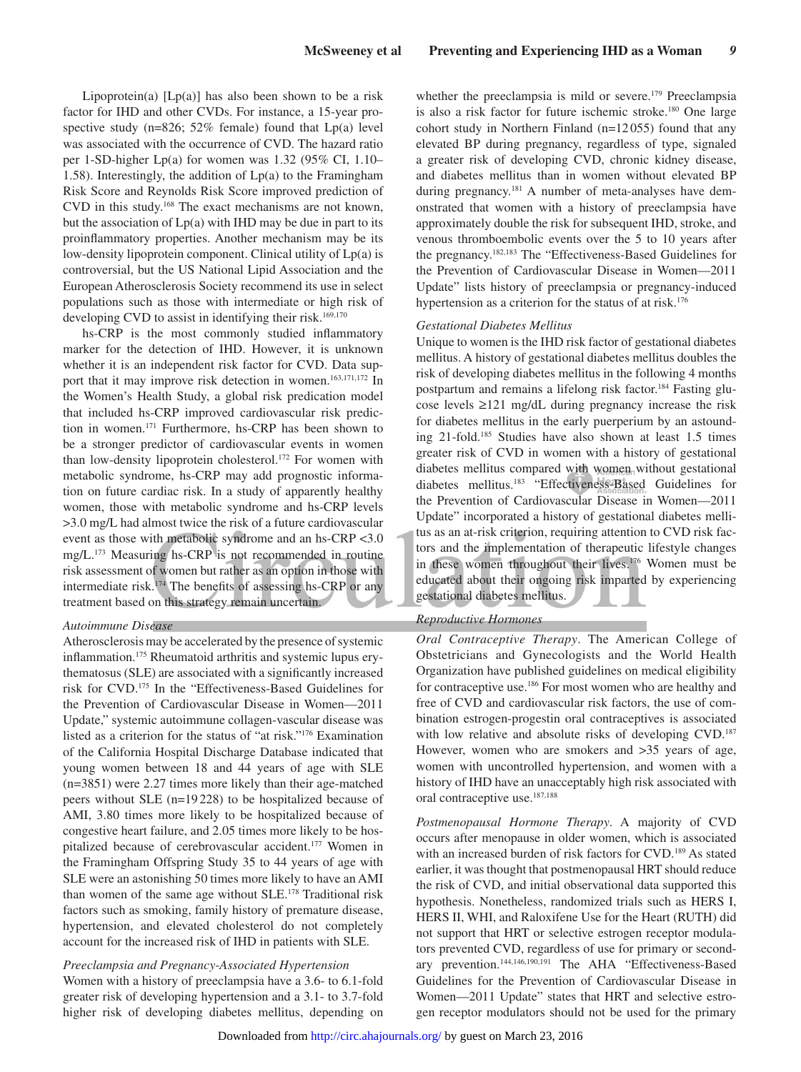Lipoprotein(a)  $[Lp(a)]$  has also been shown to be a risk factor for IHD and other CVDs. For instance, a 15-year prospective study ( $n=826$ ; 52% female) found that  $Lp(a)$  level was associated with the occurrence of CVD. The hazard ratio per 1-SD-higher Lp(a) for women was 1.32 (95% CI, 1.10– 1.58). Interestingly, the addition of  $Lp(a)$  to the Framingham Risk Score and Reynolds Risk Score improved prediction of CVD in this study.168 The exact mechanisms are not known, but the association of  $Lp(a)$  with IHD may be due in part to its proinflammatory properties. Another mechanism may be its low-density lipoprotein component. Clinical utility of Lp(a) is controversial, but the US National Lipid Association and the European Atherosclerosis Society recommend its use in select populations such as those with intermediate or high risk of developing CVD to assist in identifying their risk.<sup>169,170</sup>

hs-CRP is the most commonly studied inflammatory marker for the detection of IHD. However, it is unknown whether it is an independent risk factor for CVD. Data support that it may improve risk detection in women.<sup>163,171,172</sup> In the Women's Health Study, a global risk predication model that included hs-CRP improved cardiovascular risk prediction in women.171 Furthermore, hs-CRP has been shown to be a stronger predictor of cardiovascular events in women than low-density lipoprotein cholesterol.172 For women with metabolic syndrome, hs-CRP may add prognostic information on future cardiac risk. In a study of apparently healthy women, those with metabolic syndrome and hs-CRP levels >3.0 mg/L had almost twice the risk of a future cardiovascular event as those with metabolic syndrome and an hs-CRP <3.0 mg/L.173 Measuring hs-CRP is not recommended in routine risk assessment of women but rather as an option in those with intermediate risk.174 The benefits of assessing hs-CRP or any treatment based on this strategy remain uncertain.

#### *Autoimmune Disease*

Atherosclerosis may be accelerated by the presence of systemic inflammation.175 Rheumatoid arthritis and systemic lupus erythematosus (SLE) are associated with a significantly increased risk for CVD.175 In the "Effectiveness-Based Guidelines for the Prevention of Cardiovascular Disease in Women—2011 Update," systemic autoimmune collagen-vascular disease was listed as a criterion for the status of "at risk."176 Examination of the California Hospital Discharge Database indicated that young women between 18 and 44 years of age with SLE (n=3851) were 2.27 times more likely than their age-matched peers without SLE (n=19 228) to be hospitalized because of AMI, 3.80 times more likely to be hospitalized because of congestive heart failure, and 2.05 times more likely to be hospitalized because of cerebrovascular accident.177 Women in the Framingham Offspring Study 35 to 44 years of age with SLE were an astonishing 50 times more likely to have an AMI than women of the same age without SLE.178 Traditional risk factors such as smoking, family history of premature disease, hypertension, and elevated cholesterol do not completely account for the increased risk of IHD in patients with SLE.

*Preeclampsia and Pregnancy-Associated Hypertension* Women with a history of preeclampsia have a 3.6- to 6.1-fold greater risk of developing hypertension and a 3.1- to 3.7-fold higher risk of developing diabetes mellitus, depending on whether the preeclampsia is mild or severe.<sup>179</sup> Preeclampsia is also a risk factor for future ischemic stroke.<sup>180</sup> One large cohort study in Northern Finland (n=12 055) found that any elevated BP during pregnancy, regardless of type, signaled a greater risk of developing CVD, chronic kidney disease, and diabetes mellitus than in women without elevated BP during pregnancy.<sup>181</sup> A number of meta-analyses have demonstrated that women with a history of preeclampsia have approximately double the risk for subsequent IHD, stroke, and venous thromboembolic events over the 5 to 10 years after the pregnancy.182,183 The "Effectiveness-Based Guidelines for the Prevention of Cardiovascular Disease in Women—2011 Update" lists history of preeclampsia or pregnancy-induced hypertension as a criterion for the status of at risk.<sup>176</sup>

#### *Gestational Diabetes Mellitus*

Unique to women is the IHD risk factor of gestational diabetes mellitus. A history of gestational diabetes mellitus doubles the risk of developing diabetes mellitus in the following 4 months postpartum and remains a lifelong risk factor.<sup>184</sup> Fasting glucose levels ≥121 mg/dL during pregnancy increase the risk for diabetes mellitus in the early puerperium by an astounding 21-fold.185 Studies have also shown at least 1.5 times greater risk of CVD in women with a history of gestational diabetes mellitus compared with women without gestational diabetes mellitus.183 "Effectiveness-Based Guidelines for the Prevention of Cardiovascular Disease in Women—2011 Update" incorporated a history of gestational diabetes mellitus as an at-risk criterion, requiring attention to CVD risk factors and the implementation of therapeutic lifestyle changes in these women throughout their lives.<sup>176</sup> Women must be educated about their ongoing risk imparted by experiencing gestational diabetes mellitus.

#### *Reproductive Hormones*

*Oral Contraceptive Therapy*. The American College of Obstetricians and Gynecologists and the World Health Organization have published guidelines on medical eligibility for contraceptive use.186 For most women who are healthy and free of CVD and cardiovascular risk factors, the use of combination estrogen-progestin oral contraceptives is associated with low relative and absolute risks of developing CVD.<sup>187</sup> However, women who are smokers and >35 years of age, women with uncontrolled hypertension, and women with a history of IHD have an unacceptably high risk associated with oral contraceptive use.187,188

*Postmenopausal Hormone Therapy*. A majority of CVD occurs after menopause in older women, which is associated with an increased burden of risk factors for CVD.189 As stated earlier, it was thought that postmenopausal HRT should reduce the risk of CVD, and initial observational data supported this hypothesis. Nonetheless, randomized trials such as HERS I, HERS II, WHI, and Raloxifene Use for the Heart (RUTH) did not support that HRT or selective estrogen receptor modulators prevented CVD, regardless of use for primary or secondary prevention.144,146,190,191 The AHA "Effectiveness-Based Guidelines for the Prevention of Cardiovascular Disease in Women—2011 Update" states that HRT and selective estrogen receptor modulators should not be used for the primary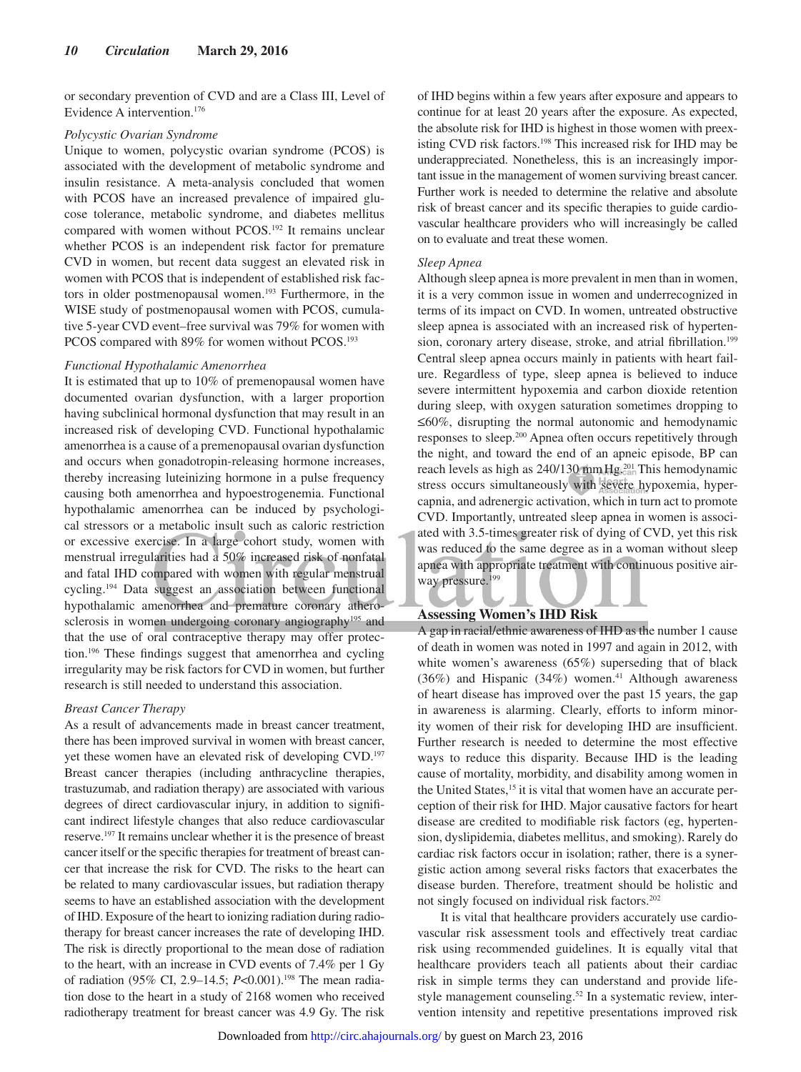or secondary prevention of CVD and are a Class III, Level of Evidence A intervention.176

#### *Polycystic Ovarian Syndrome*

Unique to women, polycystic ovarian syndrome (PCOS) is associated with the development of metabolic syndrome and insulin resistance. A meta-analysis concluded that women with PCOS have an increased prevalence of impaired glucose tolerance, metabolic syndrome, and diabetes mellitus compared with women without PCOS.<sup>192</sup> It remains unclear whether PCOS is an independent risk factor for premature CVD in women, but recent data suggest an elevated risk in women with PCOS that is independent of established risk factors in older postmenopausal women.<sup>193</sup> Furthermore, in the WISE study of postmenopausal women with PCOS, cumulative 5-year CVD event–free survival was 79% for women with PCOS compared with 89% for women without PCOS.<sup>193</sup>

#### *Functional Hypothalamic Amenorrhea*

It is estimated that up to 10% of premenopausal women have documented ovarian dysfunction, with a larger proportion having subclinical hormonal dysfunction that may result in an increased risk of developing CVD. Functional hypothalamic amenorrhea is a cause of a premenopausal ovarian dysfunction and occurs when gonadotropin-releasing hormone increases, thereby increasing luteinizing hormone in a pulse frequency causing both amenorrhea and hypoestrogenemia. Functional hypothalamic amenorrhea can be induced by psychological stressors or a metabolic insult such as caloric restriction or excessive exercise. In a large cohort study, women with menstrual irregularities had a 50% increased risk of nonfatal and fatal IHD compared with women with regular menstrual cycling.194 Data suggest an association between functional hypothalamic amenorrhea and premature coronary atherosclerosis in women undergoing coronary angiography<sup>195</sup> and that the use of oral contraceptive therapy may offer protection.196 These findings suggest that amenorrhea and cycling irregularity may be risk factors for CVD in women, but further research is still needed to understand this association.

# *Breast Cancer Therapy*

As a result of advancements made in breast cancer treatment, there has been improved survival in women with breast cancer, yet these women have an elevated risk of developing CVD.197 Breast cancer therapies (including anthracycline therapies, trastuzumab, and radiation therapy) are associated with various degrees of direct cardiovascular injury, in addition to significant indirect lifestyle changes that also reduce cardiovascular reserve.197 It remains unclear whether it is the presence of breast cancer itself or the specific therapies for treatment of breast cancer that increase the risk for CVD. The risks to the heart can be related to many cardiovascular issues, but radiation therapy seems to have an established association with the development of IHD. Exposure of the heart to ionizing radiation during radiotherapy for breast cancer increases the rate of developing IHD. The risk is directly proportional to the mean dose of radiation to the heart, with an increase in CVD events of 7.4% per 1 Gy of radiation (95% CI, 2.9–14.5; *P*<0.001).<sup>198</sup> The mean radiation dose to the heart in a study of 2168 women who received radiotherapy treatment for breast cancer was 4.9 Gy. The risk of IHD begins within a few years after exposure and appears to continue for at least 20 years after the exposure. As expected, the absolute risk for IHD is highest in those women with preexisting CVD risk factors.<sup>198</sup> This increased risk for IHD may be underappreciated. Nonetheless, this is an increasingly important issue in the management of women surviving breast cancer. Further work is needed to determine the relative and absolute risk of breast cancer and its specific therapies to guide cardiovascular healthcare providers who will increasingly be called on to evaluate and treat these women.

#### *Sleep Apnea*

Although sleep apnea is more prevalent in men than in women, it is a very common issue in women and underrecognized in terms of its impact on CVD. In women, untreated obstructive sleep apnea is associated with an increased risk of hypertension, coronary artery disease, stroke, and atrial fibrillation.<sup>199</sup> Central sleep apnea occurs mainly in patients with heart failure. Regardless of type, sleep apnea is believed to induce severe intermittent hypoxemia and carbon dioxide retention during sleep, with oxygen saturation sometimes dropping to ≤60%, disrupting the normal autonomic and hemodynamic responses to sleep.200 Apnea often occurs repetitively through the night, and toward the end of an apneic episode, BP can reach levels as high as 240/130 mm Hg.<sup>201</sup> This hemodynamic stress occurs simultaneously with severe hypoxemia, hypercapnia, and adrenergic activation, which in turn act to promote CVD. Importantly, untreated sleep apnea in women is associated with 3.5-times greater risk of dying of CVD, yet this risk was reduced to the same degree as in a woman without sleep apnea with appropriate treatment with continuous positive airway pressure.<sup>199</sup>

#### **Assessing Women's IHD Risk**

A gap in racial/ethnic awareness of IHD as the number 1 cause of death in women was noted in 1997 and again in 2012, with white women's awareness (65%) superseding that of black (36%) and Hispanic (34%) women.<sup>41</sup> Although awareness of heart disease has improved over the past 15 years, the gap in awareness is alarming. Clearly, efforts to inform minority women of their risk for developing IHD are insufficient. Further research is needed to determine the most effective ways to reduce this disparity. Because IHD is the leading cause of mortality, morbidity, and disability among women in the United States,<sup>15</sup> it is vital that women have an accurate perception of their risk for IHD. Major causative factors for heart disease are credited to modifiable risk factors (eg, hypertension, dyslipidemia, diabetes mellitus, and smoking). Rarely do cardiac risk factors occur in isolation; rather, there is a synergistic action among several risks factors that exacerbates the disease burden. Therefore, treatment should be holistic and not singly focused on individual risk factors.202

 It is vital that healthcare providers accurately use cardiovascular risk assessment tools and effectively treat cardiac risk using recommended guidelines. It is equally vital that healthcare providers teach all patients about their cardiac risk in simple terms they can understand and provide lifestyle management counseling.<sup>52</sup> In a systematic review, intervention intensity and repetitive presentations improved risk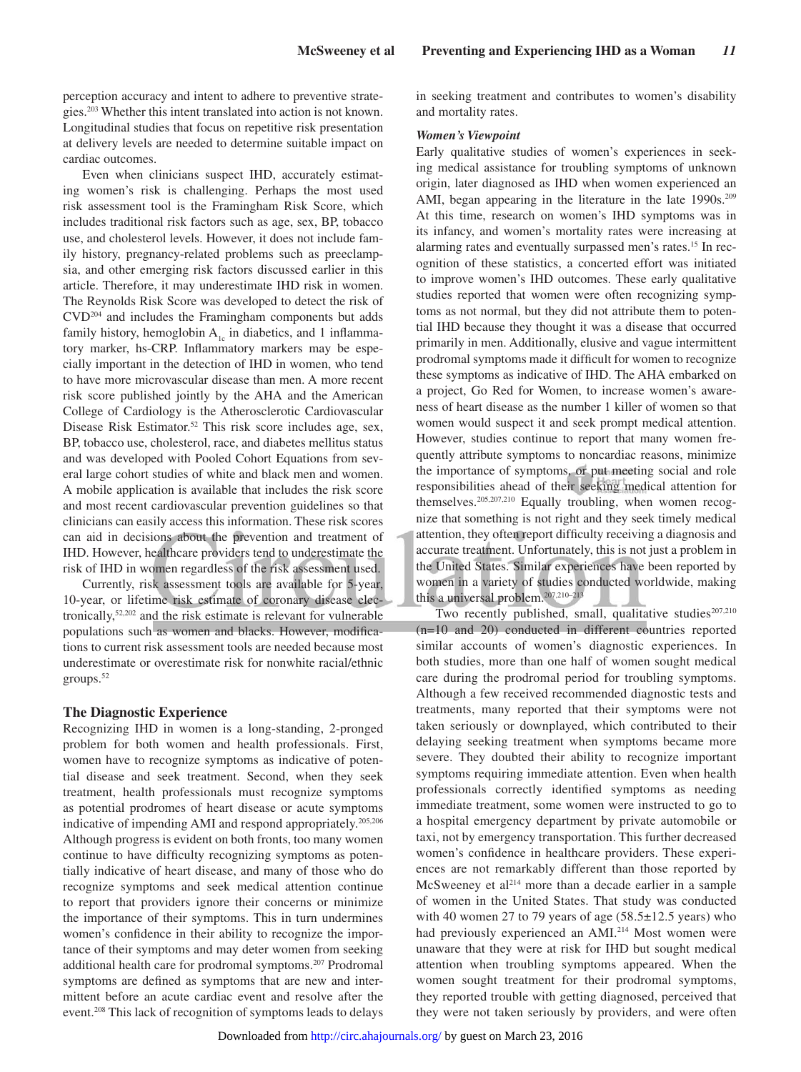perception accuracy and intent to adhere to preventive strategies.203 Whether this intent translated into action is not known. Longitudinal studies that focus on repetitive risk presentation at delivery levels are needed to determine suitable impact on cardiac outcomes.

Even when clinicians suspect IHD, accurately estimating women's risk is challenging. Perhaps the most used risk assessment tool is the Framingham Risk Score, which includes traditional risk factors such as age, sex, BP, tobacco use, and cholesterol levels. However, it does not include family history, pregnancy-related problems such as preeclampsia, and other emerging risk factors discussed earlier in this article. Therefore, it may underestimate IHD risk in women. The Reynolds Risk Score was developed to detect the risk of CVD204 and includes the Framingham components but adds family history, hemoglobin  $A_{1c}$  in diabetics, and 1 inflammatory marker, hs-CRP. Inflammatory markers may be especially important in the detection of IHD in women, who tend to have more microvascular disease than men. A more recent risk score published jointly by the AHA and the American College of Cardiology is the Atherosclerotic Cardiovascular Disease Risk Estimator.<sup>52</sup> This risk score includes age, sex, BP, tobacco use, cholesterol, race, and diabetes mellitus status and was developed with Pooled Cohort Equations from several large cohort studies of white and black men and women. A mobile application is available that includes the risk score and most recent cardiovascular prevention guidelines so that clinicians can easily access this information. These risk scores can aid in decisions about the prevention and treatment of IHD. However, healthcare providers tend to underestimate the risk of IHD in women regardless of the risk assessment used.

Currently, risk assessment tools are available for 5-year, 10-year, or lifetime risk estimate of coronary disease electronically,52,202 and the risk estimate is relevant for vulnerable populations such as women and blacks. However, modifications to current risk assessment tools are needed because most underestimate or overestimate risk for nonwhite racial/ethnic groups.52

#### **The Diagnostic Experience**

Recognizing IHD in women is a long-standing, 2-pronged problem for both women and health professionals. First, women have to recognize symptoms as indicative of potential disease and seek treatment. Second, when they seek treatment, health professionals must recognize symptoms as potential prodromes of heart disease or acute symptoms indicative of impending AMI and respond appropriately.205,206 Although progress is evident on both fronts, too many women continue to have difficulty recognizing symptoms as potentially indicative of heart disease, and many of those who do recognize symptoms and seek medical attention continue to report that providers ignore their concerns or minimize the importance of their symptoms. This in turn undermines women's confidence in their ability to recognize the importance of their symptoms and may deter women from seeking additional health care for prodromal symptoms.207 Prodromal symptoms are defined as symptoms that are new and intermittent before an acute cardiac event and resolve after the event.208 This lack of recognition of symptoms leads to delays in seeking treatment and contributes to women's disability and mortality rates.

#### *Women's Viewpoint*

Early qualitative studies of women's experiences in seeking medical assistance for troubling symptoms of unknown origin, later diagnosed as IHD when women experienced an AMI, began appearing in the literature in the late 1990s.<sup>209</sup> At this time, research on women's IHD symptoms was in its infancy, and women's mortality rates were increasing at alarming rates and eventually surpassed men's rates.15 In recognition of these statistics, a concerted effort was initiated to improve women's IHD outcomes. These early qualitative studies reported that women were often recognizing symptoms as not normal, but they did not attribute them to potential IHD because they thought it was a disease that occurred primarily in men. Additionally, elusive and vague intermittent prodromal symptoms made it difficult for women to recognize these symptoms as indicative of IHD. The AHA embarked on a project, Go Red for Women, to increase women's awareness of heart disease as the number 1 killer of women so that women would suspect it and seek prompt medical attention. However, studies continue to report that many women frequently attribute symptoms to noncardiac reasons, minimize the importance of symptoms, or put meeting social and role responsibilities ahead of their seeking medical attention for themselves.205,207,210 Equally troubling, when women recognize that something is not right and they seek timely medical attention, they often report difficulty receiving a diagnosis and accurate treatment. Unfortunately, this is not just a problem in the United States. Similar experiences have been reported by women in a variety of studies conducted worldwide, making this a universal problem.207,210–213

Two recently published, small, qualitative studies<sup>207,210</sup> (n=10 and 20) conducted in different countries reported similar accounts of women's diagnostic experiences. In both studies, more than one half of women sought medical care during the prodromal period for troubling symptoms. Although a few received recommended diagnostic tests and treatments, many reported that their symptoms were not taken seriously or downplayed, which contributed to their delaying seeking treatment when symptoms became more severe. They doubted their ability to recognize important symptoms requiring immediate attention. Even when health professionals correctly identified symptoms as needing immediate treatment, some women were instructed to go to a hospital emergency department by private automobile or taxi, not by emergency transportation. This further decreased women's confidence in healthcare providers. These experiences are not remarkably different than those reported by McSweeney et al<sup>214</sup> more than a decade earlier in a sample of women in the United States. That study was conducted with 40 women 27 to 79 years of age  $(58.5 \pm 12.5 \text{ years})$  who had previously experienced an AMI.<sup>214</sup> Most women were unaware that they were at risk for IHD but sought medical attention when troubling symptoms appeared. When the women sought treatment for their prodromal symptoms, they reported trouble with getting diagnosed, perceived that they were not taken seriously by providers, and were often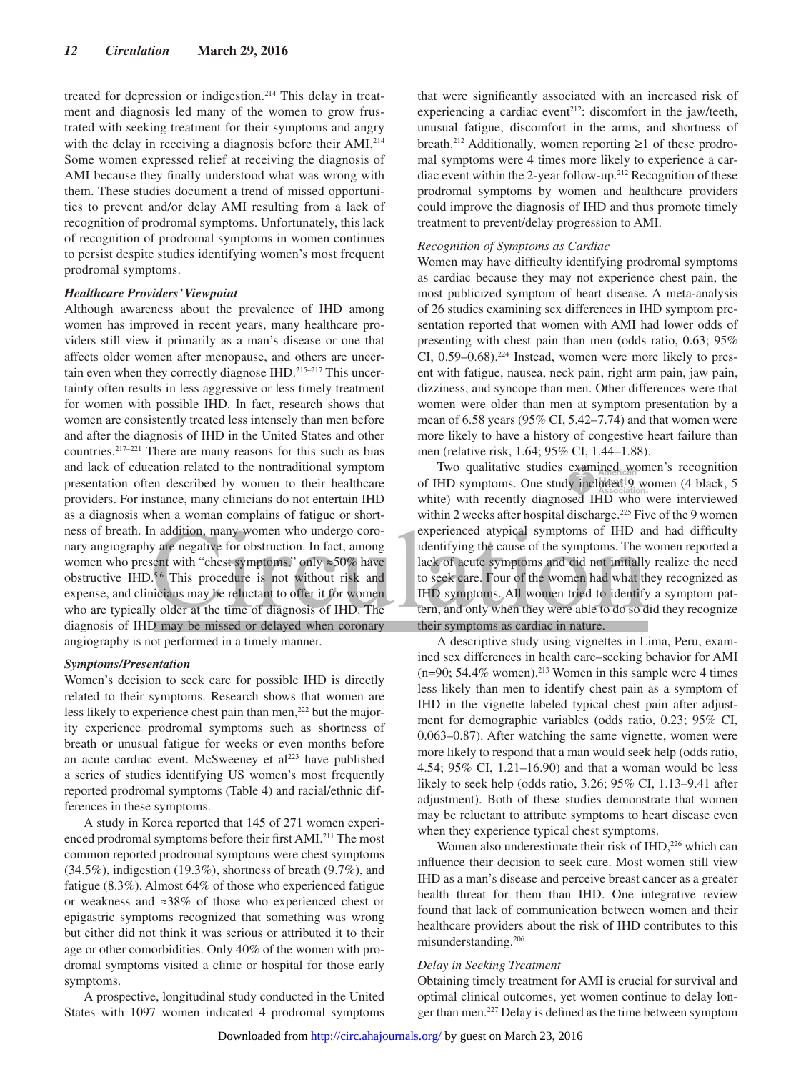treated for depression or indigestion.214 This delay in treatment and diagnosis led many of the women to grow frustrated with seeking treatment for their symptoms and angry with the delay in receiving a diagnosis before their AMI.214 Some women expressed relief at receiving the diagnosis of AMI because they finally understood what was wrong with them. These studies document a trend of missed opportunities to prevent and/or delay AMI resulting from a lack of recognition of prodromal symptoms. Unfortunately, this lack of recognition of prodromal symptoms in women continues to persist despite studies identifying women's most frequent prodromal symptoms.

#### *Healthcare Providers' Viewpoint*

Although awareness about the prevalence of IHD among women has improved in recent years, many healthcare providers still view it primarily as a man's disease or one that affects older women after menopause, and others are uncertain even when they correctly diagnose IHD.<sup>215–217</sup> This uncertainty often results in less aggressive or less timely treatment for women with possible IHD. In fact, research shows that women are consistently treated less intensely than men before and after the diagnosis of IHD in the United States and other countries.217–221 There are many reasons for this such as bias and lack of education related to the nontraditional symptom presentation often described by women to their healthcare providers. For instance, many clinicians do not entertain IHD as a diagnosis when a woman complains of fatigue or shortness of breath. In addition, many women who undergo coronary angiography are negative for obstruction. In fact, among women who present with "chest symptoms," only ≈50% have obstructive IHD.5,6 This procedure is not without risk and expense, and clinicians may be reluctant to offer it for women who are typically older at the time of diagnosis of IHD. The diagnosis of IHD may be missed or delayed when coronary angiography is not performed in a timely manner.

#### *Symptoms/Presentation*

Women's decision to seek care for possible IHD is directly related to their symptoms. Research shows that women are less likely to experience chest pain than men,<sup>222</sup> but the majority experience prodromal symptoms such as shortness of breath or unusual fatigue for weeks or even months before an acute cardiac event. McSweeney et  $al<sup>223</sup>$  have published a series of studies identifying US women's most frequently reported prodromal symptoms (Table 4) and racial/ethnic differences in these symptoms.

A study in Korea reported that 145 of 271 women experienced prodromal symptoms before their first AMI.211 The most common reported prodromal symptoms were chest symptoms (34.5%), indigestion (19.3%), shortness of breath (9.7%), and fatigue (8.3%). Almost 64% of those who experienced fatigue or weakness and ≈38% of those who experienced chest or epigastric symptoms recognized that something was wrong but either did not think it was serious or attributed it to their age or other comorbidities. Only 40% of the women with prodromal symptoms visited a clinic or hospital for those early symptoms.

A prospective, longitudinal study conducted in the United States with 1097 women indicated 4 prodromal symptoms that were significantly associated with an increased risk of experiencing a cardiac event<sup>212</sup>: discomfort in the jaw/teeth, unusual fatigue, discomfort in the arms, and shortness of breath.212 Additionally, women reporting ≥1 of these prodromal symptoms were 4 times more likely to experience a cardiac event within the 2-year follow-up.<sup>212</sup> Recognition of these prodromal symptoms by women and healthcare providers could improve the diagnosis of IHD and thus promote timely treatment to prevent/delay progression to AMI.

#### *Recognition of Symptoms as Cardiac*

Women may have difficulty identifying prodromal symptoms as cardiac because they may not experience chest pain, the most publicized symptom of heart disease. A meta-analysis of 26 studies examining sex differences in IHD symptom presentation reported that women with AMI had lower odds of presenting with chest pain than men (odds ratio, 0.63; 95% CI, 0.59–0.68).224 Instead, women were more likely to present with fatigue, nausea, neck pain, right arm pain, jaw pain, dizziness, and syncope than men. Other differences were that women were older than men at symptom presentation by a mean of 6.58 years (95% CI, 5.42–7.74) and that women were more likely to have a history of congestive heart failure than men (relative risk, 1.64; 95% CI, 1.44–1.88).

Two qualitative studies examined women's recognition of IHD symptoms. One study included 9 women (4 black, 5 white) with recently diagnosed IHD who were interviewed within 2 weeks after hospital discharge.<sup>225</sup> Five of the 9 women experienced atypical symptoms of IHD and had difficulty identifying the cause of the symptoms. The women reported a lack of acute symptoms and did not initially realize the need to seek care. Four of the women had what they recognized as IHD symptoms. All women tried to identify a symptom pattern, and only when they were able to do so did they recognize their symptoms as cardiac in nature.

A descriptive study using vignettes in Lima, Peru, examined sex differences in health care–seeking behavior for AMI (n=90; 54.4% women).<sup>213</sup> Women in this sample were 4 times less likely than men to identify chest pain as a symptom of IHD in the vignette labeled typical chest pain after adjustment for demographic variables (odds ratio, 0.23; 95% CI, 0.063–0.87). After watching the same vignette, women were more likely to respond that a man would seek help (odds ratio, 4.54; 95% CI, 1.21–16.90) and that a woman would be less likely to seek help (odds ratio, 3.26; 95% CI, 1.13–9.41 after adjustment). Both of these studies demonstrate that women may be reluctant to attribute symptoms to heart disease even when they experience typical chest symptoms.

Women also underestimate their risk of IHD,<sup>226</sup> which can influence their decision to seek care. Most women still view IHD as a man's disease and perceive breast cancer as a greater health threat for them than IHD. One integrative review found that lack of communication between women and their healthcare providers about the risk of IHD contributes to this misunderstanding.206

#### *Delay in Seeking Treatment*

Obtaining timely treatment for AMI is crucial for survival and optimal clinical outcomes, yet women continue to delay longer than men.227 Delay is defined as the time between symptom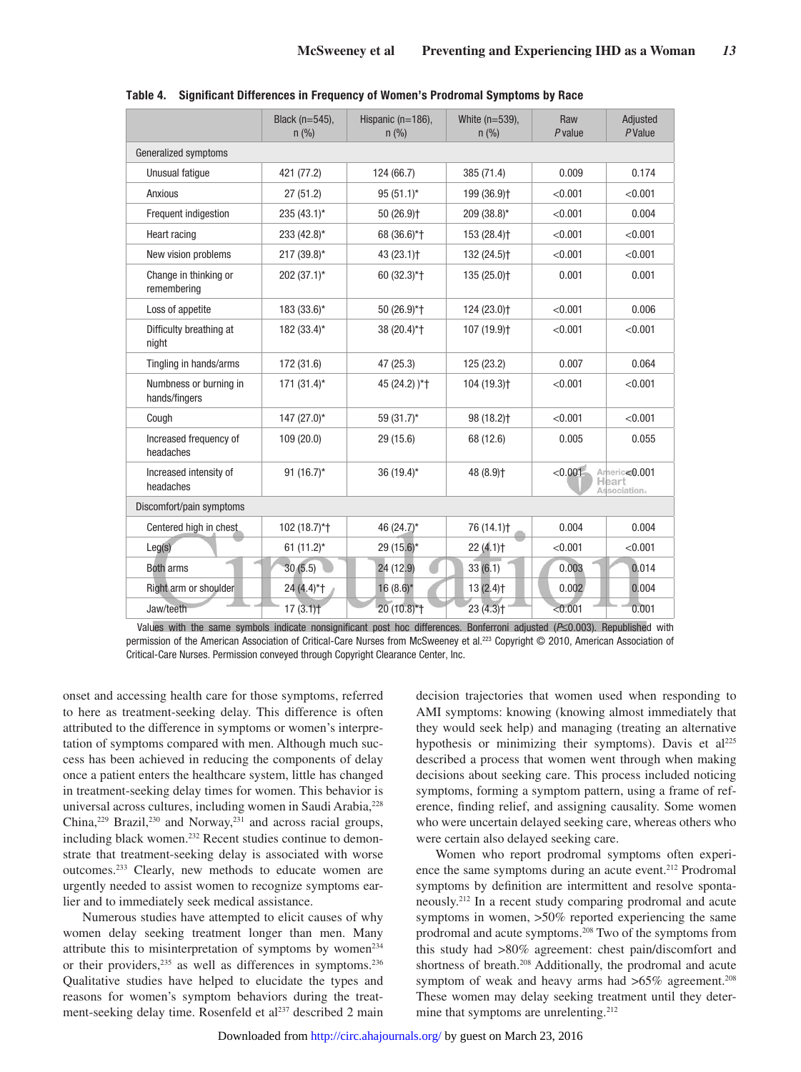|                                         | Black (n=545),<br>$n$ (%) | Hispanic $(n=186)$ .<br>n (% ) | White $(n=539)$ ,<br>n (% ) | Raw<br>$P$ value | Adjusted<br>PValue                     |  |  |
|-----------------------------------------|---------------------------|--------------------------------|-----------------------------|------------------|----------------------------------------|--|--|
| Generalized symptoms                    |                           |                                |                             |                  |                                        |  |  |
| Unusual fatique<br>421 (77.2)           |                           | 124 (66.7)                     | 385 (71.4)                  | 0.009            | 0.174                                  |  |  |
| Anxious                                 | 27(51.2)                  | $95(51.1)^*$                   | 199 (36.9) <sup>+</sup>     | < 0.001          | < 0.001                                |  |  |
| Frequent indigestion                    | $235(43.1)$ *             | 50 (26.9) <sup>+</sup>         | 209 (38.8)*                 | < 0.001          | 0.004                                  |  |  |
| Heart racing                            | 233 (42.8)*               | 68 (36.6)*+                    | 153 (28.4) <sup>+</sup>     | < 0.001          | < 0.001                                |  |  |
| New vision problems                     | $217(39.8)$ *             | $43(23.1)$ <sup>+</sup>        | 132 (24.5) <sup>+</sup>     | < 0.001          | < 0.001                                |  |  |
| Change in thinking or<br>remembering    | $202(37.1)$ *             | 60 (32.3)*+                    | 135 (25.0) <sup>+</sup>     | 0.001            | 0.001                                  |  |  |
| Loss of appetite                        | 183 (33.6)*               | 50 (26.9)*+                    | 124 (23.0) <sup>+</sup>     | < 0.001          | 0.006                                  |  |  |
| Difficulty breathing at<br>night        | 182 (33.4)*               | 38 (20.4)*+                    | 107 (19.9) <sup>+</sup>     | < 0.001          | < 0.001                                |  |  |
| Tingling in hands/arms                  | 172 (31.6)                | 47 (25.3)                      | 125 (23.2)                  | 0.007            | 0.064                                  |  |  |
| Numbness or burning in<br>hands/fingers | $171 (31.4)^*$            | 45 (24.2) )*+                  | 104 (19.3) <sup>+</sup>     | < 0.001          | < 0.001                                |  |  |
| Cough                                   | $147(27.0)$ *             | $59(31.7)^*$                   | 98 (18.2) <sup>+</sup>      | < 0.001          | < 0.001                                |  |  |
| Increased frequency of<br>headaches     | 109 (20.0)                | 29 (15.6)                      | 68 (12.6)                   | 0.005            | 0.055                                  |  |  |
| Increased intensity of<br>headaches     | 91 $(16.7)^*$             | $36(19.4)$ *                   | 48 (8.9) <sup>+</sup>       | < 0.001          | Americ <0.001<br>Heart<br>Association. |  |  |
| Discomfort/pain symptoms                |                           |                                |                             |                  |                                        |  |  |
| Centered high in chest                  | 102 (18.7)*+              | 46 (24.7)*                     | 76 (14.1) <sup>+</sup>      | 0.004            | 0.004                                  |  |  |
| Leg(s)                                  | 61 $(11.2)^*$             | 29 (15.6)*                     | 22(4.1)                     | < 0.001          | < 0.001                                |  |  |
| <b>Both arms</b>                        | 30(5.5)                   | 24 (12.9)                      | 33(6.1)                     | 0.003            | 0.014                                  |  |  |
| Right arm or shoulder                   | 24 (4.4)*+                | $16(8.6)$ *                    | $13(2.4)$ <sup>+</sup>      | 0.002            | 0.004                                  |  |  |
| Jaw/teeth                               | 17(3.1)                   | 20 (10.8)*+                    | $23(4.3)$ <sup>+</sup>      | < 0.001          | 0.001                                  |  |  |

**Table 4. Significant Differences in Frequency of Women's Prodromal Symptoms by Race**

Values with the same symbols indicate nonsignificant post hoc differences. Bonferroni adjusted (P≤0.003). Republished with permission of the American Association of Critical-Care Nurses from McSweeney et al.223 Copyright © 2010, American Association of Critical-Care Nurses. Permission conveyed through Copyright Clearance Center, Inc.

onset and accessing health care for those symptoms, referred to here as treatment-seeking delay. This difference is often attributed to the difference in symptoms or women's interpretation of symptoms compared with men. Although much success has been achieved in reducing the components of delay once a patient enters the healthcare system, little has changed in treatment-seeking delay times for women. This behavior is universal across cultures, including women in Saudi Arabia,<sup>228</sup> China,<sup>229</sup> Brazil,<sup>230</sup> and Norway,<sup>231</sup> and across racial groups, including black women.232 Recent studies continue to demonstrate that treatment-seeking delay is associated with worse outcomes.233 Clearly, new methods to educate women are urgently needed to assist women to recognize symptoms earlier and to immediately seek medical assistance.

Numerous studies have attempted to elicit causes of why women delay seeking treatment longer than men. Many attribute this to misinterpretation of symptoms by women $234$ or their providers,<sup>235</sup> as well as differences in symptoms.<sup>236</sup> Qualitative studies have helped to elucidate the types and reasons for women's symptom behaviors during the treatment-seeking delay time. Rosenfeld et al<sup>237</sup> described 2 main

decision trajectories that women used when responding to AMI symptoms: knowing (knowing almost immediately that they would seek help) and managing (treating an alternative hypothesis or minimizing their symptoms). Davis et  $al^{225}$ described a process that women went through when making decisions about seeking care. This process included noticing symptoms, forming a symptom pattern, using a frame of reference, finding relief, and assigning causality. Some women who were uncertain delayed seeking care, whereas others who were certain also delayed seeking care.

Women who report prodromal symptoms often experience the same symptoms during an acute event.<sup>212</sup> Prodromal symptoms by definition are intermittent and resolve spontaneously.212 In a recent study comparing prodromal and acute symptoms in women, >50% reported experiencing the same prodromal and acute symptoms.208 Two of the symptoms from this study had >80% agreement: chest pain/discomfort and shortness of breath.<sup>208</sup> Additionally, the prodromal and acute symptom of weak and heavy arms had  $>65\%$  agreement.<sup>208</sup> These women may delay seeking treatment until they determine that symptoms are unrelenting.<sup>212</sup>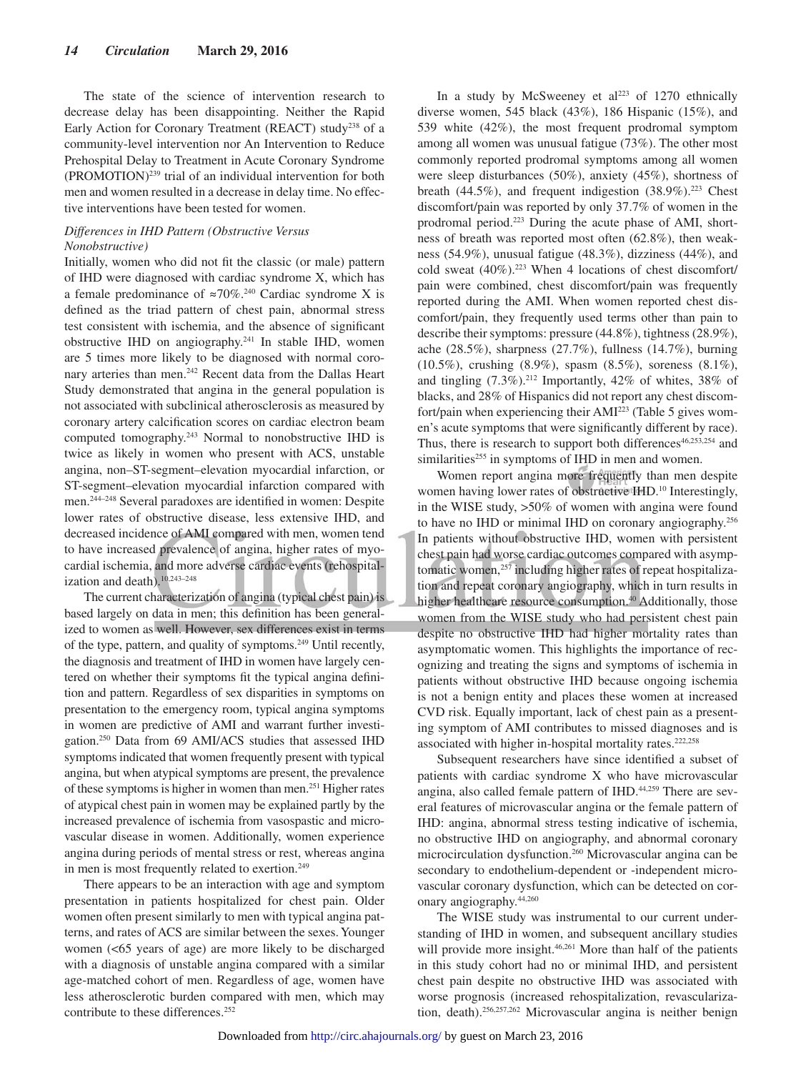The state of the science of intervention research to decrease delay has been disappointing. Neither the Rapid Early Action for Coronary Treatment (REACT) study<sup>238</sup> of a community-level intervention nor An Intervention to Reduce Prehospital Delay to Treatment in Acute Coronary Syndrome (PROMOTION)239 trial of an individual intervention for both men and women resulted in a decrease in delay time. No effective interventions have been tested for women.

#### *Differences in IHD Pattern (Obstructive Versus Nonobstructive)*

Initially, women who did not fit the classic (or male) pattern of IHD were diagnosed with cardiac syndrome X, which has a female predominance of  $\approx 70\%$ .<sup>240</sup> Cardiac syndrome X is defined as the triad pattern of chest pain, abnormal stress test consistent with ischemia, and the absence of significant obstructive IHD on angiography.241 In stable IHD, women are 5 times more likely to be diagnosed with normal coronary arteries than men.242 Recent data from the Dallas Heart Study demonstrated that angina in the general population is not associated with subclinical atherosclerosis as measured by coronary artery calcification scores on cardiac electron beam computed tomography.243 Normal to nonobstructive IHD is twice as likely in women who present with ACS, unstable angina, non–ST-segment–elevation myocardial infarction, or ST-segment–elevation myocardial infarction compared with men.244–248 Several paradoxes are identified in women: Despite lower rates of obstructive disease, less extensive IHD, and decreased incidence of AMI compared with men, women tend to have increased prevalence of angina, higher rates of myocardial ischemia, and more adverse cardiac events (rehospitalization and death).10,243–248

The current characterization of angina (typical chest pain) is based largely on data in men; this definition has been generalized to women as well. However, sex differences exist in terms of the type, pattern, and quality of symptoms.249 Until recently, the diagnosis and treatment of IHD in women have largely centered on whether their symptoms fit the typical angina definition and pattern. Regardless of sex disparities in symptoms on presentation to the emergency room, typical angina symptoms in women are predictive of AMI and warrant further investigation.250 Data from 69 AMI/ACS studies that assessed IHD symptoms indicated that women frequently present with typical angina, but when atypical symptoms are present, the prevalence of these symptoms is higher in women than men.251 Higher rates of atypical chest pain in women may be explained partly by the increased prevalence of ischemia from vasospastic and microvascular disease in women. Additionally, women experience angina during periods of mental stress or rest, whereas angina in men is most frequently related to exertion.<sup>249</sup>

There appears to be an interaction with age and symptom presentation in patients hospitalized for chest pain. Older women often present similarly to men with typical angina patterns, and rates of ACS are similar between the sexes. Younger women (<65 years of age) are more likely to be discharged with a diagnosis of unstable angina compared with a similar age-matched cohort of men. Regardless of age, women have less atherosclerotic burden compared with men, which may contribute to these differences.<sup>252</sup>

In a study by McSweeney et  $al^{223}$  of 1270 ethnically diverse women, 545 black (43%), 186 Hispanic (15%), and 539 white (42%), the most frequent prodromal symptom among all women was unusual fatigue (73%). The other most commonly reported prodromal symptoms among all women were sleep disturbances (50%), anxiety (45%), shortness of breath (44.5%), and frequent indigestion  $(38.9\%)$ .<sup>223</sup> Chest discomfort/pain was reported by only 37.7% of women in the prodromal period.223 During the acute phase of AMI, shortness of breath was reported most often (62.8%), then weakness (54.9%), unusual fatigue (48.3%), dizziness (44%), and cold sweat  $(40\%)$ .<sup>223</sup> When 4 locations of chest discomfort/ pain were combined, chest discomfort/pain was frequently reported during the AMI. When women reported chest discomfort/pain, they frequently used terms other than pain to describe their symptoms: pressure (44.8%), tightness (28.9%), ache (28.5%), sharpness (27.7%), fullness (14.7%), burning (10.5%), crushing (8.9%), spasm (8.5%), soreness (8.1%), and tingling  $(7.3\%)$ <sup>212</sup> Importantly, 42% of whites, 38% of blacks, and 28% of Hispanics did not report any chest discomfort/pain when experiencing their AMI223 (Table 5 gives women's acute symptoms that were significantly different by race). Thus, there is research to support both differences $46,253,254$  and similarities<sup>255</sup> in symptoms of IHD in men and women.

Women report angina more frequently than men despite women having lower rates of obstructive IHD.<sup>10</sup> Interestingly, in the WISE study, >50% of women with angina were found to have no IHD or minimal IHD on coronary angiography.256 In patients without obstructive IHD, women with persistent chest pain had worse cardiac outcomes compared with asymptomatic women,<sup>257</sup> including higher rates of repeat hospitalization and repeat coronary angiography, which in turn results in higher healthcare resource consumption.<sup>40</sup> Additionally, those women from the WISE study who had persistent chest pain despite no obstructive IHD had higher mortality rates than asymptomatic women. This highlights the importance of recognizing and treating the signs and symptoms of ischemia in patients without obstructive IHD because ongoing ischemia is not a benign entity and places these women at increased CVD risk. Equally important, lack of chest pain as a presenting symptom of AMI contributes to missed diagnoses and is associated with higher in-hospital mortality rates.<sup>222,258</sup>

Subsequent researchers have since identified a subset of patients with cardiac syndrome X who have microvascular angina, also called female pattern of IHD.<sup>44,259</sup> There are several features of microvascular angina or the female pattern of IHD: angina, abnormal stress testing indicative of ischemia, no obstructive IHD on angiography, and abnormal coronary microcirculation dysfunction.260 Microvascular angina can be secondary to endothelium-dependent or -independent microvascular coronary dysfunction, which can be detected on coronary angiography.44,260

The WISE study was instrumental to our current understanding of IHD in women, and subsequent ancillary studies will provide more insight.<sup>46,261</sup> More than half of the patients in this study cohort had no or minimal IHD, and persistent chest pain despite no obstructive IHD was associated with worse prognosis (increased rehospitalization, revascularization, death).256,257,262 Microvascular angina is neither benign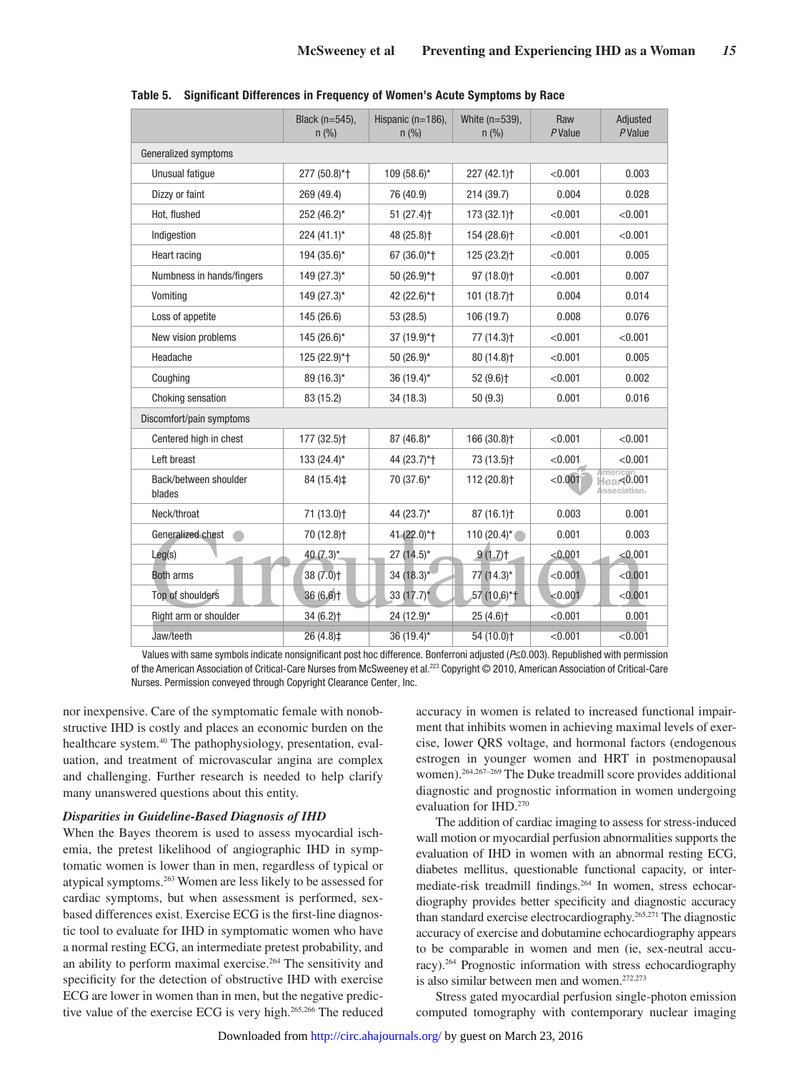|                                 | Black (n=545),<br>n (% ) | Hispanic (n=186),<br>n (% ) | White (n=539),<br>$n$ (%) | Raw<br>PValue | Adjusted<br>PValue                     |  |
|---------------------------------|--------------------------|-----------------------------|---------------------------|---------------|----------------------------------------|--|
| Generalized symptoms            |                          |                             |                           |               |                                        |  |
| Unusual fatigue                 | 277 (50.8)*+             | $109(58.6)$ *               | 227 (42.1) <sup>+</sup>   | < 0.001       | 0.003                                  |  |
| Dizzy or faint                  | 269 (49.4)               | 76 (40.9)                   | 214 (39.7)                | 0.004         | 0.028                                  |  |
| Hot, flushed                    | 252 (46.2)*              | $51(27.4)$ <sup>+</sup>     | $173(32.1)$ <sup>+</sup>  | < 0.001       | < 0.001                                |  |
| Indigestion                     | $224(41.1)^*$            | 48 (25.8) <sup>+</sup>      | 154 (28.6) <sup>+</sup>   | < 0.001       | < 0.001                                |  |
| Heart racing                    | 194 (35.6)*              | 67 (36.0)*+                 | 125 (23.2) <sup>+</sup>   | < 0.001       | 0.005                                  |  |
| Numbness in hands/fingers       | $149(27.3)$ *            | 50 (26.9)*+                 | 97 (18.0) <sup>+</sup>    | < 0.001       | 0.007                                  |  |
| Vomiting                        | $149(27.3)$ *            | 42 (22.6)*+                 | $101(18.7)$ <sup>+</sup>  | 0.004         | 0.014                                  |  |
| Loss of appetite                | 145 (26.6)               | 53 (28.5)                   | 106 (19.7)                | 0.008         | 0.076                                  |  |
| New vision problems             | $145(26.6)$ *            | 37 (19.9)*+                 | 77 (14.3) <sup>+</sup>    | < 0.001       | < 0.001                                |  |
| Headache                        | 125 (22.9)*+             | $50(26.9)$ *                | 80 (14.8) <sup>+</sup>    | < 0.001       | 0.005                                  |  |
| Coughing                        | 89 (16.3)*               | 36 (19.4)*                  | 52 (9.6) <sup>+</sup>     | < 0.001       | 0.002                                  |  |
| Choking sensation               | 83 (15.2)                | 34 (18.3)                   | 50(9.3)                   | 0.001         | 0.016                                  |  |
| Discomfort/pain symptoms        |                          |                             |                           |               |                                        |  |
| Centered high in chest          | 177 (32.5) <sup>+</sup>  | 87 (46.8)*                  | 166 (30.8) <sup>+</sup>   | < 0.001       | < 0.001                                |  |
| Left breast                     | $133(24.4)$ *            | 44 (23.7)*+                 | 73 (13.5) <sup>+</sup>    | < 0.001       | < 0.001                                |  |
| Back/between shoulder<br>blades | 84 (15.4)‡               | 70 (37.6)*                  | 112 (20.8) <sup>+</sup>   | < 0.001       | Americar<br>Hear<0.001<br>Association. |  |
| Neck/throat                     | 71 (13.0) <sup>+</sup>   | 44 $(23.7)^*$               | 87(16.1)                  | 0.003         | 0.001                                  |  |
| Generalized chest               | 70 (12.8) <sup>+</sup>   | 41 (22.0)*†                 | 110 $(20.4)^*$            | 0.001         | 0.003                                  |  |
| Leg(s)                          | 40 $(7.3)^*$             | $27(14.5)^*$                | 9(1.7)                    | < 0.001       | < 0.001                                |  |
| <b>Both arms</b>                | $38(7.0)$ <sup>+</sup>   | $34(18.3)$ *                | 77 (14.3)*                | < 0.001       | < 0.001                                |  |
| Top of shoulders                | $36(6.6)$ <sup>+</sup>   | 33 (17.7)*                  | 57 (10.6)*†               | < 0.001       | < 0.001                                |  |
| Right arm or shoulder           | $34(6.2)$ <sup>+</sup>   | 24 $(12.9)$ *               | $25(4.6)$ <sup>+</sup>    | < 0.001       | 0.001                                  |  |
| Jaw/teeth                       | 26(4.8)                  | $36(19.4)^{*}$              | 54(10.0)                  | < 0.001       | < 0.001                                |  |

**Table 5. Significant Differences in Frequency of Women's Acute Symptoms by Race**

Values with same symbols indicate nonsignificant post hoc difference. Bonferroni adjusted (P≤0.003). Republished with permission of the American Association of Critical-Care Nurses from McSweeney et al.223 Copyright © 2010, American Association of Critical-Care Nurses. Permission conveyed through Copyright Clearance Center, Inc.

nor inexpensive. Care of the symptomatic female with nonobstructive IHD is costly and places an economic burden on the healthcare system.<sup>40</sup> The pathophysiology, presentation, evaluation, and treatment of microvascular angina are complex and challenging. Further research is needed to help clarify many unanswered questions about this entity.

#### *Disparities in Guideline-Based Diagnosis of IHD*

When the Bayes theorem is used to assess myocardial ischemia, the pretest likelihood of angiographic IHD in symptomatic women is lower than in men, regardless of typical or atypical symptoms.263 Women are less likely to be assessed for cardiac symptoms, but when assessment is performed, sexbased differences exist. Exercise ECG is the first-line diagnostic tool to evaluate for IHD in symptomatic women who have a normal resting ECG, an intermediate pretest probability, and an ability to perform maximal exercise.<sup>264</sup> The sensitivity and specificity for the detection of obstructive IHD with exercise ECG are lower in women than in men, but the negative predictive value of the exercise ECG is very high.265,266 The reduced accuracy in women is related to increased functional impairment that inhibits women in achieving maximal levels of exercise, lower QRS voltage, and hormonal factors (endogenous estrogen in younger women and HRT in postmenopausal women).264,267–269 The Duke treadmill score provides additional diagnostic and prognostic information in women undergoing evaluation for IHD.270

The addition of cardiac imaging to assess for stress-induced wall motion or myocardial perfusion abnormalities supports the evaluation of IHD in women with an abnormal resting ECG, diabetes mellitus, questionable functional capacity, or intermediate-risk treadmill findings.264 In women, stress echocardiography provides better specificity and diagnostic accuracy than standard exercise electrocardiography.265,271 The diagnostic accuracy of exercise and dobutamine echocardiography appears to be comparable in women and men (ie, sex-neutral accuracy).264 Prognostic information with stress echocardiography is also similar between men and women.272,273

Stress gated myocardial perfusion single-photon emission computed tomography with contemporary nuclear imaging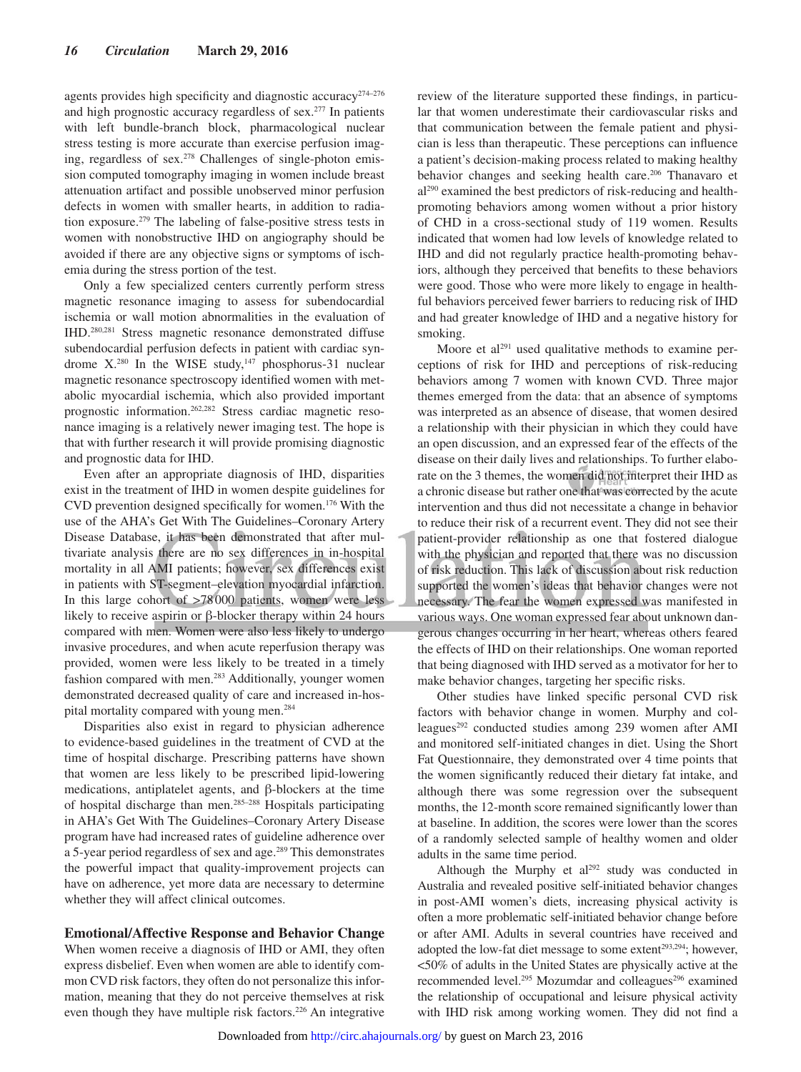agents provides high specificity and diagnostic accuracy<sup>274–276</sup> and high prognostic accuracy regardless of sex.277 In patients with left bundle-branch block, pharmacological nuclear stress testing is more accurate than exercise perfusion imaging, regardless of sex.<sup>278</sup> Challenges of single-photon emission computed tomography imaging in women include breast attenuation artifact and possible unobserved minor perfusion defects in women with smaller hearts, in addition to radiation exposure.279 The labeling of false-positive stress tests in women with nonobstructive IHD on angiography should be avoided if there are any objective signs or symptoms of ischemia during the stress portion of the test.

Only a few specialized centers currently perform stress magnetic resonance imaging to assess for subendocardial ischemia or wall motion abnormalities in the evaluation of IHD.280,281 Stress magnetic resonance demonstrated diffuse subendocardial perfusion defects in patient with cardiac syndrome X.<sup>280</sup> In the WISE study,<sup>147</sup> phosphorus-31 nuclear magnetic resonance spectroscopy identified women with metabolic myocardial ischemia, which also provided important prognostic information.262,282 Stress cardiac magnetic resonance imaging is a relatively newer imaging test. The hope is that with further research it will provide promising diagnostic and prognostic data for IHD.

Even after an appropriate diagnosis of IHD, disparities exist in the treatment of IHD in women despite guidelines for CVD prevention designed specifically for women.176 With the use of the AHA's Get With The Guidelines–Coronary Artery Disease Database, it has been demonstrated that after multivariate analysis there are no sex differences in in-hospital mortality in all AMI patients; however, sex differences exist in patients with ST-segment–elevation myocardial infarction. In this large cohort of >78000 patients, women were less likely to receive aspirin or β-blocker therapy within 24 hours compared with men. Women were also less likely to undergo invasive procedures, and when acute reperfusion therapy was provided, women were less likely to be treated in a timely fashion compared with men.<sup>283</sup> Additionally, younger women demonstrated decreased quality of care and increased in-hospital mortality compared with young men.284

Disparities also exist in regard to physician adherence to evidence-based guidelines in the treatment of CVD at the time of hospital discharge. Prescribing patterns have shown that women are less likely to be prescribed lipid-lowering medications, antiplatelet agents, and β-blockers at the time of hospital discharge than men.285–288 Hospitals participating in AHA's Get With The Guidelines–Coronary Artery Disease program have had increased rates of guideline adherence over a 5-year period regardless of sex and age.289 This demonstrates the powerful impact that quality-improvement projects can have on adherence, yet more data are necessary to determine whether they will affect clinical outcomes.

# **Emotional/Affective Response and Behavior Change**

When women receive a diagnosis of IHD or AMI, they often express disbelief. Even when women are able to identify common CVD risk factors, they often do not personalize this information, meaning that they do not perceive themselves at risk even though they have multiple risk factors.<sup>226</sup> An integrative

review of the literature supported these findings, in particular that women underestimate their cardiovascular risks and that communication between the female patient and physician is less than therapeutic. These perceptions can influence a patient's decision-making process related to making healthy behavior changes and seeking health care.<sup>206</sup> Thanavaro et al290 examined the best predictors of risk-reducing and healthpromoting behaviors among women without a prior history of CHD in a cross-sectional study of 119 women. Results indicated that women had low levels of knowledge related to IHD and did not regularly practice health-promoting behaviors, although they perceived that benefits to these behaviors were good. Those who were more likely to engage in healthful behaviors perceived fewer barriers to reducing risk of IHD and had greater knowledge of IHD and a negative history for smoking.

Moore et al<sup>291</sup> used qualitative methods to examine perceptions of risk for IHD and perceptions of risk-reducing behaviors among 7 women with known CVD. Three major themes emerged from the data: that an absence of symptoms was interpreted as an absence of disease, that women desired a relationship with their physician in which they could have an open discussion, and an expressed fear of the effects of the disease on their daily lives and relationships. To further elaborate on the 3 themes, the women did not interpret their IHD as a chronic disease but rather one that was corrected by the acute intervention and thus did not necessitate a change in behavior to reduce their risk of a recurrent event. They did not see their patient-provider relationship as one that fostered dialogue with the physician and reported that there was no discussion of risk reduction. This lack of discussion about risk reduction supported the women's ideas that behavior changes were not necessary. The fear the women expressed was manifested in various ways. One woman expressed fear about unknown dangerous changes occurring in her heart, whereas others feared the effects of IHD on their relationships. One woman reported that being diagnosed with IHD served as a motivator for her to make behavior changes, targeting her specific risks.

Other studies have linked specific personal CVD risk factors with behavior change in women. Murphy and colleagues<sup>292</sup> conducted studies among 239 women after AMI and monitored self-initiated changes in diet. Using the Short Fat Questionnaire, they demonstrated over 4 time points that the women significantly reduced their dietary fat intake, and although there was some regression over the subsequent months, the 12-month score remained significantly lower than at baseline. In addition, the scores were lower than the scores of a randomly selected sample of healthy women and older adults in the same time period.

Although the Murphy et al<sup>292</sup> study was conducted in Australia and revealed positive self-initiated behavior changes in post-AMI women's diets, increasing physical activity is often a more problematic self-initiated behavior change before or after AMI. Adults in several countries have received and adopted the low-fat diet message to some extent<sup>293,294</sup>; however, <50% of adults in the United States are physically active at the recommended level.<sup>295</sup> Mozumdar and colleagues<sup>296</sup> examined the relationship of occupational and leisure physical activity with IHD risk among working women. They did not find a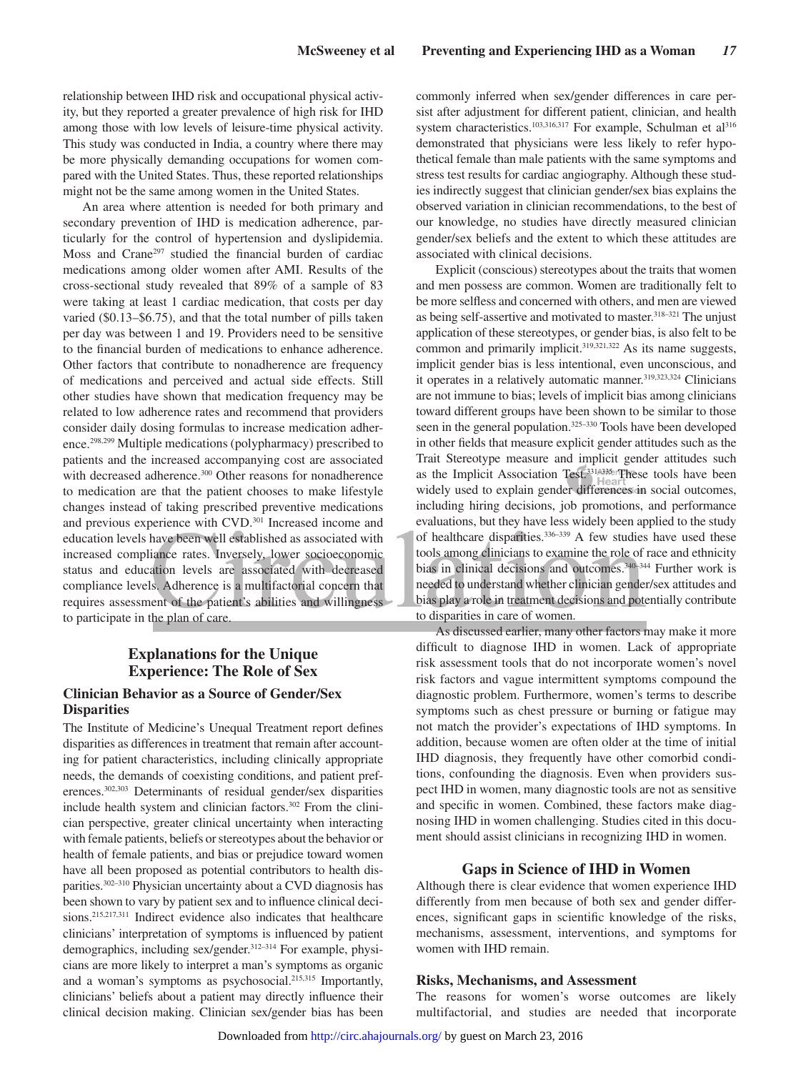relationship between IHD risk and occupational physical activity, but they reported a greater prevalence of high risk for IHD among those with low levels of leisure-time physical activity. This study was conducted in India, a country where there may be more physically demanding occupations for women compared with the United States. Thus, these reported relationships might not be the same among women in the United States.

An area where attention is needed for both primary and secondary prevention of IHD is medication adherence, particularly for the control of hypertension and dyslipidemia. Moss and Crane297 studied the financial burden of cardiac medications among older women after AMI. Results of the cross-sectional study revealed that 89% of a sample of 83 were taking at least 1 cardiac medication, that costs per day varied (\$0.13–\$6.75), and that the total number of pills taken per day was between 1 and 19. Providers need to be sensitive to the financial burden of medications to enhance adherence. Other factors that contribute to nonadherence are frequency of medications and perceived and actual side effects. Still other studies have shown that medication frequency may be related to low adherence rates and recommend that providers consider daily dosing formulas to increase medication adherence.298,299 Multiple medications (polypharmacy) prescribed to patients and the increased accompanying cost are associated with decreased adherence.<sup>300</sup> Other reasons for nonadherence to medication are that the patient chooses to make lifestyle changes instead of taking prescribed preventive medications and previous experience with CVD.<sup>301</sup> Increased income and education levels have been well established as associated with increased compliance rates. Inversely, lower socioeconomic status and education levels are associated with decreased compliance levels. Adherence is a multifactorial concern that requires assessment of the patient's abilities and willingness to participate in the plan of care.

# **Explanations for the Unique Experience: The Role of Sex**

# **Clinician Behavior as a Source of Gender/Sex Disparities**

The Institute of Medicine's Unequal Treatment report defines disparities as differences in treatment that remain after accounting for patient characteristics, including clinically appropriate needs, the demands of coexisting conditions, and patient preferences.302,303 Determinants of residual gender/sex disparities include health system and clinician factors.<sup>302</sup> From the clinician perspective, greater clinical uncertainty when interacting with female patients, beliefs or stereotypes about the behavior or health of female patients, and bias or prejudice toward women have all been proposed as potential contributors to health disparities.302–310 Physician uncertainty about a CVD diagnosis has been shown to vary by patient sex and to influence clinical decisions.<sup>215,217,311</sup> Indirect evidence also indicates that healthcare clinicians' interpretation of symptoms is influenced by patient demographics, including sex/gender.<sup>312–314</sup> For example, physicians are more likely to interpret a man's symptoms as organic and a woman's symptoms as psychosocial.<sup>215,315</sup> Importantly, clinicians' beliefs about a patient may directly influence their clinical decision making. Clinician sex/gender bias has been commonly inferred when sex/gender differences in care persist after adjustment for different patient, clinician, and health system characteristics.<sup>103,316,317</sup> For example, Schulman et al<sup>316</sup> demonstrated that physicians were less likely to refer hypothetical female than male patients with the same symptoms and stress test results for cardiac angiography. Although these studies indirectly suggest that clinician gender/sex bias explains the observed variation in clinician recommendations, to the best of our knowledge, no studies have directly measured clinician gender/sex beliefs and the extent to which these attitudes are associated with clinical decisions.

Explicit (conscious) stereotypes about the traits that women and men possess are common. Women are traditionally felt to be more selfless and concerned with others, and men are viewed as being self-assertive and motivated to master.<sup>318-321</sup> The unjust application of these stereotypes, or gender bias, is also felt to be common and primarily implicit.<sup>319,321,322</sup> As its name suggests, implicit gender bias is less intentional, even unconscious, and it operates in a relatively automatic manner.<sup>319,323,324</sup> Clinicians are not immune to bias; levels of implicit bias among clinicians toward different groups have been shown to be similar to those seen in the general population.<sup>325–330</sup> Tools have been developed in other fields that measure explicit gender attitudes such as the Trait Stereotype measure and implicit gender attitudes such as the Implicit Association Test.331–335 These tools have been widely used to explain gender differences in social outcomes, including hiring decisions, job promotions, and performance evaluations, but they have less widely been applied to the study of healthcare disparities.336–339 A few studies have used these tools among clinicians to examine the role of race and ethnicity bias in clinical decisions and outcomes.<sup>340–344</sup> Further work is needed to understand whether clinician gender/sex attitudes and bias play a role in treatment decisions and potentially contribute to disparities in care of women.

As discussed earlier, many other factors may make it more difficult to diagnose IHD in women. Lack of appropriate risk assessment tools that do not incorporate women's novel risk factors and vague intermittent symptoms compound the diagnostic problem. Furthermore, women's terms to describe symptoms such as chest pressure or burning or fatigue may not match the provider's expectations of IHD symptoms. In addition, because women are often older at the time of initial IHD diagnosis, they frequently have other comorbid conditions, confounding the diagnosis. Even when providers suspect IHD in women, many diagnostic tools are not as sensitive and specific in women. Combined, these factors make diagnosing IHD in women challenging. Studies cited in this document should assist clinicians in recognizing IHD in women.

#### **Gaps in Science of IHD in Women**

Although there is clear evidence that women experience IHD differently from men because of both sex and gender differences, significant gaps in scientific knowledge of the risks, mechanisms, assessment, interventions, and symptoms for women with IHD remain.

#### **Risks, Mechanisms, and Assessment**

The reasons for women's worse outcomes are likely multifactorial, and studies are needed that incorporate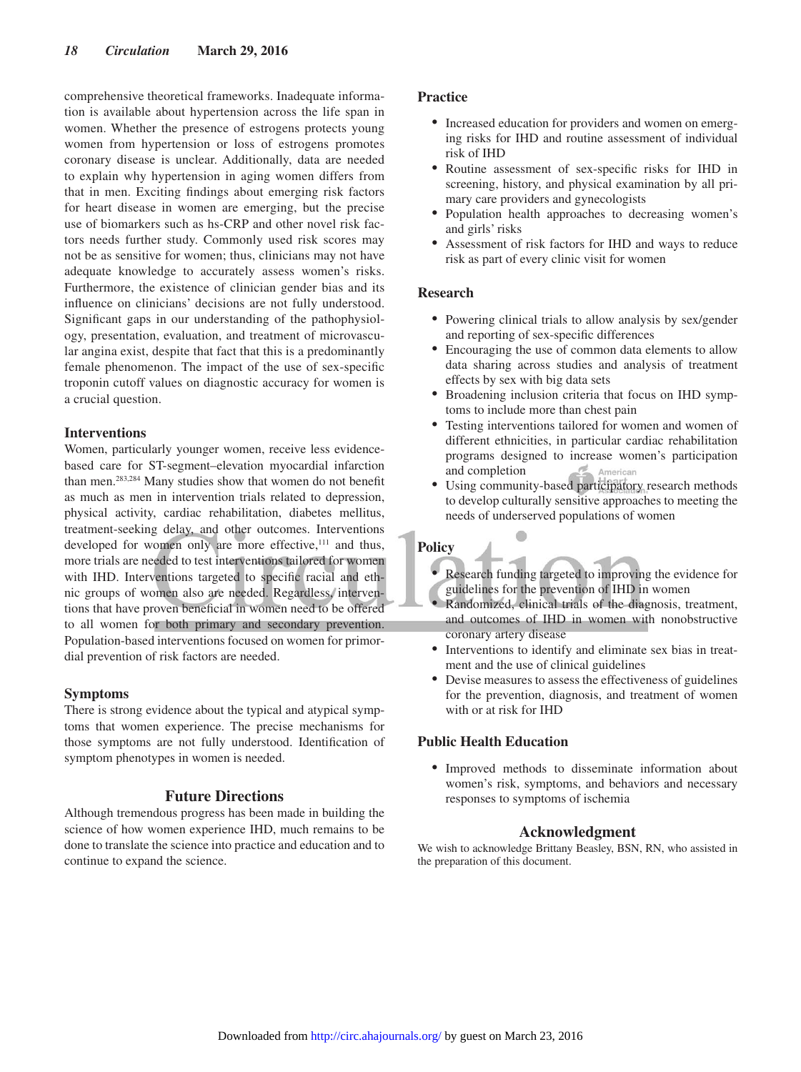comprehensive theoretical frameworks. Inadequate information is available about hypertension across the life span in women. Whether the presence of estrogens protects young women from hypertension or loss of estrogens promotes coronary disease is unclear. Additionally, data are needed to explain why hypertension in aging women differs from that in men. Exciting findings about emerging risk factors for heart disease in women are emerging, but the precise use of biomarkers such as hs-CRP and other novel risk factors needs further study. Commonly used risk scores may not be as sensitive for women; thus, clinicians may not have adequate knowledge to accurately assess women's risks. Furthermore, the existence of clinician gender bias and its influence on clinicians' decisions are not fully understood. Significant gaps in our understanding of the pathophysiology, presentation, evaluation, and treatment of microvascular angina exist, despite that fact that this is a predominantly female phenomenon. The impact of the use of sex-specific troponin cutoff values on diagnostic accuracy for women is a crucial question.

#### **Interventions**

Women, particularly younger women, receive less evidencebased care for ST-segment–elevation myocardial infarction than men.283,284 Many studies show that women do not benefit as much as men in intervention trials related to depression, physical activity, cardiac rehabilitation, diabetes mellitus, treatment-seeking delay, and other outcomes. Interventions developed for women only are more effective,<sup>111</sup> and thus, more trials are needed to test interventions tailored for women with IHD. Interventions targeted to specific racial and ethnic groups of women also are needed. Regardless, interventions that have proven beneficial in women need to be offered to all women for both primary and secondary prevention. Population-based interventions focused on women for primordial prevention of risk factors are needed.

#### **Symptoms**

There is strong evidence about the typical and atypical symptoms that women experience. The precise mechanisms for those symptoms are not fully understood. Identification of symptom phenotypes in women is needed.

#### **Future Directions**

Although tremendous progress has been made in building the science of how women experience IHD, much remains to be done to translate the science into practice and education and to continue to expand the science.

# **Practice**

- Increased education for providers and women on emerging risks for IHD and routine assessment of individual risk of IHD
- Routine assessment of sex-specific risks for IHD in screening, history, and physical examination by all primary care providers and gynecologists
- Population health approaches to decreasing women's and girls' risks
- • Assessment of risk factors for IHD and ways to reduce risk as part of every clinic visit for women

#### **Research**

- Powering clinical trials to allow analysis by sex/gender and reporting of sex-specific differences
- Encouraging the use of common data elements to allow data sharing across studies and analysis of treatment effects by sex with big data sets
- Broadening inclusion criteria that focus on IHD symptoms to include more than chest pain
- Testing interventions tailored for women and women of different ethnicities, in particular cardiac rehabilitation programs designed to increase women's participation and completion
- • Using community-based participatory research methods to develop culturally sensitive approaches to meeting the needs of underserved populations of women

# **Policy**

- Research funding targeted to improving the evidence for guidelines for the prevention of IHD in women
- Randomized, clinical trials of the diagnosis, treatment, and outcomes of IHD in women with nonobstructive coronary artery disease
- Interventions to identify and eliminate sex bias in treatment and the use of clinical guidelines
- Devise measures to assess the effectiveness of guidelines for the prevention, diagnosis, and treatment of women with or at risk for IHD

# **Public Health Education**

• Improved methods to disseminate information about women's risk, symptoms, and behaviors and necessary responses to symptoms of ischemia

#### **Acknowledgment**

We wish to acknowledge Brittany Beasley, BSN, RN, who assisted in the preparation of this document.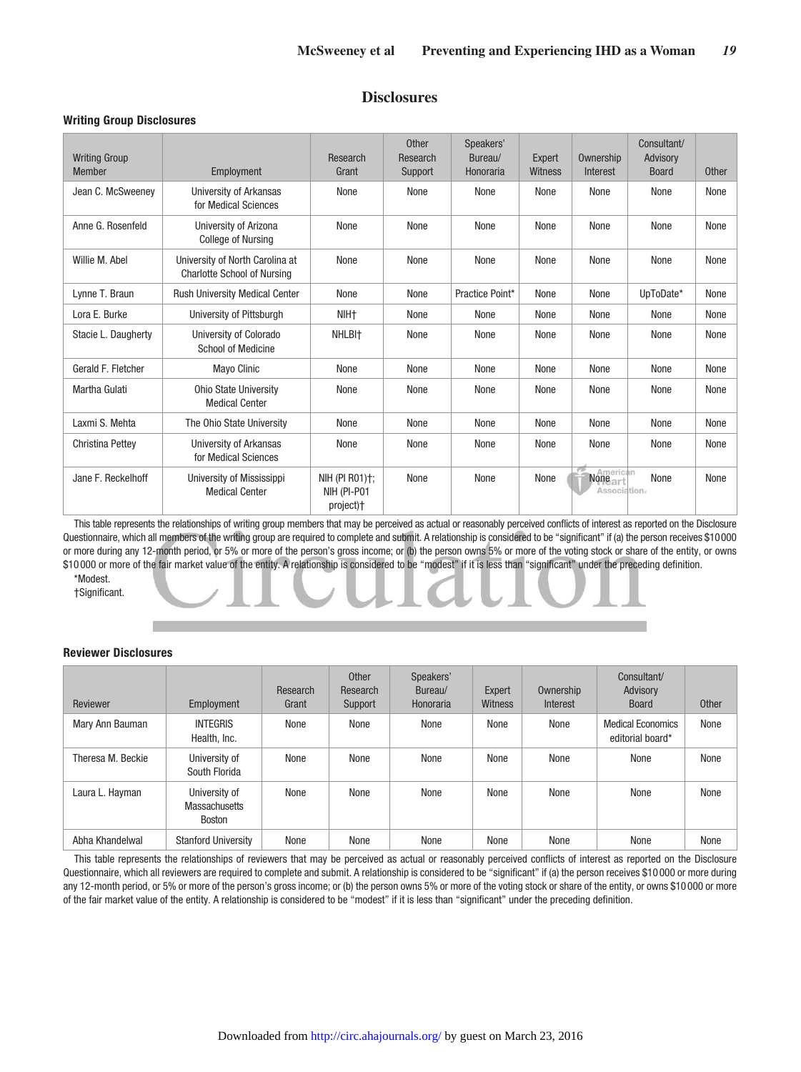# **Disclosures**

#### **Writing Group Disclosures**

| <b>Writing Group</b><br><b>Member</b> | Employment                                                            | Research<br>Grant                          | <b>Other</b><br>Research<br>Support | Speakers'<br>Bureau/<br>Honoraria | Expert<br>Witness | Ownership<br>Interest    | Consultant/<br>Advisory<br><b>Board</b> | <b>Other</b> |
|---------------------------------------|-----------------------------------------------------------------------|--------------------------------------------|-------------------------------------|-----------------------------------|-------------------|--------------------------|-----------------------------------------|--------------|
| Jean C. McSweeney                     | University of Arkansas<br>for Medical Sciences                        | None                                       | None                                | None                              | None              | None                     | None                                    | None         |
| Anne G. Rosenfeld                     | University of Arizona<br><b>College of Nursing</b>                    | None                                       | None                                | None                              | None              | None                     | None                                    | None         |
| Willie M. Abel                        | University of North Carolina at<br><b>Charlotte School of Nursing</b> | None                                       | None                                | None                              | None              | None                     | None                                    | None         |
| Lynne T. Braun                        | Rush University Medical Center                                        | None                                       | None                                | Practice Point*                   | None              | None                     | UpToDate*                               | None         |
| Lora E. Burke                         | University of Pittsburgh                                              | NIH <sub>+</sub>                           | None                                | None                              | None              | None                     | None                                    | None         |
| Stacie L. Daugherty                   | University of Colorado<br><b>School of Medicine</b>                   | NHLBI <sup>+</sup>                         | None                                | None                              | None              | None                     | None                                    | None         |
| Gerald F. Fletcher                    | <b>Mayo Clinic</b>                                                    | None                                       | None                                | None                              | None              | None                     | None                                    | None         |
| Martha Gulati                         | Ohio State University<br><b>Medical Center</b>                        | None                                       | None                                | None                              | None              | None                     | None                                    | None         |
| Laxmi S. Mehta                        | The Ohio State University                                             | None                                       | None                                | None                              | None              | None                     | None                                    | None         |
| <b>Christina Pettey</b>               | University of Arkansas<br>for Medical Sciences                        | None                                       | None                                | None                              | None              | None                     | None                                    | None         |
| Jane F. Reckelhoff                    | University of Mississippi<br><b>Medical Center</b>                    | NIH (PI R01)†;<br>NIH (PI-P01<br>project)+ | None                                | None                              | None              | None art<br>Association. | None                                    | None         |

This table represents the relationships of writing group members that may be perceived as actual or reasonably perceived conflicts of interest as reported on the Disclosure Questionnaire, which all members of the writing group are required to complete and submit. A relationship is considered to be "significant" if (a) the person receives \$10000 or more during any 12-month period, or 5% or more of the person's gross income; or (b) the person owns 5% or more of the voting stock or share of the entity, or owns \$10 000 or more of the fair market value of the entity. A relationship is considered to be "modest" if it is less than "significant" under the preceding definition. \*Modest.

†Significant.

#### **Reviewer Disclosures**

| Reviewer          | Employment                                             | Research<br>Grant | <b>Other</b><br>Research<br>Support | Speakers'<br>Bureau/<br>Honoraria | Expert<br>Witness | Ownership<br>Interest | Consultant/<br>Advisory<br><b>Board</b>      | <b>Other</b> |
|-------------------|--------------------------------------------------------|-------------------|-------------------------------------|-----------------------------------|-------------------|-----------------------|----------------------------------------------|--------------|
| Mary Ann Bauman   | <b>INTEGRIS</b><br>Health, Inc.                        | None              | None                                | None                              | None              | None                  | <b>Medical Economics</b><br>editorial board* | None         |
| Theresa M. Beckie | University of<br>South Florida                         | None              | None                                | None                              | None              | None                  | None                                         | None         |
| Laura L. Hayman   | University of<br><b>Massachusetts</b><br><b>Boston</b> | None              | None                                | None                              | None              | None                  | None                                         | None         |
| Abha Khandelwal   | <b>Stanford University</b>                             | None              | None                                | None                              | None              | None                  | None                                         | None         |

This table represents the relationships of reviewers that may be perceived as actual or reasonably perceived conflicts of interest as reported on the Disclosure Questionnaire, which all reviewers are required to complete and submit. A relationship is considered to be "significant" if (a) the person receives \$10 000 or more during any 12-month period, or 5% or more of the person's gross income; or (b) the person owns 5% or more of the voting stock or share of the entity, or owns \$10000 or more of the fair market value of the entity. A relationship is considered to be "modest" if it is less than "significant" under the preceding definition.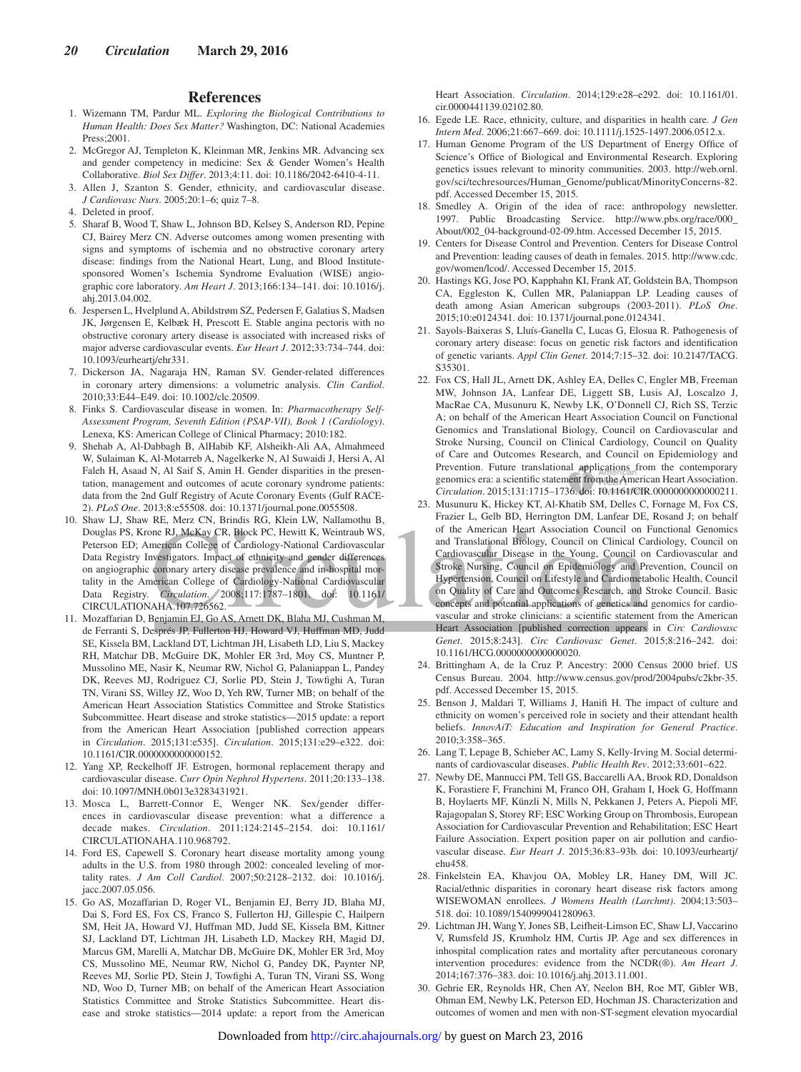#### **References**

- 1. Wizemann TM, Pardur ML. *Exploring the Biological Contributions to Human Health: Does Sex Matter?* Washington, DC: National Academies Press;2001.
- 2. McGregor AJ, Templeton K, Kleinman MR, Jenkins MR. Advancing sex and gender competency in medicine: Sex & Gender Women's Health Collaborative. *Biol Sex Differ*. 2013;4:11. doi: 10.1186/2042-6410-4-11.
- 3. Allen J, Szanton S. Gender, ethnicity, and cardiovascular disease. *J Cardiovasc Nurs*. 2005;20:1–6; quiz 7–8.
- 4. Deleted in proof.
- 5. Sharaf B, Wood T, Shaw L, Johnson BD, Kelsey S, Anderson RD, Pepine CJ, Bairey Merz CN. Adverse outcomes among women presenting with signs and symptoms of ischemia and no obstructive coronary artery disease: findings from the National Heart, Lung, and Blood Institutesponsored Women's Ischemia Syndrome Evaluation (WISE) angiographic core laboratory. *Am Heart J*. 2013;166:134–141. doi: 10.1016/j. ahj.2013.04.002.
- 6. Jespersen L, Hvelplund A, Abildstrøm SZ, Pedersen F, Galatius S, Madsen JK, Jørgensen E, Kelbæk H, Prescott E. Stable angina pectoris with no obstructive coronary artery disease is associated with increased risks of major adverse cardiovascular events. *Eur Heart J*. 2012;33:734–744. doi: 10.1093/eurheartj/ehr331.
- 7. Dickerson JA, Nagaraja HN, Raman SV. Gender-related differences in coronary artery dimensions: a volumetric analysis. *Clin Cardiol*. 2010;33:E44–E49. doi: 10.1002/clc.20509.
- 8. Finks S. Cardiovascular disease in women. In: *Pharmacotherapy Self-Assessment Program, Seventh Edition (PSAP-VII), Book 1 (Cardiology)*. Lenexa, KS: American College of Clinical Pharmacy; 2010:182.
- 9. Shehab A, Al-Dabbagh B, AlHabib KF, Alsheikh-Ali AA, Almahmeed W, Sulaiman K, Al-Motarreb A, Nagelkerke N, Al Suwaidi J, Hersi A, Al Faleh H, Asaad N, Al Saif S, Amin H. Gender disparities in the presentation, management and outcomes of acute coronary syndrome patients: data from the 2nd Gulf Registry of Acute Coronary Events (Gulf RACE-2). *PLoS One*. 2013;8:e55508. doi: 10.1371/journal.pone.0055508.
- 10. Shaw LJ, Shaw RE, Merz CN, Brindis RG, Klein LW, Nallamothu B, Douglas PS, Krone RJ, McKay CR, Block PC, Hewitt K, Weintraub WS, Peterson ED; American College of Cardiology-National Cardiovascular Data Registry Investigators. Impact of ethnicity and gender differences on angiographic coronary artery disease prevalence and in-hospital mortality in the American College of Cardiology-National Cardiovascular Data Registry. *Circulation*. 2008;117:1787–1801. doi: 10.1161/ CIRCULATIONAHA.107.726562.
- 11. Mozaffarian D, Benjamin EJ, Go AS, Arnett DK, Blaha MJ, Cushman M, de Ferranti S, Després JP, Fullerton HJ, Howard VJ, Huffman MD, Judd SE, Kissela BM, Lackland DT, Lichtman JH, Lisabeth LD, Liu S, Mackey RH, Matchar DB, McGuire DK, Mohler ER 3rd, Moy CS, Muntner P, Mussolino ME, Nasir K, Neumar RW, Nichol G, Palaniappan L, Pandey DK, Reeves MJ, Rodriguez CJ, Sorlie PD, Stein J, Towfighi A, Turan TN, Virani SS, Willey JZ, Woo D, Yeh RW, Turner MB; on behalf of the American Heart Association Statistics Committee and Stroke Statistics Subcommittee. Heart disease and stroke statistics—2015 update: a report from the American Heart Association [published correction appears in *Circulation*. 2015;131:e535]. *Circulation*. 2015;131:e29–e322. doi: 10.1161/CIR.0000000000000152.
- 12. Yang XP, Reckelhoff JF. Estrogen, hormonal replacement therapy and cardiovascular disease. *Curr Opin Nephrol Hypertens*. 2011;20:133–138. doi: 10.1097/MNH.0b013e3283431921.
- 13. Mosca L, Barrett-Connor E, Wenger NK. Sex/gender differences in cardiovascular disease prevention: what a difference a decade makes. *Circulation*. 2011;124:2145–2154. doi: 10.1161/ CIRCULATIONAHA.110.968792.
- 14. Ford ES, Capewell S. Coronary heart disease mortality among young adults in the U.S. from 1980 through 2002: concealed leveling of mortality rates. *J Am Coll Cardiol*. 2007;50:2128–2132. doi: 10.1016/j. jacc.2007.05.056.
- 15. Go AS, Mozaffarian D, Roger VL, Benjamin EJ, Berry JD, Blaha MJ, Dai S, Ford ES, Fox CS, Franco S, Fullerton HJ, Gillespie C, Hailpern SM, Heit JA, Howard VJ, Huffman MD, Judd SE, Kissela BM, Kittner SJ, Lackland DT, Lichtman JH, Lisabeth LD, Mackey RH, Magid DJ, Marcus GM, Marelli A, Matchar DB, McGuire DK, Mohler ER 3rd, Moy CS, Mussolino ME, Neumar RW, Nichol G, Pandey DK, Paynter NP, Reeves MJ, Sorlie PD, Stein J, Towfighi A, Turan TN, Virani SS, Wong ND, Woo D, Turner MB; on behalf of the American Heart Association Statistics Committee and Stroke Statistics Subcommittee. Heart disease and stroke statistics—2014 update: a report from the American

Heart Association. *Circulation*. 2014;129:e28–e292. doi: 10.1161/01. cir.0000441139.02102.80.

- 16. Egede LE. Race, ethnicity, culture, and disparities in health care. *J Gen Intern Med*. 2006;21:667–669. doi: 10.1111/j.1525-1497.2006.0512.x.
- 17. Human Genome Program of the US Department of Energy Office of Science's Office of Biological and Environmental Research. Exploring genetics issues relevant to minority communities. 2003. [http://web.ornl.](http://web.ornl.gov/sci/techresources/Human_Genome/publicat/MinorityConcerns-82.pdf) [gov/sci/techresources/Human\\_Genome/publicat/MinorityConcerns-82.](http://web.ornl.gov/sci/techresources/Human_Genome/publicat/MinorityConcerns-82.pdf) [pdf](http://web.ornl.gov/sci/techresources/Human_Genome/publicat/MinorityConcerns-82.pdf). Accessed December 15, 2015.
- 18. Smedley A. Origin of the idea of race: anthropology newsletter. 1997. Public Broadcasting Service. [http://www.pbs.org/race/000\\_](http://www.pbs.org/race/000_About/002_04-background-02-09.htm) [About/002\\_04-background-02-09.htm](http://www.pbs.org/race/000_About/002_04-background-02-09.htm). Accessed December 15, 2015.
- 19. Centers for Disease Control and Prevention. Centers for Disease Control and Prevention: leading causes of death in females. 2015. [http://www.cdc.](http://www.cdc.gov/women/lcod/) [gov/women/lcod/.](http://www.cdc.gov/women/lcod/) Accessed December 15, 2015.
- 20. Hastings KG, Jose PO, Kapphahn KI, Frank AT, Goldstein BA, Thompson CA, Eggleston K, Cullen MR, Palaniappan LP. Leading causes of death among Asian American subgroups (2003-2011). *PLoS One*. 2015;10:e0124341. doi: 10.1371/journal.pone.0124341.
- 21. Sayols-Baixeras S, Lluís-Ganella C, Lucas G, Elosua R. Pathogenesis of coronary artery disease: focus on genetic risk factors and identification of genetic variants. *Appl Clin Genet*. 2014;7:15–32. doi: 10.2147/TACG. S35301.
- 22. Fox CS, Hall JL, Arnett DK, Ashley EA, Delles C, Engler MB, Freeman MW, Johnson JA, Lanfear DE, Liggett SB, Lusis AJ, Loscalzo J, MacRae CA, Musunuru K, Newby LK, O'Donnell CJ, Rich SS, Terzic A; on behalf of the American Heart Association Council on Functional Genomics and Translational Biology, Council on Cardiovascular and Stroke Nursing, Council on Clinical Cardiology, Council on Quality of Care and Outcomes Research, and Council on Epidemiology and Prevention. Future translational applications from the contemporary genomics era: a scientific statement from the American Heart Association. *Circulation*. 2015;131:1715–1736. doi: 10.1161/CIR.0000000000000211.
- 23. Musunuru K, Hickey KT, Al-Khatib SM, Delles C, Fornage M, Fox CS, Frazier L, Gelb BD, Herrington DM, Lanfear DE, Rosand J; on behalf of the American Heart Association Council on Functional Genomics and Translational Biology, Council on Clinical Cardiology, Council on Cardiovascular Disease in the Young, Council on Cardiovascular and Stroke Nursing, Council on Epidemiology and Prevention, Council on Hypertension, Council on Lifestyle and Cardiometabolic Health, Council on Quality of Care and Outcomes Research, and Stroke Council. Basic concepts and potential applications of genetics and genomics for cardiovascular and stroke clinicians: a scientific statement from the American Heart Association [published correction appears in *Circ Cardiovasc Genet*. 2015;8:243]. *Circ Cardiovasc Genet*. 2015;8:216–242. doi: 10.1161/HCG.0000000000000020.
- 24. Brittingham A, de la Cruz P. Ancestry: 2000 Census 2000 brief. US Census Bureau. 2004. [http://www.census.gov/prod/2004pubs/c2kbr-35.](http://www.census.gov/prod/2004pubs/c2kbr-35.pdf) [pdf](http://www.census.gov/prod/2004pubs/c2kbr-35.pdf). Accessed December 15, 2015.
- 25. Benson J, Maldari T, Williams J, Hanifi H. The impact of culture and ethnicity on women's perceived role in society and their attendant health beliefs. *InnovAiT: Education and Inspiration for General Practice*. 2010;3:358–365.
- 26. Lang T, Lepage B, Schieber AC, Lamy S, Kelly-Irving M. Social determinants of cardiovascular diseases. *Public Health Rev*. 2012;33:601–622.
- 27. Newby DE, Mannucci PM, Tell GS, Baccarelli AA, Brook RD, Donaldson K, Forastiere F, Franchini M, Franco OH, Graham I, Hoek G, Hoffmann B, Hoylaerts MF, Künzli N, Mills N, Pekkanen J, Peters A, Piepoli MF, Rajagopalan S, Storey RF; ESC Working Group on Thrombosis, European Association for Cardiovascular Prevention and Rehabilitation; ESC Heart Failure Association. Expert position paper on air pollution and cardiovascular disease. *Eur Heart J*. 2015;36:83–93b. doi: 10.1093/eurheartj/ ehu458.
- 28. Finkelstein EA, Khavjou OA, Mobley LR, Haney DM, Will JC. Racial/ethnic disparities in coronary heart disease risk factors among WISEWOMAN enrollees. *J Womens Health (Larchmt)*. 2004;13:503– 518. doi: 10.1089/1540999041280963.
- 29. Lichtman JH, Wang Y, Jones SB, Leifheit-Limson EC, Shaw LJ, Vaccarino V, Rumsfeld JS, Krumholz HM, Curtis JP. Age and sex differences in inhospital complication rates and mortality after percutaneous coronary intervention procedures: evidence from the NCDR(®). *Am Heart J*. 2014;167:376–383. doi: 10.1016/j.ahj.2013.11.001.
- 30. Gehrie ER, Reynolds HR, Chen AY, Neelon BH, Roe MT, Gibler WB, Ohman EM, Newby LK, Peterson ED, Hochman JS. Characterization and outcomes of women and men with non-ST-segment elevation myocardial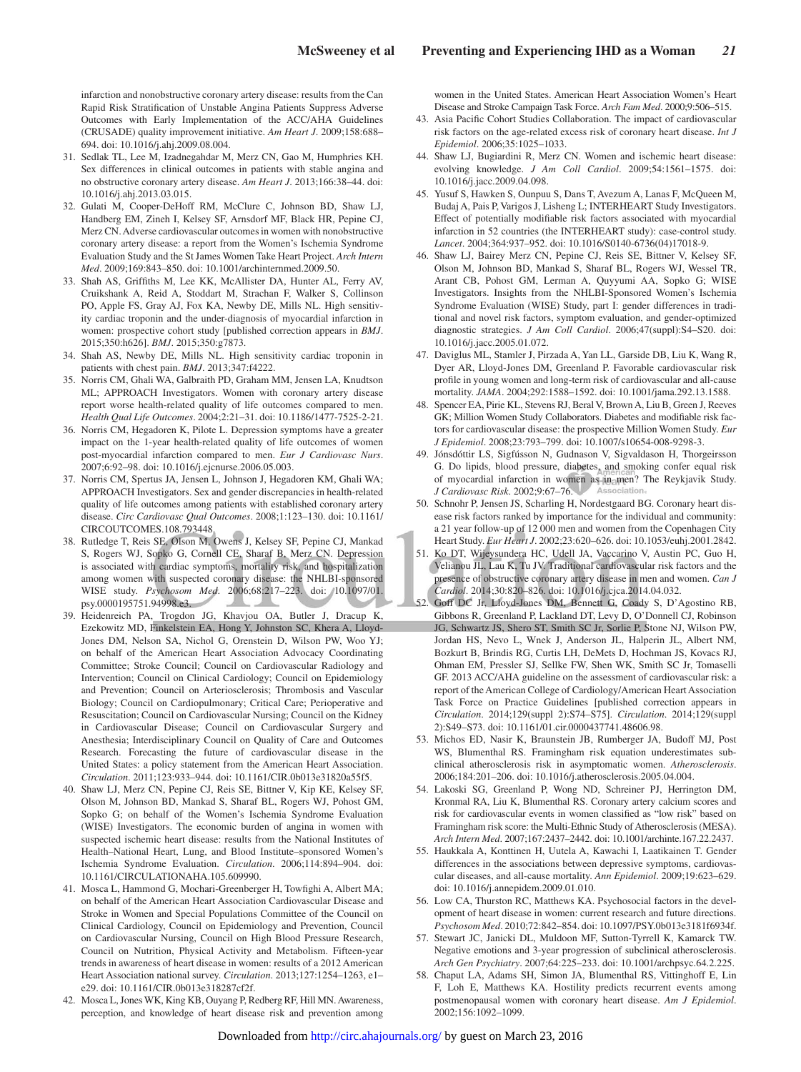infarction and nonobstructive coronary artery disease: results from the Can Rapid Risk Stratification of Unstable Angina Patients Suppress Adverse Outcomes with Early Implementation of the ACC/AHA Guidelines (CRUSADE) quality improvement initiative. *Am Heart J*. 2009;158:688– 694. doi: 10.1016/j.ahj.2009.08.004.

- 31. Sedlak TL, Lee M, Izadnegahdar M, Merz CN, Gao M, Humphries KH. Sex differences in clinical outcomes in patients with stable angina and no obstructive coronary artery disease. *Am Heart J*. 2013;166:38–44. doi: 10.1016/j.ahj.2013.03.015.
- 32. Gulati M, Cooper-DeHoff RM, McClure C, Johnson BD, Shaw LJ, Handberg EM, Zineh I, Kelsey SF, Arnsdorf MF, Black HR, Pepine CJ, Merz CN. Adverse cardiovascular outcomes in women with nonobstructive coronary artery disease: a report from the Women's Ischemia Syndrome Evaluation Study and the St James Women Take Heart Project. *Arch Intern Med*. 2009;169:843–850. doi: 10.1001/archinternmed.2009.50.
- 33. Shah AS, Griffiths M, Lee KK, McAllister DA, Hunter AL, Ferry AV, Cruikshank A, Reid A, Stoddart M, Strachan F, Walker S, Collinson PO, Apple FS, Gray AJ, Fox KA, Newby DE, Mills NL. High sensitivity cardiac troponin and the under-diagnosis of myocardial infarction in women: prospective cohort study [published correction appears in *BMJ*. 2015;350:h626]. *BMJ*. 2015;350:g7873.
- 34. Shah AS, Newby DE, Mills NL. High sensitivity cardiac troponin in patients with chest pain. *BMJ*. 2013;347:f4222.
- 35. Norris CM, Ghali WA, Galbraith PD, Graham MM, Jensen LA, Knudtson ML; APPROACH Investigators. Women with coronary artery disease report worse health-related quality of life outcomes compared to men. *Health Qual Life Outcomes*. 2004;2:21–31. doi: 10.1186/1477-7525-2-21.
- 36. Norris CM, Hegadoren K, Pilote L. Depression symptoms have a greater impact on the 1-year health-related quality of life outcomes of women post-myocardial infarction compared to men. *Eur J Cardiovasc Nurs*. 2007;6:92–98. doi: 10.1016/j.ejcnurse.2006.05.003.
- 37. Norris CM, Spertus JA, Jensen L, Johnson J, Hegadoren KM, Ghali WA; APPROACH Investigators. Sex and gender discrepancies in health-related quality of life outcomes among patients with established coronary artery disease. *Circ Cardiovasc Qual Outcomes*. 2008;1:123–130. doi: 10.1161/ CIRCOUTCOMES.108.793448.
- 38. Rutledge T, Reis SE, Olson M, Owens J, Kelsey SF, Pepine CJ, Mankad S, Rogers WJ, Sopko G, Cornell CE, Sharaf B, Merz CN. Depression is associated with cardiac symptoms, mortality risk, and hospitalization among women with suspected coronary disease: the NHLBI-sponsored WISE study. *Psychosom Med.* 2006;68:217-223. doi: 10.1097/01. psy.0000195751.94998.e3.
- 39. Heidenreich PA, Trogdon JG, Khavjou OA, Butler J, Dracup K, Ezekowitz MD, Finkelstein EA, Hong Y, Johnston SC, Khera A, Lloyd-Jones DM, Nelson SA, Nichol G, Orenstein D, Wilson PW, Woo YJ; on behalf of the American Heart Association Advocacy Coordinating Committee; Stroke Council; Council on Cardiovascular Radiology and Intervention; Council on Clinical Cardiology; Council on Epidemiology and Prevention; Council on Arteriosclerosis; Thrombosis and Vascular Biology; Council on Cardiopulmonary; Critical Care; Perioperative and Resuscitation; Council on Cardiovascular Nursing; Council on the Kidney in Cardiovascular Disease; Council on Cardiovascular Surgery and Anesthesia; Interdisciplinary Council on Quality of Care and Outcomes Research. Forecasting the future of cardiovascular disease in the United States: a policy statement from the American Heart Association. *Circulation*. 2011;123:933–944. doi: 10.1161/CIR.0b013e31820a55f5.
- 40. Shaw LJ, Merz CN, Pepine CJ, Reis SE, Bittner V, Kip KE, Kelsey SF, Olson M, Johnson BD, Mankad S, Sharaf BL, Rogers WJ, Pohost GM, Sopko G; on behalf of the Women's Ischemia Syndrome Evaluation (WISE) Investigators. The economic burden of angina in women with suspected ischemic heart disease: results from the National Institutes of Health–National Heart, Lung, and Blood Institute–sponsored Women's Ischemia Syndrome Evaluation. *Circulation*. 2006;114:894–904. doi: 10.1161/CIRCULATIONAHA.105.609990.
- 41. Mosca L, Hammond G, Mochari-Greenberger H, Towfighi A, Albert MA; on behalf of the American Heart Association Cardiovascular Disease and Stroke in Women and Special Populations Committee of the Council on Clinical Cardiology, Council on Epidemiology and Prevention, Council on Cardiovascular Nursing, Council on High Blood Pressure Research, Council on Nutrition, Physical Activity and Metabolism. Fifteen-year trends in awareness of heart disease in women: results of a 2012 American Heart Association national survey. *Circulation*. 2013;127:1254–1263, e1– e29. doi: 10.1161/CIR.0b013e318287cf2f.
- 42. Mosca L, Jones WK, King KB, Ouyang P, Redberg RF, Hill MN. Awareness, perception, and knowledge of heart disease risk and prevention among

women in the United States. American Heart Association Women's Heart Disease and Stroke Campaign Task Force. *Arch Fam Med*. 2000;9:506–515.

- 43. Asia Pacific Cohort Studies Collaboration. The impact of cardiovascular risk factors on the age-related excess risk of coronary heart disease. *Int J Epidemiol*. 2006;35:1025–1033.
- 44. Shaw LJ, Bugiardini R, Merz CN. Women and ischemic heart disease: evolving knowledge. *J Am Coll Cardiol*. 2009;54:1561–1575. doi: 10.1016/j.jacc.2009.04.098.
- 45. Yusuf S, Hawken S, Ounpuu S, Dans T, Avezum A, Lanas F, McQueen M, Budaj A, Pais P, Varigos J, Lisheng L; INTERHEART Study Investigators. Effect of potentially modifiable risk factors associated with myocardial infarction in 52 countries (the INTERHEART study): case-control study. *Lancet*. 2004;364:937–952. doi: 10.1016/S0140-6736(04)17018-9.
- 46. Shaw LJ, Bairey Merz CN, Pepine CJ, Reis SE, Bittner V, Kelsey SF, Olson M, Johnson BD, Mankad S, Sharaf BL, Rogers WJ, Wessel TR, Arant CB, Pohost GM, Lerman A, Quyyumi AA, Sopko G; WISE Investigators. Insights from the NHLBI-Sponsored Women's Ischemia Syndrome Evaluation (WISE) Study, part I: gender differences in traditional and novel risk factors, symptom evaluation, and gender-optimized diagnostic strategies. *J Am Coll Cardiol*. 2006;47(suppl):S4–S20. doi: 10.1016/j.jacc.2005.01.072.
- 47. Daviglus ML, Stamler J, Pirzada A, Yan LL, Garside DB, Liu K, Wang R, Dyer AR, Lloyd-Jones DM, Greenland P. Favorable cardiovascular risk profile in young women and long-term risk of cardiovascular and all-cause mortality. *JAMA*. 2004;292:1588–1592. doi: 10.1001/jama.292.13.1588.
- 48. Spencer EA, Pirie KL, Stevens RJ, Beral V, Brown A, Liu B, Green J, Reeves GK; Million Women Study Collaborators. Diabetes and modifiable risk factors for cardiovascular disease: the prospective Million Women Study. *Eur J Epidemiol*. 2008;23:793–799. doi: 10.1007/s10654-008-9298-3.
- 49. Jónsdóttir LS, Sigfússon N, Gudnason V, Sigvaldason H, Thorgeirsson G. Do lipids, blood pressure, diabetes, and smoking confer equal risk of myocardial infarction in women as in men? The Reykjavik Study. *J Cardiovasc Risk*. 2002;9:67–76.
- 50. Schnohr P, Jensen JS, Scharling H, Nordestgaard BG. Coronary heart disease risk factors ranked by importance for the individual and community: a 21 year follow-up of 12 000 men and women from the Copenhagen City Heart Study. *Eur Heart J*. 2002;23:620–626. doi: 10.1053/euhj.2001.2842.
- 51. Ko DT, Wijeysundera HC, Udell JA, Vaccarino V, Austin PC, Guo H, Velianou JL, Lau K, Tu JV. Traditional cardiovascular risk factors and the presence of obstructive coronary artery disease in men and women. *Can J Cardiol*. 2014;30:820–826. doi: 10.1016/j.cjca.2014.04.032.
- 52. Goff DC Jr, Lloyd-Jones DM, Bennett G, Coady S, D'Agostino RB, Gibbons R, Greenland P, Lackland DT, Levy D, O'Donnell CJ, Robinson JG, Schwartz JS, Shero ST, Smith SC Jr, Sorlie P, Stone NJ, Wilson PW, Jordan HS, Nevo L, Wnek J, Anderson JL, Halperin JL, Albert NM, Bozkurt B, Brindis RG, Curtis LH, DeMets D, Hochman JS, Kovacs RJ, Ohman EM, Pressler SJ, Sellke FW, Shen WK, Smith SC Jr, Tomaselli GF. 2013 ACC/AHA guideline on the assessment of cardiovascular risk: a report of the American College of Cardiology/American Heart Association Task Force on Practice Guidelines [published correction appears in *Circulation*. 2014;129(suppl 2):S74–S75]. *Circulation*. 2014;129(suppl 2):S49–S73. doi: 10.1161/01.cir.0000437741.48606.98.
- 53. Michos ED, Nasir K, Braunstein JB, Rumberger JA, Budoff MJ, Post WS, Blumenthal RS. Framingham risk equation underestimates subclinical atherosclerosis risk in asymptomatic women. *Atherosclerosis*. 2006;184:201–206. doi: 10.1016/j.atherosclerosis.2005.04.004.
- 54. Lakoski SG, Greenland P, Wong ND, Schreiner PJ, Herrington DM, Kronmal RA, Liu K, Blumenthal RS. Coronary artery calcium scores and risk for cardiovascular events in women classified as "low risk" based on Framingham risk score: the Multi-Ethnic Study of Atherosclerosis (MESA). *Arch Intern Med*. 2007;167:2437–2442. doi: 10.1001/archinte.167.22.2437.
- 55. Haukkala A, Konttinen H, Uutela A, Kawachi I, Laatikainen T. Gender differences in the associations between depressive symptoms, cardiovascular diseases, and all-cause mortality. *Ann Epidemiol*. 2009;19:623–629. doi: 10.1016/j.annepidem.2009.01.010.
- 56. Low CA, Thurston RC, Matthews KA. Psychosocial factors in the development of heart disease in women: current research and future directions. *Psychosom Med*. 2010;72:842–854. doi: 10.1097/PSY.0b013e3181f6934f.
- 57. Stewart JC, Janicki DL, Muldoon MF, Sutton-Tyrrell K, Kamarck TW. Negative emotions and 3-year progression of subclinical atherosclerosis. *Arch Gen Psychiatry*. 2007;64:225–233. doi: 10.1001/archpsyc.64.2.225.
- 58. Chaput LA, Adams SH, Simon JA, Blumenthal RS, Vittinghoff E, Lin F, Loh E, Matthews KA. Hostility predicts recurrent events among postmenopausal women with coronary heart disease. *Am J Epidemiol*. 2002;156:1092–1099.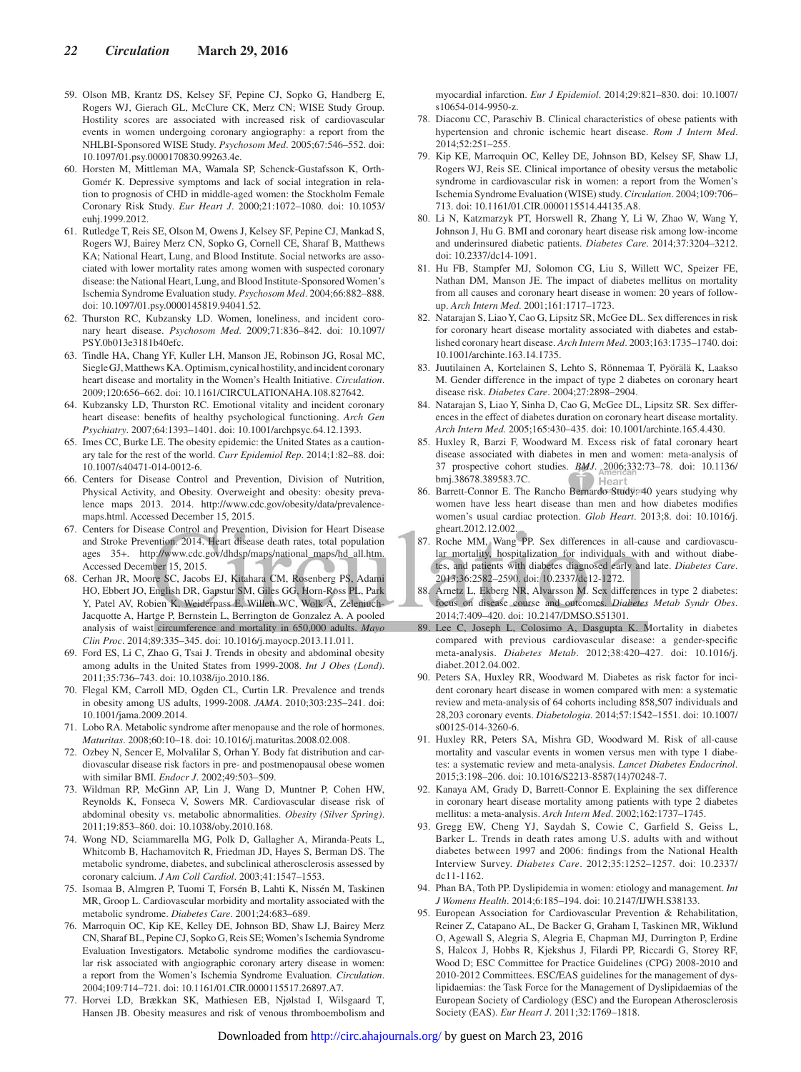- 59. Olson MB, Krantz DS, Kelsey SF, Pepine CJ, Sopko G, Handberg E, Rogers WJ, Gierach GL, McClure CK, Merz CN; WISE Study Group. Hostility scores are associated with increased risk of cardiovascular events in women undergoing coronary angiography: a report from the NHLBI-Sponsored WISE Study. *Psychosom Med*. 2005;67:546–552. doi: 10.1097/01.psy.0000170830.99263.4e.
- 60. Horsten M, Mittleman MA, Wamala SP, Schenck-Gustafsson K, Orth-Gomér K. Depressive symptoms and lack of social integration in relation to prognosis of CHD in middle-aged women: the Stockholm Female Coronary Risk Study. *Eur Heart J*. 2000;21:1072–1080. doi: 10.1053/ euhj.1999.2012.
- 61. Rutledge T, Reis SE, Olson M, Owens J, Kelsey SF, Pepine CJ, Mankad S, Rogers WJ, Bairey Merz CN, Sopko G, Cornell CE, Sharaf B, Matthews KA; National Heart, Lung, and Blood Institute. Social networks are associated with lower mortality rates among women with suspected coronary disease: the National Heart, Lung, and Blood Institute-Sponsored Women's Ischemia Syndrome Evaluation study. *Psychosom Med*. 2004;66:882–888. doi: 10.1097/01.psy.0000145819.94041.52.
- 62. Thurston RC, Kubzansky LD. Women, loneliness, and incident coronary heart disease. *Psychosom Med*. 2009;71:836–842. doi: 10.1097/ PSY.0b013e3181b40efc.
- 63. Tindle HA, Chang YF, Kuller LH, Manson JE, Robinson JG, Rosal MC, Siegle GJ, Matthews KA. Optimism, cynical hostility, and incident coronary heart disease and mortality in the Women's Health Initiative. *Circulation*. 2009;120:656–662. doi: 10.1161/CIRCULATIONAHA.108.827642.
- 64. Kubzansky LD, Thurston RC. Emotional vitality and incident coronary heart disease: benefits of healthy psychological functioning. *Arch Gen Psychiatry*. 2007;64:1393–1401. doi: 10.1001/archpsyc.64.12.1393.
- 65. Imes CC, Burke LE. The obesity epidemic: the United States as a cautionary tale for the rest of the world. *Curr Epidemiol Rep*. 2014;1:82–88. doi: 10.1007/s40471-014-0012-6.
- 66. Centers for Disease Control and Prevention, Division of Nutrition, Physical Activity, and Obesity. Overweight and obesity: obesity prevalence maps 2013. 2014. http://www.cdc.gov/obesity/data/prevalencemaps.html. Accessed December 15, 2015.
- 67. Centers for Disease Control and Prevention, Division for Heart Disease and Stroke Prevention. 2014. Heart disease death rates, total population ages 35+. [http://www.cdc.gov/dhdsp/maps/national\\_maps/hd\\_all.htm](http://www.cdc.gov/dhdsp/maps/national_maps/hd_all.htm). Accessed December 15, 2015.
- 68. Cerhan JR, Moore SC, Jacobs EJ, Kitahara CM, Rosenberg PS, Adami HO, Ebbert JO, English DR, Gapstur SM, Giles GG, Horn-Ross PL, Park Y, Patel AV, Robien K, Weiderpass E, Willett WC, Wolk A, Zeleniuch-Jacquotte A, Hartge P, Bernstein L, Berrington de Gonzalez A. A pooled analysis of waist circumference and mortality in 650,000 adults. *Mayo Clin Proc*. 2014;89:335–345. doi: 10.1016/j.mayocp.2013.11.011.
- 69. Ford ES, Li C, Zhao G, Tsai J. Trends in obesity and abdominal obesity among adults in the United States from 1999-2008. *Int J Obes (Lond)*. 2011;35:736–743. doi: 10.1038/ijo.2010.186.
- 70. Flegal KM, Carroll MD, Ogden CL, Curtin LR. Prevalence and trends in obesity among US adults, 1999-2008. *JAMA*. 2010;303:235–241. doi: 10.1001/jama.2009.2014.
- 71. Lobo RA. Metabolic syndrome after menopause and the role of hormones. *Maturitas*. 2008;60:10–18. doi: 10.1016/j.maturitas.2008.02.008.
- 72. Ozbey N, Sencer E, Molvalilar S, Orhan Y. Body fat distribution and cardiovascular disease risk factors in pre- and postmenopausal obese women with similar BMI. *Endocr J*. 2002;49:503–509.
- 73. Wildman RP, McGinn AP, Lin J, Wang D, Muntner P, Cohen HW, Reynolds K, Fonseca V, Sowers MR. Cardiovascular disease risk of abdominal obesity vs. metabolic abnormalities. *Obesity (Silver Spring)*. 2011;19:853–860. doi: 10.1038/oby.2010.168.
- 74. Wong ND, Sciammarella MG, Polk D, Gallagher A, Miranda-Peats L, Whitcomb B, Hachamovitch R, Friedman JD, Hayes S, Berman DS. The metabolic syndrome, diabetes, and subclinical atherosclerosis assessed by coronary calcium. *J Am Coll Cardiol*. 2003;41:1547–1553.
- 75. Isomaa B, Almgren P, Tuomi T, Forsén B, Lahti K, Nissén M, Taskinen MR, Groop L. Cardiovascular morbidity and mortality associated with the metabolic syndrome. *Diabetes Care*. 2001;24:683–689.
- 76. Marroquin OC, Kip KE, Kelley DE, Johnson BD, Shaw LJ, Bairey Merz CN, Sharaf BL, Pepine CJ, Sopko G, Reis SE; Women's Ischemia Syndrome Evaluation Investigators. Metabolic syndrome modifies the cardiovascular risk associated with angiographic coronary artery disease in women: a report from the Women's Ischemia Syndrome Evaluation. *Circulation*. 2004;109:714–721. doi: 10.1161/01.CIR.0000115517.26897.A7.
- 77. Horvei LD, Brækkan SK, Mathiesen EB, Njølstad I, Wilsgaard T, Hansen JB. Obesity measures and risk of venous thromboembolism and

myocardial infarction. *Eur J Epidemiol*. 2014;29:821–830. doi: 10.1007/ s10654-014-9950-z.

- 78. Diaconu CC, Paraschiv B. Clinical characteristics of obese patients with hypertension and chronic ischemic heart disease. *Rom J Intern Med*. 2014;52:251–255.
- 79. Kip KE, Marroquin OC, Kelley DE, Johnson BD, Kelsey SF, Shaw LJ, Rogers WJ, Reis SE. Clinical importance of obesity versus the metabolic syndrome in cardiovascular risk in women: a report from the Women's Ischemia Syndrome Evaluation (WISE) study. *Circulation*. 2004;109:706– 713. doi: 10.1161/01.CIR.0000115514.44135.A8.
- 80. Li N, Katzmarzyk PT, Horswell R, Zhang Y, Li W, Zhao W, Wang Y, Johnson J, Hu G. BMI and coronary heart disease risk among low-income and underinsured diabetic patients. *Diabetes Care*. 2014;37:3204–3212. doi: 10.2337/dc14-1091.
- 81. Hu FB, Stampfer MJ, Solomon CG, Liu S, Willett WC, Speizer FE, Nathan DM, Manson JE. The impact of diabetes mellitus on mortality from all causes and coronary heart disease in women: 20 years of followup. *Arch Intern Med*. 2001;161:1717–1723.
- 82. Natarajan S, Liao Y, Cao G, Lipsitz SR, McGee DL. Sex differences in risk for coronary heart disease mortality associated with diabetes and established coronary heart disease. *Arch Intern Med*. 2003;163:1735–1740. doi: 10.1001/archinte.163.14.1735.
- 83. Juutilainen A, Kortelainen S, Lehto S, Rönnemaa T, Pyörälä K, Laakso M. Gender difference in the impact of type 2 diabetes on coronary heart disease risk. *Diabetes Care*. 2004;27:2898–2904.
- 84. Natarajan S, Liao Y, Sinha D, Cao G, McGee DL, Lipsitz SR. Sex differences in the effect of diabetes duration on coronary heart disease mortality. *Arch Intern Med*. 2005;165:430–435. doi: 10.1001/archinte.165.4.430.
- 85. Huxley R, Barzi F, Woodward M. Excess risk of fatal coronary heart disease associated with diabetes in men and women: meta-analysis of 37 prospective cohort studies. *BMJ*. 2006;332:73–78. doi: 10.1136/ bmj.38678.389583.7C. Hear
- 86. Barrett-Connor E. The Rancho Bernardo Study: 40 years studying why women have less heart disease than men and how diabetes modifies women's usual cardiac protection. *Glob Heart*. 2013;8. doi: 10.1016/j. gheart.2012.12.002.
- 87. Roche MM, Wang PP. Sex differences in all-cause and cardiovascular mortality, hospitalization for individuals with and without diabetes, and patients with diabetes diagnosed early and late. *Diabetes Care*. 2013;36:2582–2590. doi: 10.2337/dc12-1272.
- 88. Arnetz L, Ekberg NR, Alvarsson M. Sex differences in type 2 diabetes: focus on disease course and outcomes. *Diabetes Metab Syndr Obes*. 2014;7:409–420. doi: 10.2147/DMSO.S51301.
- 89. Lee C, Joseph L, Colosimo A, Dasgupta K. Mortality in diabetes compared with previous cardiovascular disease: a gender-specific meta-analysis. *Diabetes Metab*. 2012;38:420–427. doi: 10.1016/j. diabet.2012.04.002.
- 90. Peters SA, Huxley RR, Woodward M. Diabetes as risk factor for incident coronary heart disease in women compared with men: a systematic review and meta-analysis of 64 cohorts including 858,507 individuals and 28,203 coronary events. *Diabetologia*. 2014;57:1542–1551. doi: 10.1007/ s00125-014-3260-6.
- 91. Huxley RR, Peters SA, Mishra GD, Woodward M. Risk of all-cause mortality and vascular events in women versus men with type 1 diabetes: a systematic review and meta-analysis. *Lancet Diabetes Endocrinol*. 2015;3:198–206. doi: 10.1016/S2213-8587(14)70248-7.
- 92. Kanaya AM, Grady D, Barrett-Connor E. Explaining the sex difference in coronary heart disease mortality among patients with type 2 diabetes mellitus: a meta-analysis. *Arch Intern Med*. 2002;162:1737–1745.
- 93. Gregg EW, Cheng YJ, Saydah S, Cowie C, Garfield S, Geiss L, Barker L. Trends in death rates among U.S. adults with and without diabetes between 1997 and 2006: findings from the National Health Interview Survey. *Diabetes Care*. 2012;35:1252–1257. doi: 10.2337/ dc11-1162.
- 94. Phan BA, Toth PP. Dyslipidemia in women: etiology and management. *Int J Womens Health*. 2014;6:185–194. doi: 10.2147/IJWH.S38133.
- 95. European Association for Cardiovascular Prevention & Rehabilitation, Reiner Z, Catapano AL, De Backer G, Graham I, Taskinen MR, Wiklund O, Agewall S, Alegria S, Alegria E, Chapman MJ, Durrington P, Erdine S, Halcox J, Hobbs R, Kjekshus J, Filardi PP, Riccardi G, Storey RF, Wood D; ESC Committee for Practice Guidelines (CPG) 2008-2010 and 2010-2012 Committees. ESC/EAS guidelines for the management of dyslipidaemias: the Task Force for the Management of Dyslipidaemias of the European Society of Cardiology (ESC) and the European Atherosclerosis Society (EAS). *Eur Heart J*. 2011;32:1769–1818.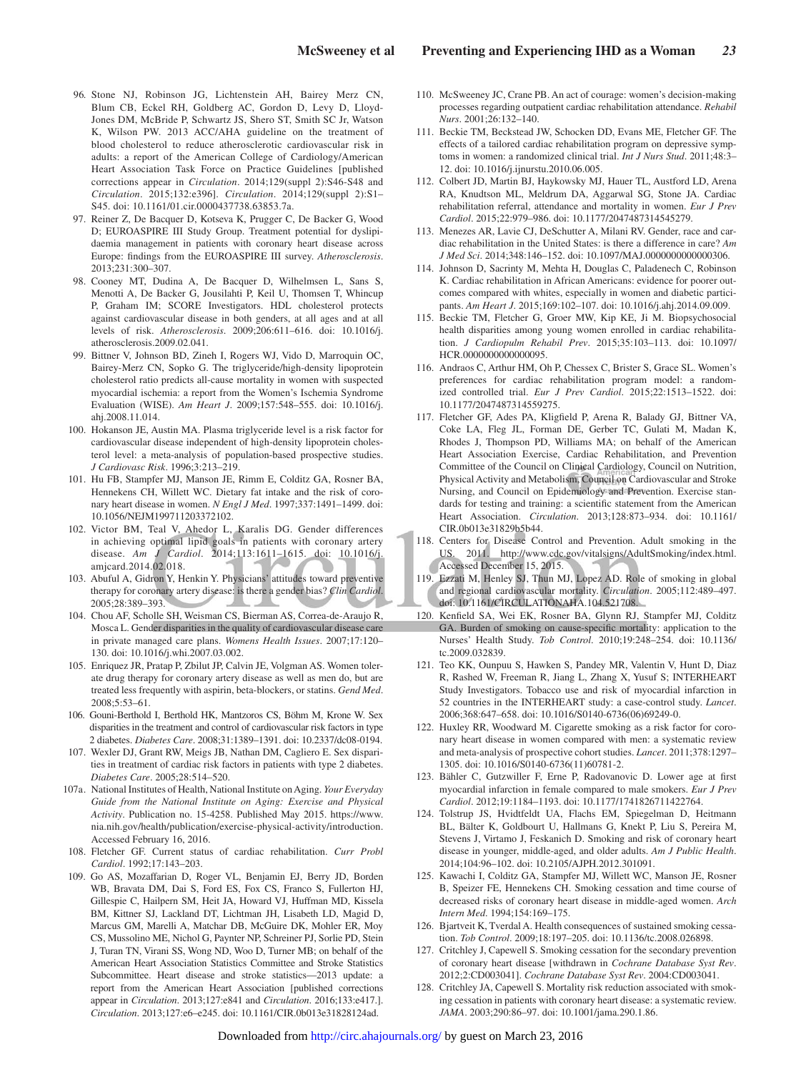- 96. Stone NJ, Robinson JG, Lichtenstein AH, Bairey Merz CN, Blum CB, Eckel RH, Goldberg AC, Gordon D, Levy D, Lloyd-Jones DM, McBride P, Schwartz JS, Shero ST, Smith SC Jr, Watson K, Wilson PW. 2013 ACC/AHA guideline on the treatment of blood cholesterol to reduce atherosclerotic cardiovascular risk in adults: a report of the American College of Cardiology/American Heart Association Task Force on Practice Guidelines [published corrections appear in *Circulation*. 2014;129(suppl 2):S46-S48 and *Circulation*. 2015;132:e396]. *Circulation*. 2014;129(suppl 2):S1– S45. doi: 10.1161/01.cir.0000437738.63853.7a.
- 97. Reiner Z, De Bacquer D, Kotseva K, Prugger C, De Backer G, Wood D; EUROASPIRE III Study Group. Treatment potential for dyslipidaemia management in patients with coronary heart disease across Europe: findings from the EUROASPIRE III survey. *Atherosclerosis*. 2013;231:300–307.
- 98. Cooney MT, Dudina A, De Bacquer D, Wilhelmsen L, Sans S, Menotti A, De Backer G, Jousilahti P, Keil U, Thomsen T, Whincup P, Graham IM; SCORE Investigators. HDL cholesterol protects against cardiovascular disease in both genders, at all ages and at all levels of risk. *Atherosclerosis*. 2009;206:611–616. doi: 10.1016/j. atherosclerosis.2009.02.041.
- 99. Bittner V, Johnson BD, Zineh I, Rogers WJ, Vido D, Marroquin OC, Bairey-Merz CN, Sopko G. The triglyceride/high-density lipoprotein cholesterol ratio predicts all-cause mortality in women with suspected myocardial ischemia: a report from the Women's Ischemia Syndrome Evaluation (WISE). *Am Heart J*. 2009;157:548–555. doi: 10.1016/j. ahj.2008.11.014.
- 100. Hokanson JE, Austin MA. Plasma triglyceride level is a risk factor for cardiovascular disease independent of high-density lipoprotein cholesterol level: a meta-analysis of population-based prospective studies. *J Cardiovasc Risk*. 1996;3:213–219.
- 101. Hu FB, Stampfer MJ, Manson JE, Rimm E, Colditz GA, Rosner BA, Hennekens CH, Willett WC. Dietary fat intake and the risk of coronary heart disease in women. *N Engl J Med*. 1997;337:1491–1499. doi: 10.1056/NEJM199711203372102.
- 102. Victor BM, Teal V, Ahedor L, Karalis DG. Gender differences in achieving optimal lipid goals in patients with coronary artery disease. *Am J Cardiol*. 2014;113:1611–1615. doi: 10.1016/j. amjcard.2014.02.018.
- 103. Abuful A, Gidron Y, Henkin Y. Physicians' attitudes toward preventive therapy for coronary artery disease: is there a gender bias? *Clin Cardiol*. 2005;28:389–393.
- 104. Chou AF, Scholle SH, Weisman CS, Bierman AS, Correa-de-Araujo R, Mosca L. Gender disparities in the quality of cardiovascular disease care in private managed care plans. *Womens Health Issues*. 2007;17:120– 130. doi: 10.1016/j.whi.2007.03.002.
- 105. Enriquez JR, Pratap P, Zbilut JP, Calvin JE, Volgman AS. Women tolerate drug therapy for coronary artery disease as well as men do, but are treated less frequently with aspirin, beta-blockers, or statins. *Gend Med*. 2008;5:53–61.
- 106. Gouni-Berthold I, Berthold HK, Mantzoros CS, Böhm M, Krone W. Sex disparities in the treatment and control of cardiovascular risk factors in type 2 diabetes. *Diabetes Care*. 2008;31:1389–1391. doi: 10.2337/dc08-0194.
- 107. Wexler DJ, Grant RW, Meigs JB, Nathan DM, Cagliero E. Sex disparities in treatment of cardiac risk factors in patients with type 2 diabetes. *Diabetes Care*. 2005;28:514–520.
- 107a. National Institutes of Health, National Institute on Aging. *Your Everyday Guide from the National Institute on Aging: Exercise and Physical Activity*. Publication no. 15-4258. Published May 2015. [https://www.](https://www.nia.nih.gov/health/publication/exercise-physical-activity/introduction) [nia.nih.gov/health/publication/exercise-physical-activity/introduction](https://www.nia.nih.gov/health/publication/exercise-physical-activity/introduction). Accessed February 16, 2016.
- 108. Fletcher GF. Current status of cardiac rehabilitation. *Curr Probl Cardiol*. 1992;17:143–203.
- 109. Go AS, Mozaffarian D, Roger VL, Benjamin EJ, Berry JD, Borden WB, Bravata DM, Dai S, Ford ES, Fox CS, Franco S, Fullerton HJ, Gillespie C, Hailpern SM, Heit JA, Howard VJ, Huffman MD, Kissela BM, Kittner SJ, Lackland DT, Lichtman JH, Lisabeth LD, Magid D, Marcus GM, Marelli A, Matchar DB, McGuire DK, Mohler ER, Moy CS, Mussolino ME, Nichol G, Paynter NP, Schreiner PJ, Sorlie PD, Stein J, Turan TN, Virani SS, Wong ND, Woo D, Turner MB; on behalf of the American Heart Association Statistics Committee and Stroke Statistics Subcommittee. Heart disease and stroke statistics—2013 update: a report from the American Heart Association [published corrections appear in *Circulation*. 2013;127:e841 and *Circulation*. 2016;133:e417.]. *Circulation*. 2013;127:e6–e245. doi: 10.1161/CIR.0b013e31828124ad.
- 110. McSweeney JC, Crane PB. An act of courage: women's decision-making processes regarding outpatient cardiac rehabilitation attendance. *Rehabil Nurs*. 2001;26:132–140.
- 111. Beckie TM, Beckstead JW, Schocken DD, Evans ME, Fletcher GF. The effects of a tailored cardiac rehabilitation program on depressive symptoms in women: a randomized clinical trial. *Int J Nurs Stud*. 2011;48:3– 12. doi: 10.1016/j.ijnurstu.2010.06.005.
- 112. Colbert JD, Martin BJ, Haykowsky MJ, Hauer TL, Austford LD, Arena RA, Knudtson ML, Meldrum DA, Aggarwal SG, Stone JA. Cardiac rehabilitation referral, attendance and mortality in women. *Eur J Prev Cardiol*. 2015;22:979–986. doi: 10.1177/2047487314545279.
- 113. Menezes AR, Lavie CJ, DeSchutter A, Milani RV. Gender, race and cardiac rehabilitation in the United States: is there a difference in care? *Am J Med Sci*. 2014;348:146–152. doi: 10.1097/MAJ.0000000000000306.
- 114. Johnson D, Sacrinty M, Mehta H, Douglas C, Paladenech C, Robinson K. Cardiac rehabilitation in African Americans: evidence for poorer outcomes compared with whites, especially in women and diabetic participants. *Am Heart J*. 2015;169:102–107. doi: 10.1016/j.ahj.2014.09.009.
- 115. Beckie TM, Fletcher G, Groer MW, Kip KE, Ji M. Biopsychosocial health disparities among young women enrolled in cardiac rehabilitation. *J Cardiopulm Rehabil Prev*. 2015;35:103–113. doi: 10.1097/ HCR.0000000000000095.
- 116. Andraos C, Arthur HM, Oh P, Chessex C, Brister S, Grace SL. Women's preferences for cardiac rehabilitation program model: a randomized controlled trial. *Eur J Prev Cardiol*. 2015;22:1513–1522. doi: 10.1177/2047487314559275.
- 117. Fletcher GF, Ades PA, Kligfield P, Arena R, Balady GJ, Bittner VA, Coke LA, Fleg JL, Forman DE, Gerber TC, Gulati M, Madan K, Rhodes J, Thompson PD, Williams MA; on behalf of the American Heart Association Exercise, Cardiac Rehabilitation, and Prevention Committee of the Council on Clinical Cardiology, Council on Nutrition, Physical Activity and Metabolism, Council on Cardiovascular and Stroke Nursing, and Council on Epidemiology and Prevention. Exercise standards for testing and training: a scientific statement from the American Heart Association. *Circulation*. 2013;128:873–934. doi: 10.1161/ CIR.0b013e31829b5b44.
- 118. Centers for Disease Control and Prevention. Adult smoking in the US. 2011. <http://www.cdc.gov/vitalsigns/AdultSmoking/index.html>. Accessed December 15, 2015.
- 119. Ezzati M, Henley SJ, Thun MJ, Lopez AD. Role of smoking in global and regional cardiovascular mortality. *Circulation*. 2005;112:489–497. doi: 10.1161/CIRCULATIONAHA.104.521708.
- 120. Kenfield SA, Wei EK, Rosner BA, Glynn RJ, Stampfer MJ, Colditz GA. Burden of smoking on cause-specific mortality: application to the Nurses' Health Study. *Tob Control*. 2010;19:248–254. doi: 10.1136/ tc.2009.032839.
- 121. Teo KK, Ounpuu S, Hawken S, Pandey MR, Valentin V, Hunt D, Diaz R, Rashed W, Freeman R, Jiang L, Zhang X, Yusuf S; INTERHEART Study Investigators. Tobacco use and risk of myocardial infarction in 52 countries in the INTERHEART study: a case-control study. *Lancet*. 2006;368:647–658. doi: 10.1016/S0140-6736(06)69249-0.
- 122. Huxley RR, Woodward M. Cigarette smoking as a risk factor for coronary heart disease in women compared with men: a systematic review and meta-analysis of prospective cohort studies. *Lancet*. 2011;378:1297– 1305. doi: 10.1016/S0140-6736(11)60781-2.
- 123. Bähler C, Gutzwiller F, Erne P, Radovanovic D. Lower age at first myocardial infarction in female compared to male smokers. *Eur J Prev Cardiol*. 2012;19:1184–1193. doi: 10.1177/1741826711422764.
- 124. Tolstrup JS, Hvidtfeldt UA, Flachs EM, Spiegelman D, Heitmann BL, Bälter K, Goldbourt U, Hallmans G, Knekt P, Liu S, Pereira M, Stevens J, Virtamo J, Feskanich D. Smoking and risk of coronary heart disease in younger, middle-aged, and older adults. *Am J Public Health*. 2014;104:96–102. doi: 10.2105/AJPH.2012.301091.
- 125. Kawachi I, Colditz GA, Stampfer MJ, Willett WC, Manson JE, Rosner B, Speizer FE, Hennekens CH. Smoking cessation and time course of decreased risks of coronary heart disease in middle-aged women. *Arch Intern Med*. 1994;154:169–175.
- 126. Bjartveit K, Tverdal A. Health consequences of sustained smoking cessation. *Tob Control*. 2009;18:197–205. doi: 10.1136/tc.2008.026898.
- 127. Critchley J, Capewell S. Smoking cessation for the secondary prevention of coronary heart disease [withdrawn in *Cochrane Database Syst Rev*. 2012;2:CD003041]. *Cochrane Database Syst Rev*. 2004:CD003041.
- 128. Critchley JA, Capewell S. Mortality risk reduction associated with smoking cessation in patients with coronary heart disease: a systematic review. *JAMA*. 2003;290:86–97. doi: 10.1001/jama.290.1.86.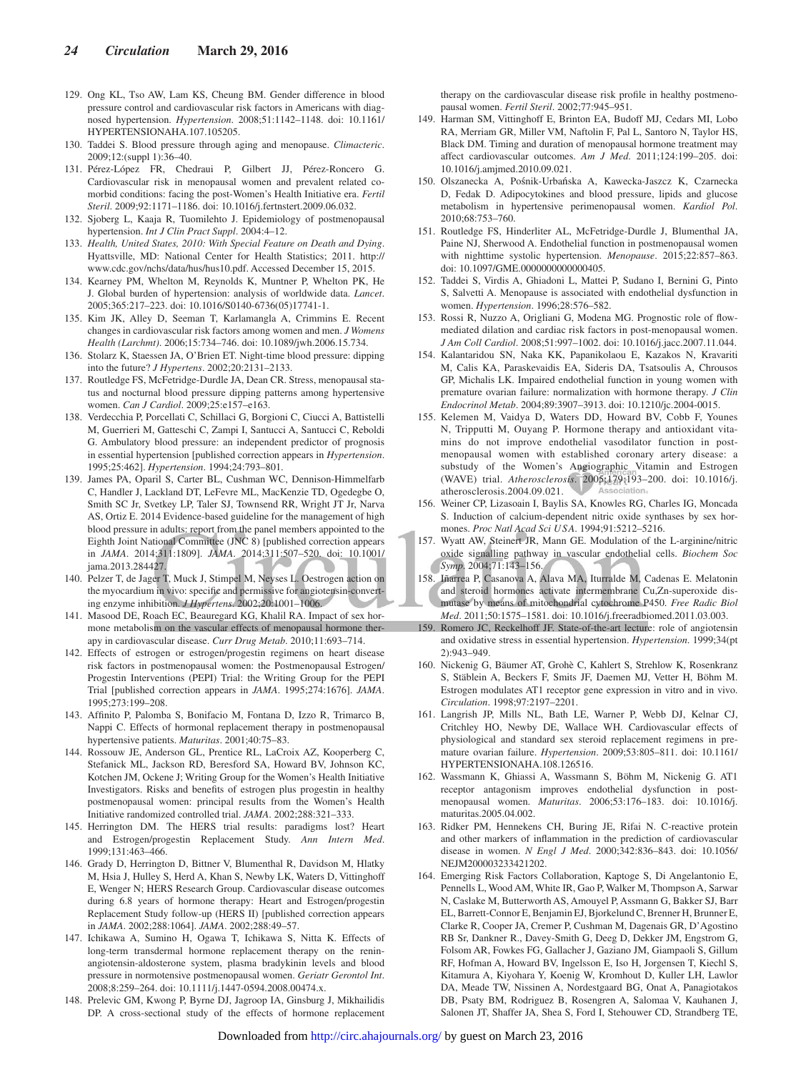- 129. Ong KL, Tso AW, Lam KS, Cheung BM. Gender difference in blood pressure control and cardiovascular risk factors in Americans with diagnosed hypertension. *Hypertension*. 2008;51:1142–1148. doi: 10.1161/ HYPERTENSIONAHA.107.105205.
- 130. Taddei S. Blood pressure through aging and menopause. *Climacteric*. 2009;12:(suppl 1):36–40.
- 131. Pérez-López FR, Chedraui P, Gilbert JJ, Pérez-Roncero G. Cardiovascular risk in menopausal women and prevalent related comorbid conditions: facing the post-Women's Health Initiative era. *Fertil Steril*. 2009;92:1171–1186. doi: 10.1016/j.fertnstert.2009.06.032.
- 132. Sjoberg L, Kaaja R, Tuomilehto J. Epidemiology of postmenopausal hypertension. *Int J Clin Pract Suppl*. 2004:4–12.
- 133. *Health, United States, 2010: With Special Feature on Death and Dying*. Hyattsville, MD: National Center for Health Statistics; 2011. [http://](http://www.cdc.gov/nchs/data/hus/hus10.pdf) [www.cdc.gov/nchs/data/hus/hus10.pdf.](http://www.cdc.gov/nchs/data/hus/hus10.pdf) Accessed December 15, 2015.
- 134. Kearney PM, Whelton M, Reynolds K, Muntner P, Whelton PK, He J. Global burden of hypertension: analysis of worldwide data. *Lancet*. 2005;365:217–223. doi: 10.1016/S0140-6736(05)17741-1.
- 135. Kim JK, Alley D, Seeman T, Karlamangla A, Crimmins E. Recent changes in cardiovascular risk factors among women and men. *J Womens Health (Larchmt)*. 2006;15:734–746. doi: 10.1089/jwh.2006.15.734.
- 136. Stolarz K, Staessen JA, O'Brien ET. Night-time blood pressure: dipping into the future? *J Hypertens*. 2002;20:2131–2133.
- 137. Routledge FS, McFetridge-Durdle JA, Dean CR. Stress, menopausal status and nocturnal blood pressure dipping patterns among hypertensive women. *Can J Cardiol*. 2009;25:e157–e163.
- 138. Verdecchia P, Porcellati C, Schillaci G, Borgioni C, Ciucci A, Battistelli M, Guerrieri M, Gatteschi C, Zampi I, Santucci A, Santucci C, Reboldi G. Ambulatory blood pressure: an independent predictor of prognosis in essential hypertension [published correction appears in *Hypertension*. 1995;25:462]. *Hypertension*. 1994;24:793–801.
- 139. James PA, Oparil S, Carter BL, Cushman WC, Dennison-Himmelfarb C, Handler J, Lackland DT, LeFevre ML, MacKenzie TD, Ogedegbe O, Smith SC Jr, Svetkey LP, Taler SJ, Townsend RR, Wright JT Jr, Narva AS, Ortiz E. 2014 Evidence-based guideline for the management of high blood pressure in adults: report from the panel members appointed to the Eighth Joint National Committee (JNC 8) [published correction appears in *JAMA*. 2014;311:1809]. *JAMA*. 2014;311:507–520. doi: 10.1001/ jama.2013.284427.
- 140. Pelzer T, de Jager T, Muck J, Stimpel M, Neyses L. Oestrogen action on the myocardium in vivo: specific and permissive for angiotensin-converting enzyme inhibition. *J Hypertens*. 2002;20:1001–1006.
- 141. Masood DE, Roach EC, Beauregard KG, Khalil RA. Impact of sex hormone metabolism on the vascular effects of menopausal hormone therapy in cardiovascular disease. *Curr Drug Metab*. 2010;11:693–714.
- 142. Effects of estrogen or estrogen/progestin regimens on heart disease risk factors in postmenopausal women: the Postmenopausal Estrogen/ Progestin Interventions (PEPI) Trial: the Writing Group for the PEPI Trial [published correction appears in *JAMA*. 1995;274:1676]. *JAMA*. 1995;273:199–208.
- 143. Affinito P, Palomba S, Bonifacio M, Fontana D, Izzo R, Trimarco B, Nappi C. Effects of hormonal replacement therapy in postmenopausal hypertensive patients. *Maturitas*. 2001;40:75–83.
- 144. Rossouw JE, Anderson GL, Prentice RL, LaCroix AZ, Kooperberg C, Stefanick ML, Jackson RD, Beresford SA, Howard BV, Johnson KC, Kotchen JM, Ockene J; Writing Group for the Women's Health Initiative Investigators. Risks and benefits of estrogen plus progestin in healthy postmenopausal women: principal results from the Women's Health Initiative randomized controlled trial. *JAMA*. 2002;288:321–333.
- 145. Herrington DM. The HERS trial results: paradigms lost? Heart and Estrogen/progestin Replacement Study. *Ann Intern Med*. 1999;131:463–466.
- 146. Grady D, Herrington D, Bittner V, Blumenthal R, Davidson M, Hlatky M, Hsia J, Hulley S, Herd A, Khan S, Newby LK, Waters D, Vittinghoff E, Wenger N; HERS Research Group. Cardiovascular disease outcomes during 6.8 years of hormone therapy: Heart and Estrogen/progestin Replacement Study follow-up (HERS II) [published correction appears in *JAMA*. 2002;288:1064]. *JAMA*. 2002;288:49–57.
- 147. Ichikawa A, Sumino H, Ogawa T, Ichikawa S, Nitta K. Effects of long-term transdermal hormone replacement therapy on the reninangiotensin-aldosterone system, plasma bradykinin levels and blood pressure in normotensive postmenopausal women. *Geriatr Gerontol Int*. 2008;8:259–264. doi: 10.1111/j.1447-0594.2008.00474.x.
- 148. Prelevic GM, Kwong P, Byrne DJ, Jagroop IA, Ginsburg J, Mikhailidis DP. A cross-sectional study of the effects of hormone replacement

therapy on the cardiovascular disease risk profile in healthy postmenopausal women. *Fertil Steril*. 2002;77:945–951.

- 149. Harman SM, Vittinghoff E, Brinton EA, Budoff MJ, Cedars MI, Lobo RA, Merriam GR, Miller VM, Naftolin F, Pal L, Santoro N, Taylor HS, Black DM. Timing and duration of menopausal hormone treatment may affect cardiovascular outcomes. *Am J Med*. 2011;124:199–205. doi: 10.1016/j.amjmed.2010.09.021.
- 150. Olszanecka A, Pośnik-Urbańska A, Kawecka-Jaszcz K, Czarnecka D, Fedak D. Adipocytokines and blood pressure, lipids and glucose metabolism in hypertensive perimenopausal women. *Kardiol Pol*. 2010;68:753–760.
- 151. Routledge FS, Hinderliter AL, McFetridge-Durdle J, Blumenthal JA, Paine NJ, Sherwood A. Endothelial function in postmenopausal women with nighttime systolic hypertension. *Menopause*. 2015;22:857–863. doi: 10.1097/GME.0000000000000405.
- 152. Taddei S, Virdis A, Ghiadoni L, Mattei P, Sudano I, Bernini G, Pinto S, Salvetti A. Menopause is associated with endothelial dysfunction in women. *Hypertension*. 1996;28:576–582.
- 153. Rossi R, Nuzzo A, Origliani G, Modena MG. Prognostic role of flowmediated dilation and cardiac risk factors in post-menopausal women. *J Am Coll Cardiol*. 2008;51:997–1002. doi: 10.1016/j.jacc.2007.11.044.
- 154. Kalantaridou SN, Naka KK, Papanikolaou E, Kazakos N, Kravariti M, Calis KA, Paraskevaidis EA, Sideris DA, Tsatsoulis A, Chrousos GP, Michalis LK. Impaired endothelial function in young women with premature ovarian failure: normalization with hormone therapy. *J Clin Endocrinol Metab*. 2004;89:3907–3913. doi: 10.1210/jc.2004-0015.
- 155. Kelemen M, Vaidya D, Waters DD, Howard BV, Cobb F, Younes N, Tripputti M, Ouyang P. Hormone therapy and antioxidant vitamins do not improve endothelial vasodilator function in postmenopausal women with established coronary artery disease: a substudy of the Women's Angiographic Vitamin and Estrogen (WAVE) trial. *Atherosclerosis*. 2005;179:193–200. doi: 10.1016/j. atherosclerosis.2004.09.021. Association
- 156. Weiner CP, Lizasoain I, Baylis SA, Knowles RG, Charles IG, Moncada S. Induction of calcium-dependent nitric oxide synthases by sex hormones. *Proc Natl Acad Sci USA*. 1994;91:5212–5216.
- 157. Wyatt AW, Steinert JR, Mann GE. Modulation of the L-arginine/nitric oxide signalling pathway in vascular endothelial cells. *Biochem Soc Symp*. 2004;71:143–156.
- 158. Iñarrea P, Casanova A, Alava MA, Iturralde M, Cadenas E. Melatonin and steroid hormones activate intermembrane Cu,Zn-superoxide dismutase by means of mitochondrial cytochrome P450. *Free Radic Biol Med*. 2011;50:1575–1581. doi: 10.1016/j.freeradbiomed.2011.03.003.
- 159. Romero JC, Reckelhoff JF. State-of-the-art lecture: role of angiotensin and oxidative stress in essential hypertension. *Hypertension*. 1999;34(pt 2):943–949.
- 160. Nickenig G, Bäumer AT, Grohè C, Kahlert S, Strehlow K, Rosenkranz S, Stäblein A, Beckers F, Smits JF, Daemen MJ, Vetter H, Böhm M. Estrogen modulates AT1 receptor gene expression in vitro and in vivo. *Circulation*. 1998;97:2197–2201.
- 161. Langrish JP, Mills NL, Bath LE, Warner P, Webb DJ, Kelnar CJ, Critchley HO, Newby DE, Wallace WH. Cardiovascular effects of physiological and standard sex steroid replacement regimens in premature ovarian failure. *Hypertension*. 2009;53:805–811. doi: 10.1161/ HYPERTENSIONAHA.108.126516.
- 162. Wassmann K, Ghiassi A, Wassmann S, Böhm M, Nickenig G. AT1 receptor antagonism improves endothelial dysfunction in postmenopausal women. *Maturitas*. 2006;53:176–183. doi: 10.1016/j. maturitas.2005.04.002.
- 163. Ridker PM, Hennekens CH, Buring JE, Rifai N. C-reactive protein and other markers of inflammation in the prediction of cardiovascular disease in women. *N Engl J Med*. 2000;342:836–843. doi: 10.1056/ NEJM200003233421202.
- 164. Emerging Risk Factors Collaboration, Kaptoge S, Di Angelantonio E, Pennells L, Wood AM, White IR, Gao P, Walker M, Thompson A, Sarwar N, Caslake M, Butterworth AS, Amouyel P, Assmann G, Bakker SJ, Barr EL, Barrett-Connor E, Benjamin EJ, Bjorkelund C, Brenner H, Brunner E, Clarke R, Cooper JA, Cremer P, Cushman M, Dagenais GR, D'Agostino RB Sr, Dankner R., Davey-Smith G, Deeg D, Dekker JM, Engstrom G, Folsom AR, Fowkes FG, Gallacher J, Gaziano JM, Giampaoli S, Gillum RF, Hofman A, Howard BV, Ingelsson E, Iso H, Jorgensen T, Kiechl S, Kitamura A, Kiyohara Y, Koenig W, Kromhout D, Kuller LH, Lawlor DA, Meade TW, Nissinen A, Nordestgaard BG, Onat A, Panagiotakos DB, Psaty BM, Rodriguez B, Rosengren A, Salomaa V, Kauhanen J, Salonen JT, Shaffer JA, Shea S, Ford I, Stehouwer CD, Strandberg TE,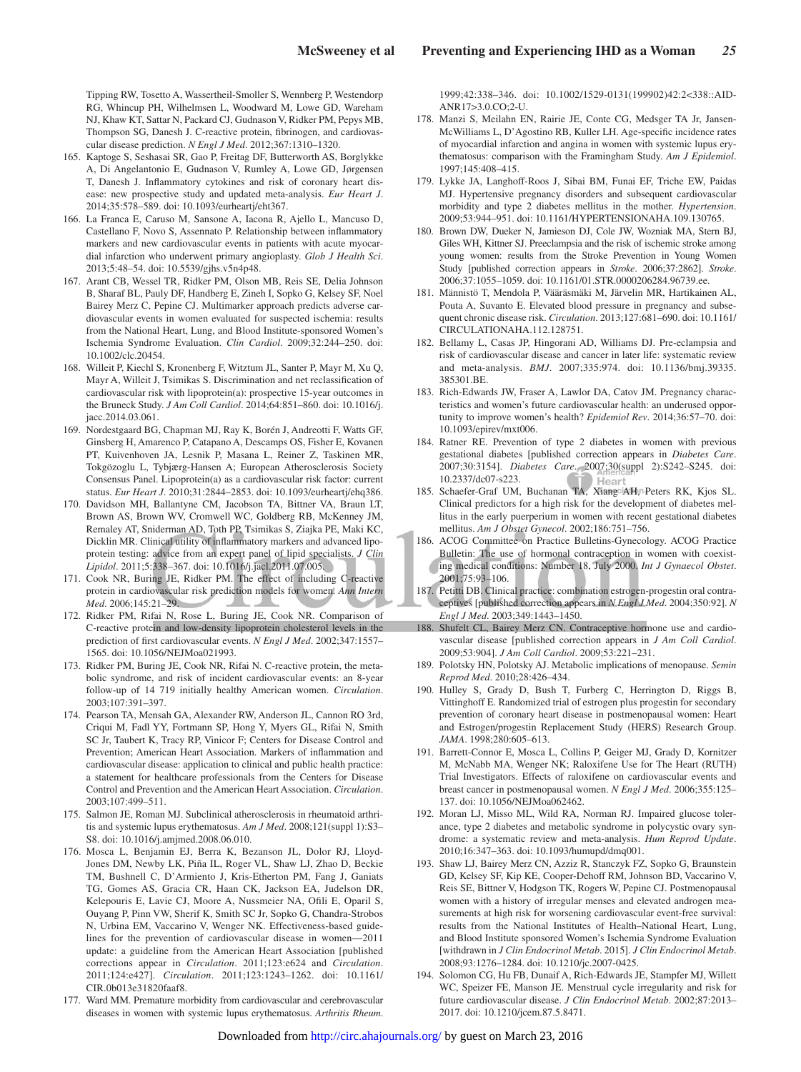Tipping RW, Tosetto A, Wassertheil-Smoller S, Wennberg P, Westendorp RG, Whincup PH, Wilhelmsen L, Woodward M, Lowe GD, Wareham NJ, Khaw KT, Sattar N, Packard CJ, Gudnason V, Ridker PM, Pepys MB, Thompson SG, Danesh J. C-reactive protein, fibrinogen, and cardiovascular disease prediction. *N Engl J Med*. 2012;367:1310–1320.

- 165. Kaptoge S, Seshasai SR, Gao P, Freitag DF, Butterworth AS, Borglykke A, Di Angelantonio E, Gudnason V, Rumley A, Lowe GD, Jørgensen T, Danesh J. Inflammatory cytokines and risk of coronary heart disease: new prospective study and updated meta-analysis. *Eur Heart J*. 2014;35:578–589. doi: 10.1093/eurheartj/eht367.
- 166. La Franca E, Caruso M, Sansone A, Iacona R, Ajello L, Mancuso D, Castellano F, Novo S, Assennato P. Relationship between inflammatory markers and new cardiovascular events in patients with acute myocardial infarction who underwent primary angioplasty. *Glob J Health Sci*. 2013;5:48–54. doi: 10.5539/gjhs.v5n4p48.
- 167. Arant CB, Wessel TR, Ridker PM, Olson MB, Reis SE, Delia Johnson B, Sharaf BL, Pauly DF, Handberg E, Zineh I, Sopko G, Kelsey SF, Noel Bairey Merz C, Pepine CJ. Multimarker approach predicts adverse cardiovascular events in women evaluated for suspected ischemia: results from the National Heart, Lung, and Blood Institute-sponsored Women's Ischemia Syndrome Evaluation. *Clin Cardiol*. 2009;32:244–250. doi: 10.1002/clc.20454.
- 168. Willeit P, Kiechl S, Kronenberg F, Witztum JL, Santer P, Mayr M, Xu Q, Mayr A, Willeit J, Tsimikas S. Discrimination and net reclassification of cardiovascular risk with lipoprotein(a): prospective 15-year outcomes in the Bruneck Study. *J Am Coll Cardiol*. 2014;64:851–860. doi: 10.1016/j. iacc.2014.03.061.
- 169. Nordestgaard BG, Chapman MJ, Ray K, Borén J, Andreotti F, Watts GF, Ginsberg H, Amarenco P, Catapano A, Descamps OS, Fisher E, Kovanen PT, Kuivenhoven JA, Lesnik P, Masana L, Reiner Z, Taskinen MR, Tokgözoglu L, Tybjærg-Hansen A; European Atherosclerosis Society Consensus Panel. Lipoprotein(a) as a cardiovascular risk factor: current status. *Eur Heart J*. 2010;31:2844–2853. doi: 10.1093/eurheartj/ehq386.
- 170. Davidson MH, Ballantyne CM, Jacobson TA, Bittner VA, Braun LT, Brown AS, Brown WV, Cromwell WC, Goldberg RB, McKenney JM, Remaley AT, Sniderman AD, Toth PP, Tsimikas S, Ziajka PE, Maki KC, Dicklin MR. Clinical utility of inflammatory markers and advanced lipoprotein testing: advice from an expert panel of lipid specialists. *J Clin Lipidol*. 2011;5:338–367. doi: 10.1016/j.jacl.2011.07.005.
- 171. Cook NR, Buring JE, Ridker PM. The effect of including C-reactive protein in cardiovascular risk prediction models for women. *Ann Intern Med*. 2006;145:21–29.
- 172. Ridker PM, Rifai N, Rose L, Buring JE, Cook NR. Comparison of C-reactive protein and low-density lipoprotein cholesterol levels in the prediction of first cardiovascular events. *N Engl J Med*. 2002;347:1557– 1565. doi: 10.1056/NEJMoa021993.
- 173. Ridker PM, Buring JE, Cook NR, Rifai N. C-reactive protein, the metabolic syndrome, and risk of incident cardiovascular events: an 8-year follow-up of 14 719 initially healthy American women. *Circulation*. 2003;107:391–397.
- 174. Pearson TA, Mensah GA, Alexander RW, Anderson JL, Cannon RO 3rd, Criqui M, Fadl YY, Fortmann SP, Hong Y, Myers GL, Rifai N, Smith SC Jr, Taubert K, Tracy RP, Vinicor F; Centers for Disease Control and Prevention; American Heart Association. Markers of inflammation and cardiovascular disease: application to clinical and public health practice: a statement for healthcare professionals from the Centers for Disease Control and Prevention and the American Heart Association. *Circulation*. 2003;107:499–511.
- 175. Salmon JE, Roman MJ. Subclinical atherosclerosis in rheumatoid arthritis and systemic lupus erythematosus. *Am J Med*. 2008;121(suppl 1):S3– S8. doi: 10.1016/j.amjmed.2008.06.010.
- 176. Mosca L, Benjamin EJ, Berra K, Bezanson JL, Dolor RJ, Lloyd-Jones DM, Newby LK, Piña IL, Roger VL, Shaw LJ, Zhao D, Beckie TM, Bushnell C, D'Armiento J, Kris-Etherton PM, Fang J, Ganiats TG, Gomes AS, Gracia CR, Haan CK, Jackson EA, Judelson DR, Kelepouris E, Lavie CJ, Moore A, Nussmeier NA, Ofili E, Oparil S, Ouyang P, Pinn VW, Sherif K, Smith SC Jr, Sopko G, Chandra-Strobos N, Urbina EM, Vaccarino V, Wenger NK. Effectiveness-based guidelines for the prevention of cardiovascular disease in women—2011 update: a guideline from the American Heart Association [published corrections appear in *Circulation*. 2011;123:e624 and *Circulation*. 2011;124:e427]. *Circulation*. 2011;123:1243–1262. doi: 10.1161/ CIR.0b013e31820faaf8.
- 177. Ward MM. Premature morbidity from cardiovascular and cerebrovascular diseases in women with systemic lupus erythematosus. *Arthritis Rheum*.

1999;42:338–346. doi: 10.1002/1529-0131(199902)42:2<338::AID-ANR17>3.0.CO;2-U.

- 178. Manzi S, Meilahn EN, Rairie JE, Conte CG, Medsger TA Jr, Jansen-McWilliams L, D'Agostino RB, Kuller LH. Age-specific incidence rates of myocardial infarction and angina in women with systemic lupus erythematosus: comparison with the Framingham Study. *Am J Epidemiol*. 1997;145:408–415.
- 179. Lykke JA, Langhoff-Roos J, Sibai BM, Funai EF, Triche EW, Paidas MJ. Hypertensive pregnancy disorders and subsequent cardiovascular morbidity and type 2 diabetes mellitus in the mother. *Hypertension*. 2009;53:944–951. doi: 10.1161/HYPERTENSIONAHA.109.130765.
- 180. Brown DW, Dueker N, Jamieson DJ, Cole JW, Wozniak MA, Stern BJ, Giles WH, Kittner SJ. Preeclampsia and the risk of ischemic stroke among young women: results from the Stroke Prevention in Young Women Study [published correction appears in *Stroke*. 2006;37:2862]. *Stroke*. 2006;37:1055–1059. doi: 10.1161/01.STR.0000206284.96739.ee.
- 181. Männistö T, Mendola P, Vääräsmäki M, Järvelin MR, Hartikainen AL, Pouta A, Suvanto E. Elevated blood pressure in pregnancy and subsequent chronic disease risk. *Circulation*. 2013;127:681–690. doi: 10.1161/ CIRCULATIONAHA.112.128751.
- 182. Bellamy L, Casas JP, Hingorani AD, Williams DJ. Pre-eclampsia and risk of cardiovascular disease and cancer in later life: systematic review and meta-analysis. *BMJ*. 2007;335:974. doi: 10.1136/bmj.39335. 385301.BE.
- 183. Rich-Edwards JW, Fraser A, Lawlor DA, Catov JM. Pregnancy characteristics and women's future cardiovascular health: an underused opportunity to improve women's health? *Epidemiol Rev*. 2014;36:57–70. doi: 10.1093/epirev/mxt006.
- 184. Ratner RE. Prevention of type 2 diabetes in women with previous gestational diabetes [published correction appears in *Diabetes Care*. 2007;30:3154]. *Diabetes Care*. 2007;30(suppl 2):S242–S245. doi: 10.2337/dc07-s223.
- 185. Schaefer-Graf UM, Buchanan TA, Xiang AH, Peters RK, Kjos SL. Clinical predictors for a high risk for the development of diabetes mellitus in the early puerperium in women with recent gestational diabetes mellitus. *Am J Obstet Gynecol*. 2002;186:751–756.
- 186. ACOG Committee on Practice Bulletins-Gynecology. ACOG Practice Bulletin: The use of hormonal contraception in women with coexisting medical conditions: Number 18, July 2000. *Int J Gynaecol Obstet*. 2001;75:93–106.
- 187. Petitti DB. Clinical practice: combination estrogen-progestin oral contraceptives [published correction appears in *N Engl J Med*. 2004;350:92]. *N Engl J Med*. 2003;349:1443–1450.
- 188. Shufelt CL, Bairey Merz CN. Contraceptive hormone use and cardiovascular disease [published correction appears in *J Am Coll Cardiol*. 2009;53:904]. *J Am Coll Cardiol*. 2009;53:221–231.
- 189. Polotsky HN, Polotsky AJ. Metabolic implications of menopause. *Semin Reprod Med*. 2010;28:426–434.
- 190. Hulley S, Grady D, Bush T, Furberg C, Herrington D, Riggs B, Vittinghoff E. Randomized trial of estrogen plus progestin for secondary prevention of coronary heart disease in postmenopausal women: Heart and Estrogen/progestin Replacement Study (HERS) Research Group. *JAMA*. 1998;280:605–613.
- 191. Barrett-Connor E, Mosca L, Collins P, Geiger MJ, Grady D, Kornitzer M, McNabb MA, Wenger NK; Raloxifene Use for The Heart (RUTH) Trial Investigators. Effects of raloxifene on cardiovascular events and breast cancer in postmenopausal women. *N Engl J Med*. 2006;355:125– 137. doi: 10.1056/NEJMoa062462.
- 192. Moran LJ, Misso ML, Wild RA, Norman RJ. Impaired glucose tolerance, type 2 diabetes and metabolic syndrome in polycystic ovary syndrome: a systematic review and meta-analysis. *Hum Reprod Update*. 2010;16:347–363. doi: 10.1093/humupd/dmq001.
- 193. Shaw LJ, Bairey Merz CN, Azziz R, Stanczyk FZ, Sopko G, Braunstein GD, Kelsey SF, Kip KE, Cooper-Dehoff RM, Johnson BD, Vaccarino V, Reis SE, Bittner V, Hodgson TK, Rogers W, Pepine CJ. Postmenopausal women with a history of irregular menses and elevated androgen measurements at high risk for worsening cardiovascular event-free survival: results from the National Institutes of Health–National Heart, Lung, and Blood Institute sponsored Women's Ischemia Syndrome Evaluation [withdrawn in *J Clin Endocrinol Metab*. 2015]. *J Clin Endocrinol Metab*. 2008;93:1276–1284. doi: 10.1210/jc.2007-0425.
- 194. Solomon CG, Hu FB, Dunaif A, Rich-Edwards JE, Stampfer MJ, Willett WC, Speizer FE, Manson JE. Menstrual cycle irregularity and risk for future cardiovascular disease. *J Clin Endocrinol Metab*. 2002;87:2013– 2017. doi: 10.1210/jcem.87.5.8471.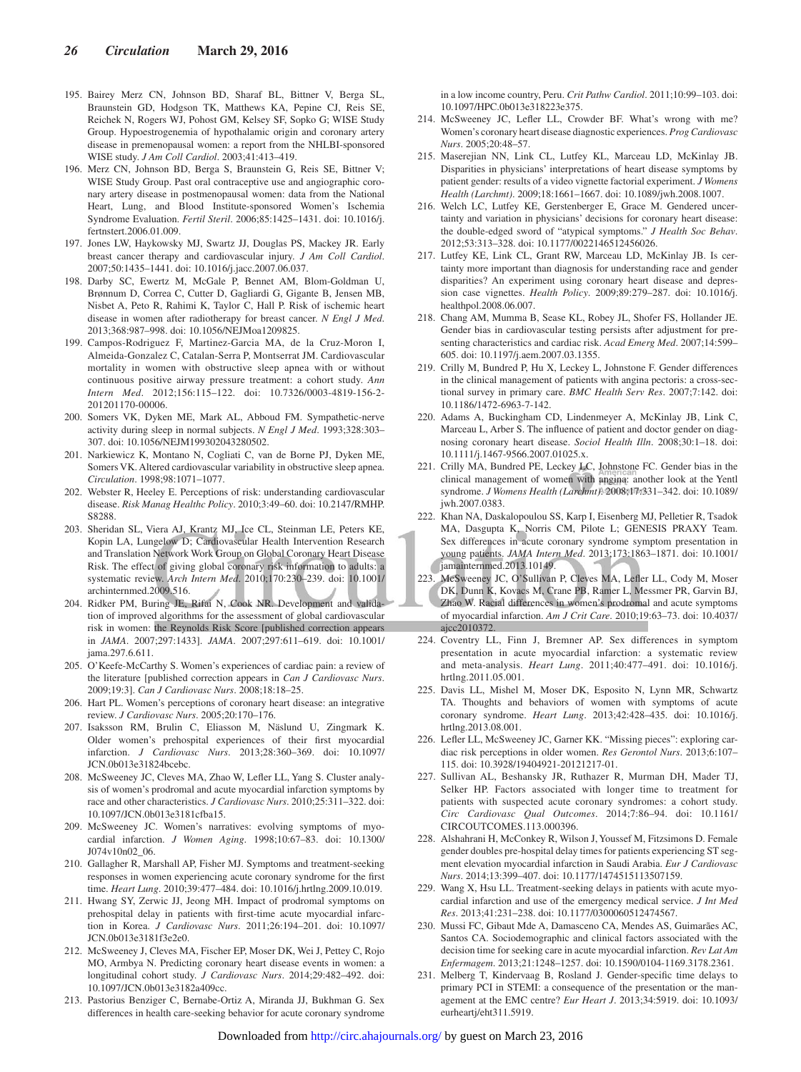- 195. Bairey Merz CN, Johnson BD, Sharaf BL, Bittner V, Berga SL, Braunstein GD, Hodgson TK, Matthews KA, Pepine CJ, Reis SE, Reichek N, Rogers WJ, Pohost GM, Kelsey SF, Sopko G; WISE Study Group. Hypoestrogenemia of hypothalamic origin and coronary artery disease in premenopausal women: a report from the NHLBI-sponsored WISE study. *J Am Coll Cardiol*. 2003;41:413–419.
- 196. Merz CN, Johnson BD, Berga S, Braunstein G, Reis SE, Bittner V; WISE Study Group. Past oral contraceptive use and angiographic coronary artery disease in postmenopausal women: data from the National Heart, Lung, and Blood Institute-sponsored Women's Ischemia Syndrome Evaluation. *Fertil Steril*. 2006;85:1425–1431. doi: 10.1016/j. fertnstert.2006.01.009.
- 197. Jones LW, Haykowsky MJ, Swartz JJ, Douglas PS, Mackey JR. Early breast cancer therapy and cardiovascular injury. *J Am Coll Cardiol*. 2007;50:1435–1441. doi: 10.1016/j.jacc.2007.06.037.
- 198. Darby SC, Ewertz M, McGale P, Bennet AM, Blom-Goldman U, Brønnum D, Correa C, Cutter D, Gagliardi G, Gigante B, Jensen MB, Nisbet A, Peto R, Rahimi K, Taylor C, Hall P. Risk of ischemic heart disease in women after radiotherapy for breast cancer. *N Engl J Med*. 2013;368:987–998. doi: 10.1056/NEJMoa1209825.
- 199. Campos-Rodriguez F, Martinez-Garcia MA, de la Cruz-Moron I, Almeida-Gonzalez C, Catalan-Serra P, Montserrat JM. Cardiovascular mortality in women with obstructive sleep apnea with or without continuous positive airway pressure treatment: a cohort study. *Ann Intern Med*. 2012;156:115–122. doi: 10.7326/0003-4819-156-2- 201201170-00006.
- 200. Somers VK, Dyken ME, Mark AL, Abboud FM. Sympathetic-nerve activity during sleep in normal subjects. *N Engl J Med*. 1993;328:303– 307. doi: 10.1056/NEJM199302043280502.
- 201. Narkiewicz K, Montano N, Cogliati C, van de Borne PJ, Dyken ME, Somers VK. Altered cardiovascular variability in obstructive sleep apnea. *Circulation*. 1998;98:1071–1077.
- 202. Webster R, Heeley E. Perceptions of risk: understanding cardiovascular disease. *Risk Manag Healthc Policy*. 2010;3:49–60. doi: 10.2147/RMHP. S8288.
- 203. Sheridan SL, Viera AJ, Krantz MJ, Ice CL, Steinman LE, Peters KE, Kopin LA, Lungelow D; Cardiovascular Health Intervention Research and Translation Network Work Group on Global Coronary Heart Disease Risk. The effect of giving global coronary risk information to adults: a systematic review. *Arch Intern Med*. 2010;170:230–239. doi: 10.1001/ archinternmed.2009.516.
- 204. Ridker PM, Buring JE, Rifai N, Cook NR. Development and validation of improved algorithms for the assessment of global cardiovascular risk in women: the Reynolds Risk Score [published correction appears in *JAMA*. 2007;297:1433]. *JAMA*. 2007;297:611–619. doi: 10.1001/ jama.297.6.611.
- 205. O'Keefe-McCarthy S. Women's experiences of cardiac pain: a review of the literature [published correction appears in *Can J Cardiovasc Nurs*. 2009;19:3]. *Can J Cardiovasc Nurs*. 2008;18:18–25.
- 206. Hart PL. Women's perceptions of coronary heart disease: an integrative review. *J Cardiovasc Nurs*. 2005;20:170–176.
- 207. Isaksson RM, Brulin C, Eliasson M, Näslund U, Zingmark K. Older women's prehospital experiences of their first myocardial infarction. *J Cardiovasc Nurs*. 2013;28:360–369. doi: 10.1097/ JCN.0b013e31824bcebc.
- 208. McSweeney JC, Cleves MA, Zhao W, Lefler LL, Yang S. Cluster analysis of women's prodromal and acute myocardial infarction symptoms by race and other characteristics. *J Cardiovasc Nurs*. 2010;25:311–322. doi: 10.1097/JCN.0b013e3181cfba15.
- 209. McSweeney JC. Women's narratives: evolving symptoms of myocardial infarction. *J Women Aging*. 1998;10:67–83. doi: 10.1300/ J074v10n02\_06.
- 210. Gallagher R, Marshall AP, Fisher MJ. Symptoms and treatment-seeking responses in women experiencing acute coronary syndrome for the first time. *Heart Lung*. 2010;39:477–484. doi: 10.1016/j.hrtlng.2009.10.019.
- 211. Hwang SY, Zerwic JJ, Jeong MH. Impact of prodromal symptoms on prehospital delay in patients with first-time acute myocardial infarction in Korea. *J Cardiovasc Nurs*. 2011;26:194–201. doi: 10.1097/ JCN.0b013e3181f3e2e0.
- 212. McSweeney J, Cleves MA, Fischer EP, Moser DK, Wei J, Pettey C, Rojo MO, Armbya N. Predicting coronary heart disease events in women: a longitudinal cohort study. *J Cardiovasc Nurs*. 2014;29:482–492. doi: 10.1097/JCN.0b013e3182a409cc.
- 213. Pastorius Benziger C, Bernabe-Ortiz A, Miranda JJ, Bukhman G. Sex differences in health care-seeking behavior for acute coronary syndrome

in a low income country, Peru. *Crit Pathw Cardiol*. 2011;10:99–103. doi: 10.1097/HPC.0b013e318223e375.

- 214. McSweeney JC, Lefler LL, Crowder BF. What's wrong with me? Women's coronary heart disease diagnostic experiences. *Prog Cardiovasc Nurs*. 2005;20:48–57.
- 215. Maserejian NN, Link CL, Lutfey KL, Marceau LD, McKinlay JB. Disparities in physicians' interpretations of heart disease symptoms by patient gender: results of a video vignette factorial experiment. *J Womens Health (Larchmt)*. 2009;18:1661–1667. doi: 10.1089/jwh.2008.1007.
- 216. Welch LC, Lutfey KE, Gerstenberger E, Grace M. Gendered uncertainty and variation in physicians' decisions for coronary heart disease: the double-edged sword of "atypical symptoms." *J Health Soc Behav*. 2012;53:313–328. doi: 10.1177/0022146512456026.
- 217. Lutfey KE, Link CL, Grant RW, Marceau LD, McKinlay JB. Is certainty more important than diagnosis for understanding race and gender disparities? An experiment using coronary heart disease and depression case vignettes. *Health Policy*. 2009;89:279–287. doi: 10.1016/j. healthpol.2008.06.007.
- 218. Chang AM, Mumma B, Sease KL, Robey JL, Shofer FS, Hollander JE. Gender bias in cardiovascular testing persists after adjustment for presenting characteristics and cardiac risk. *Acad Emerg Med*. 2007;14:599– 605. doi: 10.1197/j.aem.2007.03.1355.
- 219. Crilly M, Bundred P, Hu X, Leckey L, Johnstone F. Gender differences in the clinical management of patients with angina pectoris: a cross-sectional survey in primary care. *BMC Health Serv Res*. 2007;7:142. doi: 10.1186/1472-6963-7-142.
- 220. Adams A, Buckingham CD, Lindenmeyer A, McKinlay JB, Link C, Marceau L, Arber S. The influence of patient and doctor gender on diagnosing coronary heart disease. *Sociol Health Illn*. 2008;30:1–18. doi: 10.1111/j.1467-9566.2007.01025.x.
- 221. Crilly MA, Bundred PE, Leckey LC, Johnstone FC. Gender bias in the clinical management of women with angina: another look at the Yentl syndrome. *J Womens Health (Larchmt)*. 2008;17:331–342. doi: 10.1089/ jwh.2007.0383.
- 222. Khan NA, Daskalopoulou SS, Karp I, Eisenberg MJ, Pelletier R, Tsadok MA, Dasgupta K, Norris CM, Pilote L; GENESIS PRAXY Team. Sex differences in acute coronary syndrome symptom presentation in young patients. *JAMA Intern Med*. 2013;173:1863–1871. doi: 10.1001/ jamainternmed.2013.10149.
- 223. McSweeney JC, O'Sullivan P, Cleves MA, Lefler LL, Cody M, Moser DK, Dunn K, Kovacs M, Crane PB, Ramer L, Messmer PR, Garvin BJ, Zhao W. Racial differences in women's prodromal and acute symptoms of myocardial infarction. *Am J Crit Care*. 2010;19:63–73. doi: 10.4037/ ajcc2010372.
- 224. Coventry LL, Finn J, Bremner AP. Sex differences in symptom presentation in acute myocardial infarction: a systematic review and meta-analysis. *Heart Lung*. 2011;40:477–491. doi: 10.1016/j. hrtlng.2011.05.001.
- 225. Davis LL, Mishel M, Moser DK, Esposito N, Lynn MR, Schwartz TA. Thoughts and behaviors of women with symptoms of acute coronary syndrome. *Heart Lung*. 2013;42:428–435. doi: 10.1016/j. hrtlng.2013.08.001.
- 226. Lefler LL, McSweeney JC, Garner KK. "Missing pieces": exploring cardiac risk perceptions in older women. *Res Gerontol Nurs*. 2013;6:107– 115. doi: 10.3928/19404921-20121217-01.
- 227. Sullivan AL, Beshansky JR, Ruthazer R, Murman DH, Mader TJ, Selker HP. Factors associated with longer time to treatment for patients with suspected acute coronary syndromes: a cohort study. *Circ Cardiovasc Qual Outcomes*. 2014;7:86–94. doi: 10.1161/ CIRCOUTCOMES.113.000396.
- 228. Alshahrani H, McConkey R, Wilson J, Youssef M, Fitzsimons D. Female gender doubles pre-hospital delay times for patients experiencing ST segment elevation myocardial infarction in Saudi Arabia. *Eur J Cardiovasc Nurs*. 2014;13:399–407. doi: 10.1177/1474515113507159.
- 229. Wang X, Hsu LL. Treatment-seeking delays in patients with acute myocardial infarction and use of the emergency medical service. *J Int Med Res*. 2013;41:231–238. doi: 10.1177/0300060512474567.
- 230. Mussi FC, Gibaut Mde A, Damasceno CA, Mendes AS, Guimarães AC, Santos CA. Sociodemographic and clinical factors associated with the decision time for seeking care in acute myocardial infarction. *Rev Lat Am Enfermagem*. 2013;21:1248–1257. doi: 10.1590/0104-1169.3178.2361.
- 231. Melberg T, Kindervaag B, Rosland J. Gender-specific time delays to primary PCI in STEMI: a consequence of the presentation or the management at the EMC centre? *Eur Heart J*. 2013;34:5919. doi: 10.1093/ eurhearti/eht311.5919.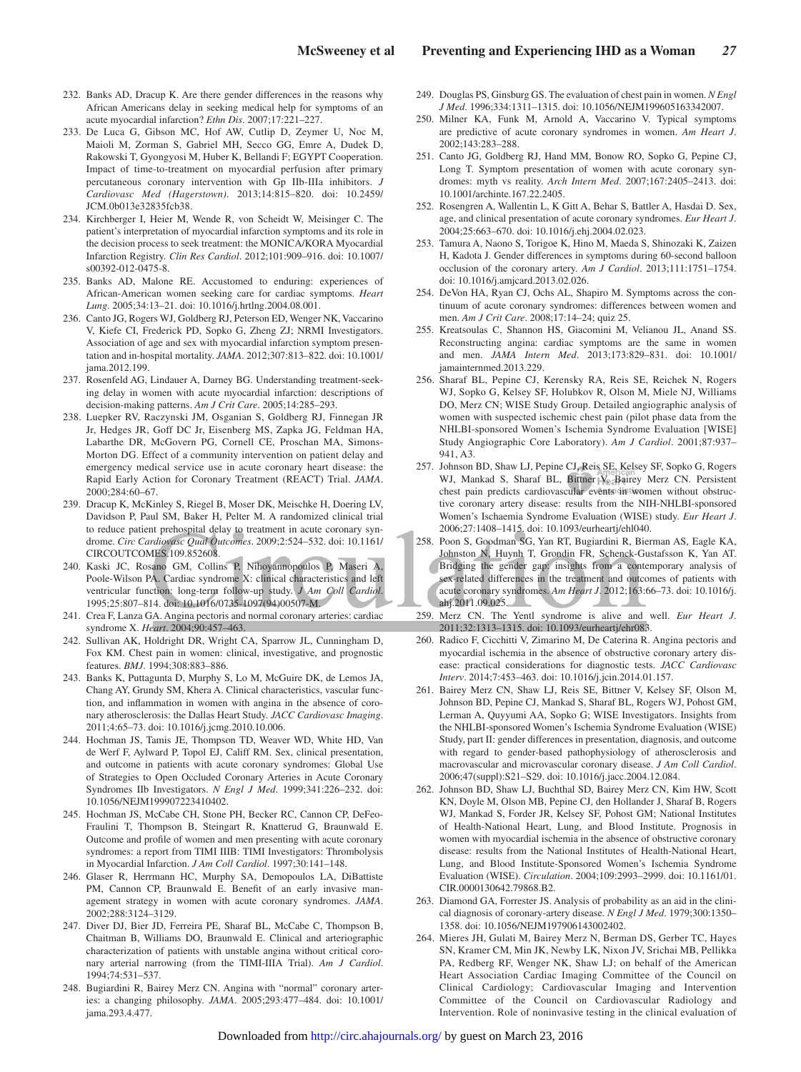- 232. Banks AD, Dracup K. Are there gender differences in the reasons why African Americans delay in seeking medical help for symptoms of an acute myocardial infarction? *Ethn Dis*. 2007;17:221–227.
- 233. De Luca G, Gibson MC, Hof AW, Cutlip D, Zeymer U, Noc M, Maioli M, Zorman S, Gabriel MH, Secco GG, Emre A, Dudek D, Rakowski T, Gyongyosi M, Huber K, Bellandi F; EGYPT Cooperation. Impact of time-to-treatment on myocardial perfusion after primary percutaneous coronary intervention with Gp IIb-IIIa inhibitors. *J Cardiovasc Med (Hagerstown)*. 2013;14:815–820. doi: 10.2459/ JCM.0b013e32835fcb38.
- 234. Kirchberger I, Heier M, Wende R, von Scheidt W, Meisinger C. The patient's interpretation of myocardial infarction symptoms and its role in the decision process to seek treatment: the MONICA/KORA Myocardial Infarction Registry. *Clin Res Cardiol*. 2012;101:909–916. doi: 10.1007/ s00392-012-0475-8.
- 235. Banks AD, Malone RE. Accustomed to enduring: experiences of African-American women seeking care for cardiac symptoms. *Heart Lung*. 2005;34:13–21. doi: 10.1016/j.hrtlng.2004.08.001.
- 236. Canto JG, Rogers WJ, Goldberg RJ, Peterson ED, Wenger NK, Vaccarino V, Kiefe CI, Frederick PD, Sopko G, Zheng ZJ; NRMI Investigators. Association of age and sex with myocardial infarction symptom presentation and in-hospital mortality. *JAMA*. 2012;307:813–822. doi: 10.1001/ jama.2012.199.
- 237. Rosenfeld AG, Lindauer A, Darney BG. Understanding treatment-seeking delay in women with acute myocardial infarction: descriptions of decision-making patterns. *Am J Crit Care*. 2005;14:285–293.
- 238. Luepker RV, Raczynski JM, Osganian S, Goldberg RJ, Finnegan JR Jr, Hedges JR, Goff DC Jr, Eisenberg MS, Zapka JG, Feldman HA, Labarthe DR, McGovern PG, Cornell CE, Proschan MA, Simons-Morton DG. Effect of a community intervention on patient delay and emergency medical service use in acute coronary heart disease: the Rapid Early Action for Coronary Treatment (REACT) Trial. *JAMA*. 2000;284:60–67.
- 239. Dracup K, McKinley S, Riegel B, Moser DK, Meischke H, Doering LV, Davidson P, Paul SM, Baker H, Pelter M. A randomized clinical trial to reduce patient prehospital delay to treatment in acute coronary syndrome. *Circ Cardiovasc Qual Outcomes*. 2009;2:524–532. doi: 10.1161/ CIRCOUTCOMES.109.852608.
- 240. Kaski JC, Rosano GM, Collins P, Nihoyannopoulos P, Maseri A, Poole-Wilson PA. Cardiac syndrome X: clinical characteristics and left ventricular function: long-term follow-up study. *J Am Coll Cardiol*. 1995;25:807–814. doi: 10.1016/0735-1097(94)00507-M.
- 241. Crea F, Lanza GA. Angina pectoris and normal coronary arteries: cardiac syndrome X. *Heart*. 2004;90:457–463.
- 242. Sullivan AK, Holdright DR, Wright CA, Sparrow JL, Cunningham D, Fox KM. Chest pain in women: clinical, investigative, and prognostic features. *BMJ*. 1994;308:883–886.
- 243. Banks K, Puttagunta D, Murphy S, Lo M, McGuire DK, de Lemos JA, Chang AY, Grundy SM, Khera A. Clinical characteristics, vascular function, and inflammation in women with angina in the absence of coronary atherosclerosis: the Dallas Heart Study. *JACC Cardiovasc Imaging*. 2011;4:65–73. doi: 10.1016/j.jcmg.2010.10.006.
- 244. Hochman JS, Tamis JE, Thompson TD, Weaver WD, White HD, Van de Werf F, Aylward P, Topol EJ, Califf RM. Sex, clinical presentation, and outcome in patients with acute coronary syndromes: Global Use of Strategies to Open Occluded Coronary Arteries in Acute Coronary Syndromes IIb Investigators. *N Engl J Med*. 1999;341:226–232. doi: 10.1056/NEJM199907223410402.
- 245. Hochman JS, McCabe CH, Stone PH, Becker RC, Cannon CP, DeFeo-Fraulini T, Thompson B, Steingart R, Knatterud G, Braunwald E. Outcome and profile of women and men presenting with acute coronary syndromes: a report from TIMI IIIB: TIMI Investigators: Thrombolysis in Myocardial Infarction. *J Am Coll Cardiol*. 1997;30:141–148.
- 246. Glaser R, Herrmann HC, Murphy SA, Demopoulos LA, DiBattiste PM, Cannon CP, Braunwald E. Benefit of an early invasive management strategy in women with acute coronary syndromes. *JAMA*. 2002;288:3124–3129.
- 247. Diver DJ, Bier JD, Ferreira PE, Sharaf BL, McCabe C, Thompson B, Chaitman B, Williams DO, Braunwald E. Clinical and arteriographic characterization of patients with unstable angina without critical coronary arterial narrowing (from the TIMI-IIIA Trial). *Am J Cardiol*. 1994;74:531–537.
- 248. Bugiardini R, Bairey Merz CN. Angina with "normal" coronary arteries: a changing philosophy. *JAMA*. 2005;293:477–484. doi: 10.1001/ jama.293.4.477.
- 249. Douglas PS, Ginsburg GS. The evaluation of chest pain in women. *N Engl J Med*. 1996;334:1311–1315. doi: 10.1056/NEJM199605163342007.
- 250. Milner KA, Funk M, Arnold A, Vaccarino V. Typical symptoms are predictive of acute coronary syndromes in women. *Am Heart J*. 2002;143:283–288.
- 251. Canto JG, Goldberg RJ, Hand MM, Bonow RO, Sopko G, Pepine CJ, Long T. Symptom presentation of women with acute coronary syndromes: myth vs reality. *Arch Intern Med*. 2007;167:2405–2413. doi: 10.1001/archinte.167.22.2405.
- 252. Rosengren A, Wallentin L, K Gitt A, Behar S, Battler A, Hasdai D. Sex, age, and clinical presentation of acute coronary syndromes. *Eur Heart J*. 2004;25:663–670. doi: 10.1016/j.ehj.2004.02.023.
- 253. Tamura A, Naono S, Torigoe K, Hino M, Maeda S, Shinozaki K, Zaizen H, Kadota J. Gender differences in symptoms during 60-second balloon occlusion of the coronary artery. *Am J Cardiol*. 2013;111:1751–1754. doi: 10.1016/j.amjcard.2013.02.026.
- 254. DeVon HA, Ryan CJ, Ochs AL, Shapiro M. Symptoms across the continuum of acute coronary syndromes: differences between women and men. *Am J Crit Care*. 2008;17:14–24; quiz 25.
- 255. Kreatsoulas C, Shannon HS, Giacomini M, Velianou JL, Anand SS. Reconstructing angina: cardiac symptoms are the same in women and men. *JAMA Intern Med*. 2013;173:829–831. doi: 10.1001/ jamainternmed.2013.229.
- 256. Sharaf BL, Pepine CJ, Kerensky RA, Reis SE, Reichek N, Rogers WJ, Sopko G, Kelsey SF, Holubkov R, Olson M, Miele NJ, Williams DO, Merz CN; WISE Study Group. Detailed angiographic analysis of women with suspected ischemic chest pain (pilot phase data from the NHLBI-sponsored Women's Ischemia Syndrome Evaluation [WISE] Study Angiographic Core Laboratory). *Am J Cardiol*. 2001;87:937– 941, A3.
- 257. Johnson BD, Shaw LJ, Pepine CJ, Reis SE, Kelsey SF, Sopko G, Rogers WJ, Mankad S, Sharaf BL, Bittner V<sub>3</sub> Bairey Merz CN. Persistent chest pain predicts cardiovascular events in women without obstructive coronary artery disease: results from the NIH-NHLBI-sponsored Women's Ischaemia Syndrome Evaluation (WISE) study. *Eur Heart J*. 2006;27:1408–1415. doi: 10.1093/eurheartj/ehl040.
- 258. Poon S, Goodman SG, Yan RT, Bugiardini R, Bierman AS, Eagle KA, Johnston N, Huynh T, Grondin FR, Schenck-Gustafsson K, Yan AT. Bridging the gender gap: insights from a contemporary analysis of sex-related differences in the treatment and outcomes of patients with acute coronary syndromes. *Am Heart J*. 2012;163:66–73. doi: 10.1016/j. ahj.2011.09.025.
- 259. Merz CN. The Yentl syndrome is alive and well. *Eur Heart J*. 2011;32:1313–1315. doi: 10.1093/eurheartj/ehr083.
- 260. Radico F, Cicchitti V, Zimarino M, De Caterina R. Angina pectoris and myocardial ischemia in the absence of obstructive coronary artery disease: practical considerations for diagnostic tests. *JACC Cardiovasc Interv*. 2014;7:453–463. doi: 10.1016/j.jcin.2014.01.157.
- 261. Bairey Merz CN, Shaw LJ, Reis SE, Bittner V, Kelsey SF, Olson M, Johnson BD, Pepine CJ, Mankad S, Sharaf BL, Rogers WJ, Pohost GM, Lerman A, Quyyumi AA, Sopko G; WISE Investigators. Insights from the NHLBI-sponsored Women's Ischemia Syndrome Evaluation (WISE) Study, part II: gender differences in presentation, diagnosis, and outcome with regard to gender-based pathophysiology of atherosclerosis and macrovascular and microvascular coronary disease. *J Am Coll Cardiol*. 2006;47(suppl):S21–S29. doi: 10.1016/j.jacc.2004.12.084.
- 262. Johnson BD, Shaw LJ, Buchthal SD, Bairey Merz CN, Kim HW, Scott KN, Doyle M, Olson MB, Pepine CJ, den Hollander J, Sharaf B, Rogers WJ, Mankad S, Forder JR, Kelsey SF, Pohost GM; National Institutes of Health-National Heart, Lung, and Blood Institute. Prognosis in women with myocardial ischemia in the absence of obstructive coronary disease: results from the National Institutes of Health-National Heart, Lung, and Blood Institute-Sponsored Women's Ischemia Syndrome Evaluation (WISE). *Circulation*. 2004;109:2993–2999. doi: 10.1161/01. CIR.0000130642.79868.B2.
- 263. Diamond GA, Forrester JS. Analysis of probability as an aid in the clinical diagnosis of coronary-artery disease. *N Engl J Med*. 1979;300:1350– 1358. doi: 10.1056/NEJM197906143002402.
- 264. Mieres JH, Gulati M, Bairey Merz N, Berman DS, Gerber TC, Hayes SN, Kramer CM, Min JK, Newby LK, Nixon JV, Srichai MB, Pellikka PA, Redberg RF, Wenger NK, Shaw LJ; on behalf of the American Heart Association Cardiac Imaging Committee of the Council on Clinical Cardiology; Cardiovascular Imaging and Intervention Committee of the Council on Cardiovascular Radiology and Intervention. Role of noninvasive testing in the clinical evaluation of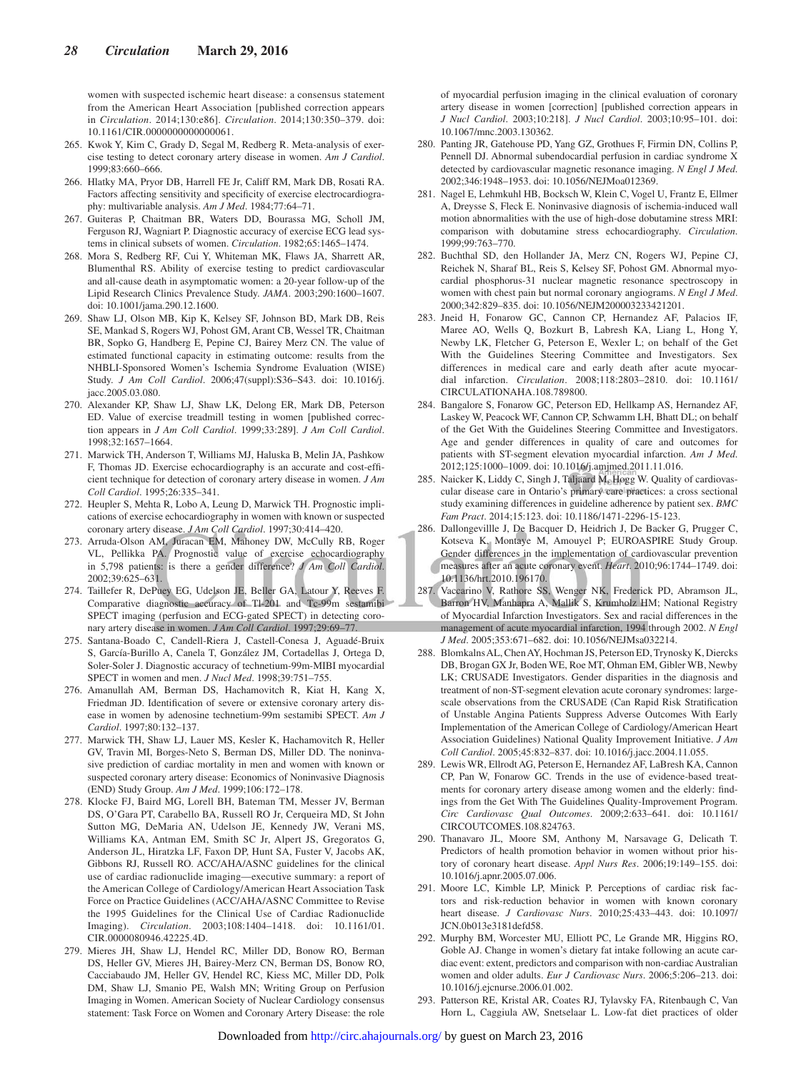women with suspected ischemic heart disease: a consensus statement from the American Heart Association [published correction appears in *Circulation*. 2014;130:e86]. *Circulation*. 2014;130:350–379. doi: 10.1161/CIR.0000000000000061.

- 265. Kwok Y, Kim C, Grady D, Segal M, Redberg R. Meta-analysis of exercise testing to detect coronary artery disease in women. *Am J Cardiol*. 1999;83:660–666.
- 266. Hlatky MA, Pryor DB, Harrell FE Jr, Califf RM, Mark DB, Rosati RA. Factors affecting sensitivity and specificity of exercise electrocardiography: multivariable analysis. *Am J Med*. 1984;77:64–71.
- 267. Guiteras P, Chaitman BR, Waters DD, Bourassa MG, Scholl JM, Ferguson RJ, Wagniart P. Diagnostic accuracy of exercise ECG lead systems in clinical subsets of women. *Circulation*. 1982;65:1465–1474.
- 268. Mora S, Redberg RF, Cui Y, Whiteman MK, Flaws JA, Sharrett AR, Blumenthal RS. Ability of exercise testing to predict cardiovascular and all-cause death in asymptomatic women: a 20-year follow-up of the Lipid Research Clinics Prevalence Study. *JAMA*. 2003;290:1600–1607. doi: 10.1001/jama.290.12.1600.
- 269. Shaw LJ, Olson MB, Kip K, Kelsey SF, Johnson BD, Mark DB, Reis SE, Mankad S, Rogers WJ, Pohost GM, Arant CB, Wessel TR, Chaitman BR, Sopko G, Handberg E, Pepine CJ, Bairey Merz CN. The value of estimated functional capacity in estimating outcome: results from the NHBLI-Sponsored Women's Ischemia Syndrome Evaluation (WISE) Study. *J Am Coll Cardiol*. 2006;47(suppl):S36–S43. doi: 10.1016/j. jacc.2005.03.080.
- 270. Alexander KP, Shaw LJ, Shaw LK, Delong ER, Mark DB, Peterson ED. Value of exercise treadmill testing in women [published correction appears in *J Am Coll Cardiol*. 1999;33:289]. *J Am Coll Cardiol*. 1998;32:1657–1664.
- 271. Marwick TH, Anderson T, Williams MJ, Haluska B, Melin JA, Pashkow F, Thomas JD. Exercise echocardiography is an accurate and cost-efficient technique for detection of coronary artery disease in women. *J Am Coll Cardiol*. 1995;26:335–341.
- 272. Heupler S, Mehta R, Lobo A, Leung D, Marwick TH. Prognostic implications of exercise echocardiography in women with known or suspected coronary artery disease. *J Am Coll Cardiol*. 1997;30:414–420.
- 273. Arruda-Olson AM, Juracan EM, Mahoney DW, McCully RB, Roger VL, Pellikka PA. Prognostic value of exercise echocardiography in 5,798 patients: is there a gender difference? *J Am Coll Cardiol*. 2002;39:625–631.
- 274. Taillefer R, DePuey EG, Udelson JE, Beller GA, Latour Y, Reeves F. Comparative diagnostic accuracy of Tl-201 and Tc-99m sestamibi SPECT imaging (perfusion and ECG-gated SPECT) in detecting coronary artery disease in women. *J Am Coll Cardiol*. 1997;29:69–77.
- 275. Santana-Boado C, Candell-Riera J, Castell-Conesa J, Aguadé-Bruix S, García-Burillo A, Canela T, González JM, Cortadellas J, Ortega D, Soler-Soler J. Diagnostic accuracy of technetium-99m-MIBI myocardial SPECT in women and men. *J Nucl Med*. 1998;39:751–755.
- 276. Amanullah AM, Berman DS, Hachamovitch R, Kiat H, Kang X, Friedman JD. Identification of severe or extensive coronary artery disease in women by adenosine technetium-99m sestamibi SPECT. *Am J Cardiol*. 1997;80:132–137.
- 277. Marwick TH, Shaw LJ, Lauer MS, Kesler K, Hachamovitch R, Heller GV, Travin MI, Borges-Neto S, Berman DS, Miller DD. The noninvasive prediction of cardiac mortality in men and women with known or suspected coronary artery disease: Economics of Noninvasive Diagnosis (END) Study Group. *Am J Med*. 1999;106:172–178.
- 278. Klocke FJ, Baird MG, Lorell BH, Bateman TM, Messer JV, Berman DS, O'Gara PT, Carabello BA, Russell RO Jr, Cerqueira MD, St John Sutton MG, DeMaria AN, Udelson JE, Kennedy JW, Verani MS, Williams KA, Antman EM, Smith SC Jr, Alpert JS, Gregoratos G, Anderson JL, Hiratzka LF, Faxon DP, Hunt SA, Fuster V, Jacobs AK, Gibbons RJ, Russell RO. ACC/AHA/ASNC guidelines for the clinical use of cardiac radionuclide imaging—executive summary: a report of the American College of Cardiology/American Heart Association Task Force on Practice Guidelines (ACC/AHA/ASNC Committee to Revise the 1995 Guidelines for the Clinical Use of Cardiac Radionuclide Imaging). *Circulation*. 2003;108:1404–1418. doi: 10.1161/01. CIR.0000080946.42225.4D.
- 279. Mieres JH, Shaw LJ, Hendel RC, Miller DD, Bonow RO, Berman DS, Heller GV, Mieres JH, Bairey-Merz CN, Berman DS, Bonow RO, Cacciabaudo JM, Heller GV, Hendel RC, Kiess MC, Miller DD, Polk DM, Shaw LJ, Smanio PE, Walsh MN; Writing Group on Perfusion Imaging in Women. American Society of Nuclear Cardiology consensus statement: Task Force on Women and Coronary Artery Disease: the role

of myocardial perfusion imaging in the clinical evaluation of coronary artery disease in women [correction] [published correction appears in *J Nucl Cardiol*. 2003;10:218]. *J Nucl Cardiol*. 2003;10:95–101. doi: 10.1067/mnc.2003.130362.

- 280. Panting JR, Gatehouse PD, Yang GZ, Grothues F, Firmin DN, Collins P, Pennell DJ. Abnormal subendocardial perfusion in cardiac syndrome X detected by cardiovascular magnetic resonance imaging. *N Engl J Med*. 2002;346:1948–1953. doi: 10.1056/NEJMoa012369.
- 281. Nagel E, Lehmkuhl HB, Bocksch W, Klein C, Vogel U, Frantz E, Ellmer A, Dreysse S, Fleck E. Noninvasive diagnosis of ischemia-induced wall motion abnormalities with the use of high-dose dobutamine stress MRI: comparison with dobutamine stress echocardiography. *Circulation*. 1999;99:763–770.
- 282. Buchthal SD, den Hollander JA, Merz CN, Rogers WJ, Pepine CJ, Reichek N, Sharaf BL, Reis S, Kelsey SF, Pohost GM. Abnormal myocardial phosphorus-31 nuclear magnetic resonance spectroscopy in women with chest pain but normal coronary angiograms. *N Engl J Med*. 2000;342:829–835. doi: 10.1056/NEJM200003233421201.
- 283. Jneid H, Fonarow GC, Cannon CP, Hernandez AF, Palacios IF, Maree AO, Wells Q, Bozkurt B, Labresh KA, Liang L, Hong Y, Newby LK, Fletcher G, Peterson E, Wexler L; on behalf of the Get With the Guidelines Steering Committee and Investigators. Sex differences in medical care and early death after acute myocardial infarction. *Circulation*. 2008;118:2803–2810. doi: 10.1161/ CIRCULATIONAHA.108.789800.
- 284. Bangalore S, Fonarow GC, Peterson ED, Hellkamp AS, Hernandez AF, Laskey W, Peacock WF, Cannon CP, Schwamm LH, Bhatt DL; on behalf of the Get With the Guidelines Steering Committee and Investigators. Age and gender differences in quality of care and outcomes for patients with ST-segment elevation myocardial infarction. *Am J Med*. 2012;125:1000–1009. doi: 10.1016/j.amjmed.2011.11.016.
- 285. Naicker K, Liddy C, Singh J, Taljaard M, Hogg W. Quality of cardiovascular disease care in Ontario's primary care practices: a cross sectional study examining differences in guideline adherence by patient sex. *BMC Fam Pract*. 2014;15:123. doi: 10.1186/1471-2296-15-123.
- 286. Dallongevillle J, De Bacquer D, Heidrich J, De Backer G, Prugger C, Kotseva K, Montaye M, Amouyel P; EUROASPIRE Study Group. Gender differences in the implementation of cardiovascular prevention measures after an acute coronary event. *Heart*. 2010;96:1744–1749. doi: 10.1136/hrt.2010.196170.
- 287. Vaccarino V, Rathore SS, Wenger NK, Frederick PD, Abramson JL, Barron HV, Manhapra A, Mallik S, Krumholz HM; National Registry of Myocardial Infarction Investigators. Sex and racial differences in the management of acute myocardial infarction, 1994 through 2002. *N Engl J Med*. 2005;353:671–682. doi: 10.1056/NEJMsa032214.
- 288. Blomkalns AL, Chen AY, Hochman JS, Peterson ED, Trynosky K, Diercks DB, Brogan GX Jr, Boden WE, Roe MT, Ohman EM, Gibler WB, Newby LK; CRUSADE Investigators. Gender disparities in the diagnosis and treatment of non-ST-segment elevation acute coronary syndromes: largescale observations from the CRUSADE (Can Rapid Risk Stratification of Unstable Angina Patients Suppress Adverse Outcomes With Early Implementation of the American College of Cardiology/American Heart Association Guidelines) National Quality Improvement Initiative. *J Am Coll Cardiol*. 2005;45:832–837. doi: 10.1016/j.jacc.2004.11.055.
- 289. Lewis WR, Ellrodt AG, Peterson E, Hernandez AF, LaBresh KA, Cannon CP, Pan W, Fonarow GC. Trends in the use of evidence-based treatments for coronary artery disease among women and the elderly: findings from the Get With The Guidelines Quality-Improvement Program. *Circ Cardiovasc Qual Outcomes*. 2009;2:633–641. doi: 10.1161/ CIRCOUTCOMES.108.824763.
- 290. Thanavaro JL, Moore SM, Anthony M, Narsavage G, Delicath T. Predictors of health promotion behavior in women without prior history of coronary heart disease. *Appl Nurs Res*. 2006;19:149–155. doi: 10.1016/j.apnr.2005.07.006.
- 291. Moore LC, Kimble LP, Minick P. Perceptions of cardiac risk factors and risk-reduction behavior in women with known coronary heart disease. *J Cardiovasc Nurs*. 2010;25:433–443. doi: 10.1097/ JCN.0b013e3181defd58.
- 292. Murphy BM, Worcester MU, Elliott PC, Le Grande MR, Higgins RO, Goble AJ. Change in women's dietary fat intake following an acute cardiac event: extent, predictors and comparison with non-cardiac Australian women and older adults. *Eur J Cardiovasc Nurs*. 2006;5:206–213. doi: 10.1016/j.ejcnurse.2006.01.002.
- 293. Patterson RE, Kristal AR, Coates RJ, Tylavsky FA, Ritenbaugh C, Van Horn L, Caggiula AW, Snetselaar L. Low-fat diet practices of older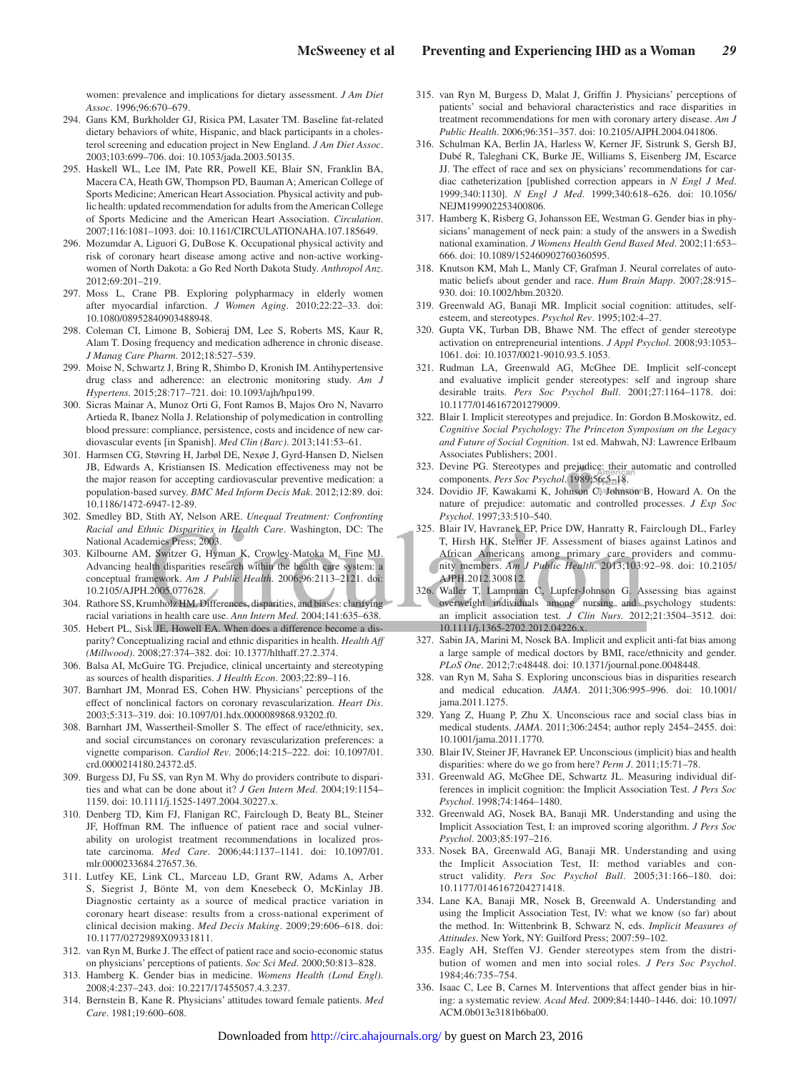women: prevalence and implications for dietary assessment. *J Am Diet Assoc*. 1996;96:670–679.

- 294. Gans KM, Burkholder GJ, Risica PM, Lasater TM. Baseline fat-related dietary behaviors of white, Hispanic, and black participants in a cholesterol screening and education project in New England. *J Am Diet Assoc*. 2003;103:699–706. doi: 10.1053/jada.2003.50135.
- 295. Haskell WL, Lee IM, Pate RR, Powell KE, Blair SN, Franklin BA, Macera CA, Heath GW, Thompson PD, Bauman A; American College of Sports Medicine; American Heart Association. Physical activity and public health: updated recommendation for adults from the American College of Sports Medicine and the American Heart Association. *Circulation*. 2007;116:1081–1093. doi: 10.1161/CIRCULATIONAHA.107.185649.
- 296. Mozumdar A, Liguori G, DuBose K. Occupational physical activity and risk of coronary heart disease among active and non-active workingwomen of North Dakota: a Go Red North Dakota Study. *Anthropol Anz*. 2012;69:201–219.
- 297. Moss L, Crane PB. Exploring polypharmacy in elderly women after myocardial infarction. *J Women Aging*. 2010;22:22–33. doi: 10.1080/08952840903488948.
- 298. Coleman CI, Limone B, Sobieraj DM, Lee S, Roberts MS, Kaur R, Alam T. Dosing frequency and medication adherence in chronic disease. *J Manag Care Pharm*. 2012;18:527–539.
- 299. Moise N, Schwartz J, Bring R, Shimbo D, Kronish IM. Antihypertensive drug class and adherence: an electronic monitoring study. *Am J Hypertens*. 2015;28:717–721. doi: 10.1093/ajh/hpu199.
- 300. Sicras Mainar A, Munoz Orti G, Font Ramos B, Majos Oro N, Navarro Artieda R, Ibanez Nolla J. Relationship of polymedication in controlling blood pressure: compliance, persistence, costs and incidence of new cardiovascular events [in Spanish]. *Med Clin (Barc)*. 2013;141:53–61.
- 301. Harmsen CG, Støvring H, Jarbøl DE, Nexøe J, Gyrd-Hansen D, Nielsen JB, Edwards A, Kristiansen IS. Medication effectiveness may not be the major reason for accepting cardiovascular preventive medication: a population-based survey. *BMC Med Inform Decis Mak*. 2012;12:89. doi: 10.1186/1472-6947-12-89.
- 302. Smedley BD, Stith AY, Nelson ARE. *Unequal Treatment: Confronting Racial and Ethnic Disparities in Health Care*. Washington, DC: The National Academies Press; 2003.
- 303. Kilbourne AM, Switzer G, Hyman K, Crowley-Matoka M, Fine MJ. Advancing health disparities research within the health care system: a conceptual framework. *Am J Public Health*. 2006;96:2113–2121. doi: 10.2105/AJPH.2005.077628.
- 304. Rathore SS, Krumholz HM. Differences, disparities, and biases: clarifying racial variations in health care use. *Ann Intern Med*. 2004;141:635–638.
- 305. Hebert PL, Sisk JE, Howell EA. When does a difference become a disparity? Conceptualizing racial and ethnic disparities in health. *Health Aff (Millwood)*. 2008;27:374–382. doi: 10.1377/hlthaff.27.2.374.
- 306. Balsa AI, McGuire TG. Prejudice, clinical uncertainty and stereotyping as sources of health disparities. *J Health Econ*. 2003;22:89–116.
- 307. Barnhart JM, Monrad ES, Cohen HW. Physicians' perceptions of the effect of nonclinical factors on coronary revascularization. *Heart Dis*. 2003;5:313–319. doi: 10.1097/01.hdx.0000089868.93202.f0.
- 308. Barnhart JM, Wassertheil-Smoller S. The effect of race/ethnicity, sex, and social circumstances on coronary revascularization preferences: a vignette comparison. *Cardiol Rev*. 2006;14:215–222. doi: 10.1097/01. crd.0000214180.24372.d5.
- 309. Burgess DJ, Fu SS, van Ryn M. Why do providers contribute to disparities and what can be done about it? *J Gen Intern Med*. 2004;19:1154– 1159. doi: 10.1111/j.1525-1497.2004.30227.x.
- 310. Denberg TD, Kim FJ, Flanigan RC, Fairclough D, Beaty BL, Steiner JF, Hoffman RM. The influence of patient race and social vulnerability on urologist treatment recommendations in localized prostate carcinoma. *Med Care*. 2006;44:1137–1141. doi: 10.1097/01. mlr.0000233684.27657.36.
- 311. Lutfey KE, Link CL, Marceau LD, Grant RW, Adams A, Arber S, Siegrist J, Bönte M, von dem Knesebeck O, McKinlay JB. Diagnostic certainty as a source of medical practice variation in coronary heart disease: results from a cross-national experiment of clinical decision making. *Med Decis Making*. 2009;29:606–618. doi: 10.1177/0272989X09331811.
- 312. van Ryn M, Burke J. The effect of patient race and socio-economic status on physicians' perceptions of patients. *Soc Sci Med*. 2000;50:813–828.
- 313. Hamberg K. Gender bias in medicine. *Womens Health (Lond Engl)*. 2008;4:237–243. doi: 10.2217/17455057.4.3.237.
- 314. Bernstein B, Kane R. Physicians' attitudes toward female patients. *Med Care*. 1981;19:600–608.
- 315. van Ryn M, Burgess D, Malat J, Griffin J. Physicians' perceptions of patients' social and behavioral characteristics and race disparities in treatment recommendations for men with coronary artery disease. *Am J Public Health*. 2006;96:351–357. doi: 10.2105/AJPH.2004.041806.
- 316. Schulman KA, Berlin JA, Harless W, Kerner JF, Sistrunk S, Gersh BJ, Dubé R, Taleghani CK, Burke JE, Williams S, Eisenberg JM, Escarce JJ. The effect of race and sex on physicians' recommendations for cardiac catheterization [published correction appears in *N Engl J Med*. 1999;340:1130]. *N Engl J Med*. 1999;340:618–626. doi: 10.1056/ NEJM199902253400806.
- 317. Hamberg K, Risberg G, Johansson EE, Westman G. Gender bias in physicians' management of neck pain: a study of the answers in a Swedish national examination. *J Womens Health Gend Based Med*. 2002;11:653– 666. doi: 10.1089/152460902760360595.
- 318. Knutson KM, Mah L, Manly CF, Grafman J. Neural correlates of automatic beliefs about gender and race. *Hum Brain Mapp*. 2007;28:915– 930. doi: 10.1002/hbm.20320.
- 319. Greenwald AG, Banaji MR. Implicit social cognition: attitudes, selfesteem, and stereotypes. *Psychol Rev*. 1995;102:4–27.
- 320. Gupta VK, Turban DB, Bhawe NM. The effect of gender stereotype activation on entrepreneurial intentions. *J Appl Psychol*. 2008;93:1053– 1061. doi: 10.1037/0021-9010.93.5.1053.
- 321. Rudman LA, Greenwald AG, McGhee DE. Implicit self-concept and evaluative implicit gender stereotypes: self and ingroup share desirable traits. *Pers Soc Psychol Bull*. 2001;27:1164–1178. doi: 10.1177/0146167201279009.
- 322. Blair I. Implicit stereotypes and prejudice. In: Gordon B.Moskowitz, ed. *Cognitive Social Psychology: The Princeton Symposium on the Legacy and Future of Social Cognition*. 1st ed. Mahwah, NJ: Lawrence Erlbaum Associates Publishers; 2001.
- 323. Devine PG. Stereotypes and prejudice: their automatic and controlled components. *Pers Soc Psychol*. 1989;56:5–18.
- 324. Dovidio JF, Kawakami K, Johnson C, Johnson B, Howard A. On the nature of prejudice: automatic and controlled processes. *J Exp Soc Psychol*. 1997;33:510–540.
- 325. Blair IV, Havranek EP, Price DW, Hanratty R, Fairclough DL, Farley T, Hirsh HK, Steiner JF. Assessment of biases against Latinos and African Americans among primary care providers and community members. *Am J Public Health*. 2013;103:92–98. doi: 10.2105/ AJPH.2012.300812.
- 326. Waller T, Lampman C, Lupfer-Johnson G. Assessing bias against overweight individuals among nursing and psychology students: an implicit association test. *J Clin Nurs*. 2012;21:3504–3512. doi: 10.1111/j.1365-2702.2012.04226.x.
- 327. Sabin JA, Marini M, Nosek BA. Implicit and explicit anti-fat bias among a large sample of medical doctors by BMI, race/ethnicity and gender. *PLoS One*. 2012;7:e48448. doi: 10.1371/journal.pone.0048448.
- 328. van Ryn M, Saha S. Exploring unconscious bias in disparities research and medical education. *JAMA*. 2011;306:995–996. doi: 10.1001/ jama.2011.1275.
- 329. Yang Z, Huang P, Zhu X. Unconscious race and social class bias in medical students. *JAMA*. 2011;306:2454; author reply 2454–2455. doi: 10.1001/jama.2011.1770.
- 330. Blair IV, Steiner JF, Havranek EP. Unconscious (implicit) bias and health disparities: where do we go from here? *Perm J*. 2011;15:71–78.
- 331. Greenwald AG, McGhee DE, Schwartz JL. Measuring individual differences in implicit cognition: the Implicit Association Test. *J Pers Soc Psychol*. 1998;74:1464–1480.
- 332. Greenwald AG, Nosek BA, Banaji MR. Understanding and using the Implicit Association Test, I: an improved scoring algorithm. *J Pers Soc Psychol*. 2003;85:197–216.
- 333. Nosek BA, Greenwald AG, Banaji MR. Understanding and using the Implicit Association Test, II: method variables and construct validity. *Pers Soc Psychol Bull*. 2005;31:166–180. doi: 10.1177/0146167204271418.
- 334. Lane KA, Banaji MR, Nosek B, Greenwald A. Understanding and using the Implicit Association Test, IV: what we know (so far) about the method. In: Wittenbrink B, Schwarz N, eds. *Implicit Measures of Attitudes*. New York, NY: Guilford Press; 2007:59–102.
- 335. Eagly AH, Steffen VJ. Gender stereotypes stem from the distribution of women and men into social roles. *J Pers Soc Psychol*. 1984;46:735–754.
- 336. Isaac C, Lee B, Carnes M. Interventions that affect gender bias in hiring: a systematic review. *Acad Med*. 2009;84:1440–1446. doi: 10.1097/ ACM.0b013e3181b6ba00.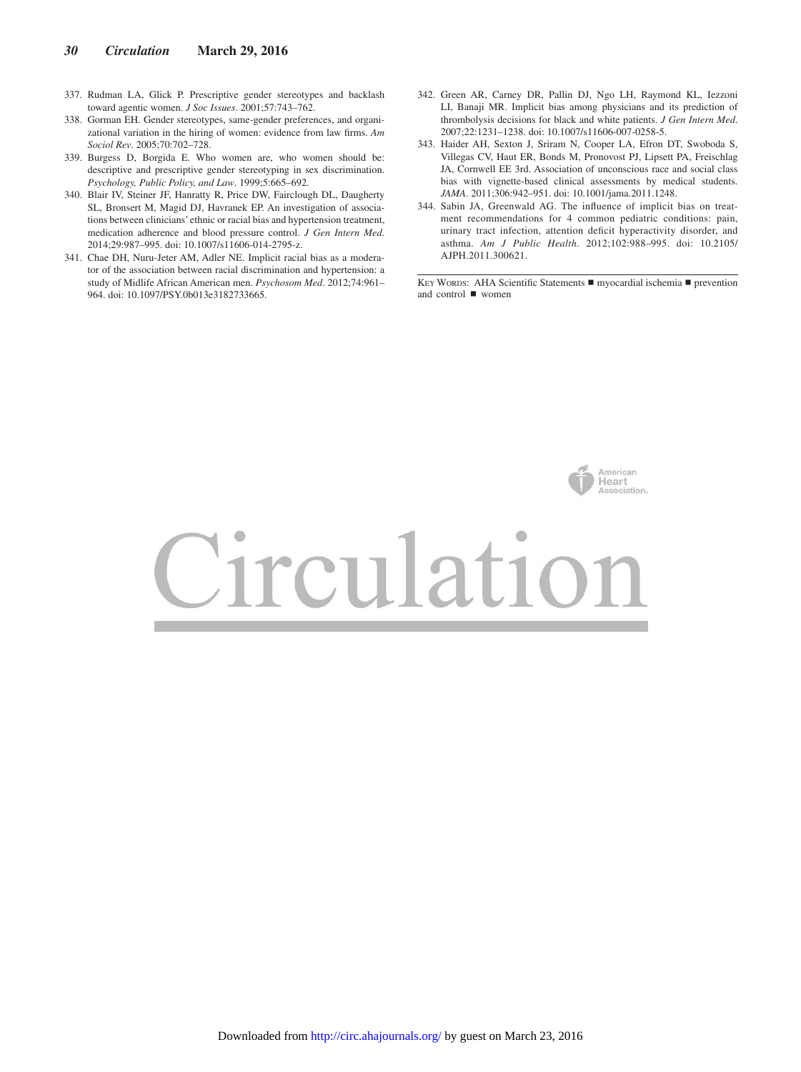- 337. Rudman LA, Glick P. Prescriptive gender stereotypes and backlash toward agentic women. *J Soc Issues*. 2001;57:743–762.
- 338. Gorman EH. Gender stereotypes, same-gender preferences, and organizational variation in the hiring of women: evidence from law firms. *Am Sociol Rev*. 2005;70:702–728.
- 339. Burgess D, Borgida E. Who women are, who women should be: descriptive and prescriptive gender stereotyping in sex discrimination. *Psychology, Public Policy, and Law*. 1999;5:665–692.
- 340. Blair IV, Steiner JF, Hanratty R, Price DW, Fairclough DL, Daugherty SL, Bronsert M, Magid DJ, Havranek EP. An investigation of associations between clinicians' ethnic or racial bias and hypertension treatment, medication adherence and blood pressure control. *J Gen Intern Med*. 2014;29:987–995. doi: 10.1007/s11606-014-2795-z.
- 341. Chae DH, Nuru-Jeter AM, Adler NE. Implicit racial bias as a moderator of the association between racial discrimination and hypertension: a study of Midlife African American men. *Psychosom Med*. 2012;74:961– 964. doi: 10.1097/PSY.0b013e3182733665.
- 342. Green AR, Carney DR, Pallin DJ, Ngo LH, Raymond KL, Iezzoni LI, Banaji MR. Implicit bias among physicians and its prediction of thrombolysis decisions for black and white patients. *J Gen Intern Med*. 2007;22:1231–1238. doi: 10.1007/s11606-007-0258-5.
- 343. Haider AH, Sexton J, Sriram N, Cooper LA, Efron DT, Swoboda S, Villegas CV, Haut ER, Bonds M, Pronovost PJ, Lipsett PA, Freischlag JA, Cornwell EE 3rd. Association of unconscious race and social class bias with vignette-based clinical assessments by medical students. *JAMA*. 2011;306:942–951. doi: 10.1001/jama.2011.1248.
- 344. Sabin JA, Greenwald AG. The influence of implicit bias on treatment recommendations for 4 common pediatric conditions: pain, urinary tract infection, attention deficit hyperactivity disorder, and asthma. *Am J Public Health*. 2012;102:988–995. doi: 10.2105/ AJPH.2011.300621.

KEY WORDS: AHA Scientific Statements ■ myocardial ischemia ■ prevention and control ◼ women

American

# Heart ssociation. Circulation